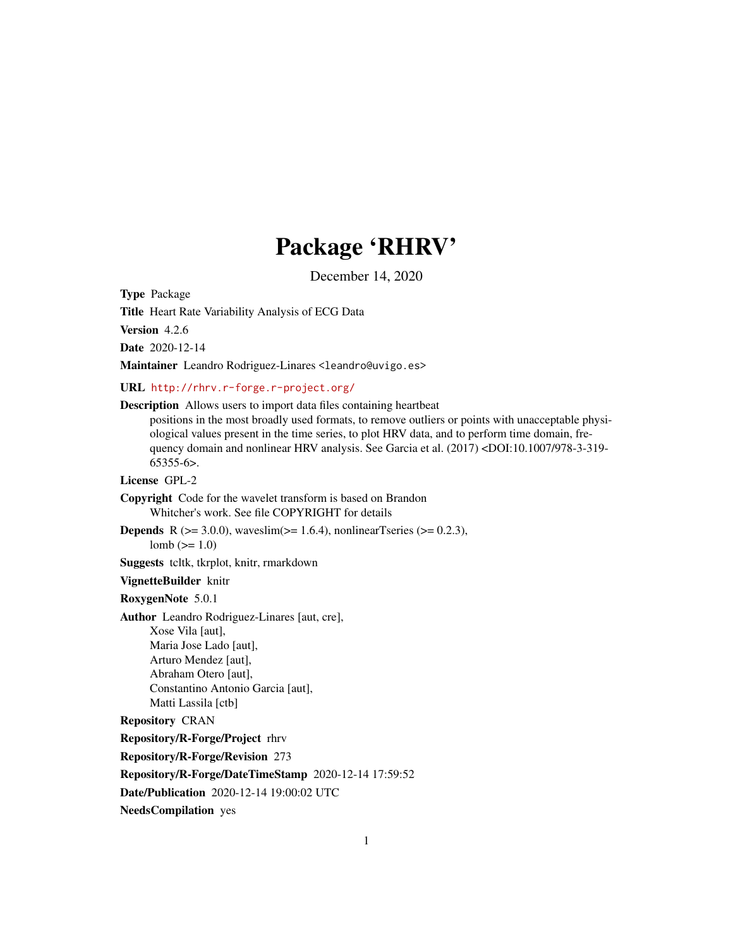# Package 'RHRV'

December 14, 2020

<span id="page-0-0"></span>Type Package

Title Heart Rate Variability Analysis of ECG Data

Version 4.2.6

Date 2020-12-14

Maintainer Leandro Rodriguez-Linares <leandro@uvigo.es>

URL <http://rhrv.r-forge.r-project.org/>

Description Allows users to import data files containing heartbeat

positions in the most broadly used formats, to remove outliers or points with unacceptable physiological values present in the time series, to plot HRV data, and to perform time domain, frequency domain and nonlinear HRV analysis. See Garcia et al. (2017) <DOI:10.1007/978-3-319-  $65355-6$ .

License GPL-2

Copyright Code for the wavelet transform is based on Brandon Whitcher's work. See file COPYRIGHT for details

**Depends** R ( $>= 3.0.0$ ), waveslim( $>= 1.6.4$ ), nonlinearTseries ( $>= 0.2.3$ ), lomb  $(>= 1.0)$ 

Suggests tcltk, tkrplot, knitr, rmarkdown

# VignetteBuilder knitr

RoxygenNote 5.0.1

Author Leandro Rodriguez-Linares [aut, cre], Xose Vila [aut], Maria Jose Lado [aut], Arturo Mendez [aut], Abraham Otero [aut], Constantino Antonio Garcia [aut], Matti Lassila [ctb]

Repository CRAN

Repository/R-Forge/Project rhrv

Repository/R-Forge/Revision 273

Repository/R-Forge/DateTimeStamp 2020-12-14 17:59:52

Date/Publication 2020-12-14 19:00:02 UTC

NeedsCompilation yes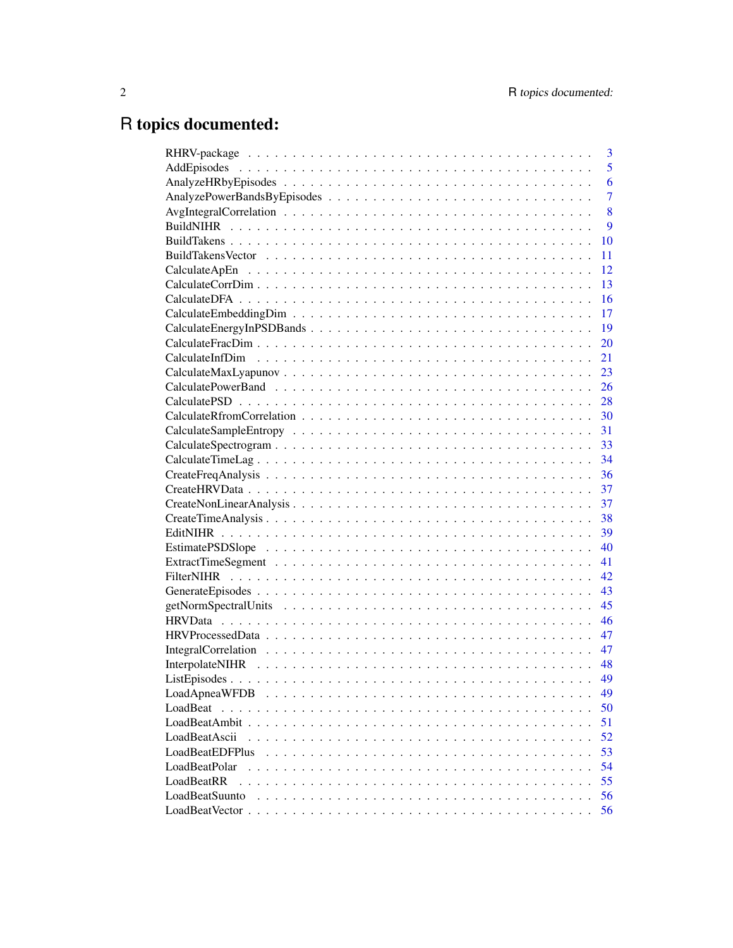# R topics documented:

|                 | 3              |
|-----------------|----------------|
|                 | 5              |
|                 | 6              |
|                 | $\overline{7}$ |
|                 | 8              |
|                 | 9              |
|                 | 10             |
|                 | 11             |
|                 | 12             |
|                 | 13             |
|                 | 16             |
|                 | 17             |
|                 | 19             |
|                 | 20             |
|                 | 21             |
|                 | 23             |
|                 | 26             |
|                 | 28             |
|                 | 30             |
|                 | 31             |
|                 |                |
|                 | 34             |
|                 | 36             |
|                 | 37             |
|                 | 37             |
|                 | 38             |
|                 | 39             |
|                 | 40             |
|                 | 41             |
|                 | 42             |
|                 | 43             |
|                 | 45             |
|                 | 46             |
|                 | 47             |
|                 | 47             |
|                 | 48             |
|                 | 49             |
| LoadApneaWFDB   | 49             |
| LoadBeat        | 50             |
|                 | 51             |
| LoadBeatAscii   | 52             |
| LoadBeatEDFPlus | 53             |
| LoadBeatPolar   | 54             |
| LoadBeatRR      | 55             |
| LoadBeatSuunto  | 56             |
|                 | 56             |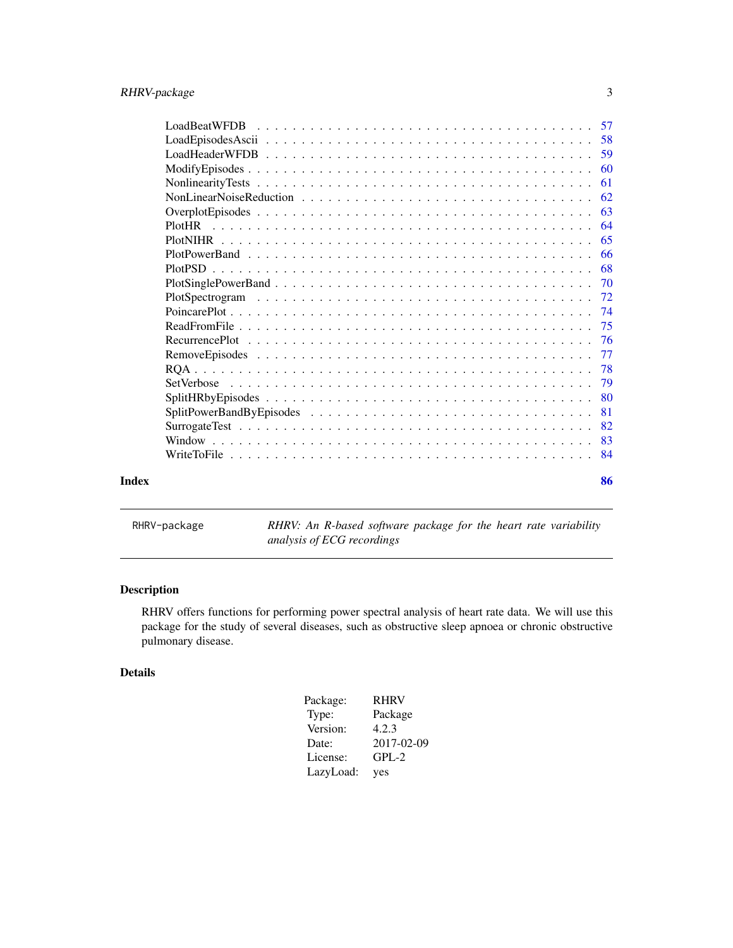<span id="page-2-0"></span>

|       | -61 |
|-------|-----|
|       |     |
|       |     |
|       |     |
|       |     |
|       |     |
|       |     |
|       |     |
|       |     |
|       |     |
|       |     |
|       |     |
|       | -77 |
|       |     |
|       |     |
|       |     |
|       | 81  |
|       |     |
|       |     |
|       |     |
| Index | 86  |

RHRV-package *RHRV: An R-based software package for the heart rate variability analysis of ECG recordings*

# Description

RHRV offers functions for performing power spectral analysis of heart rate data. We will use this package for the study of several diseases, such as obstructive sleep apnoea or chronic obstructive pulmonary disease.

# Details

| Package:  | <b>RHRV</b> |
|-----------|-------------|
| Type:     | Package     |
| Version:  | 4.2.3       |
| Date:     | 2017-02-09  |
| License:  | $GPL-2$     |
| LazyLoad: | yes         |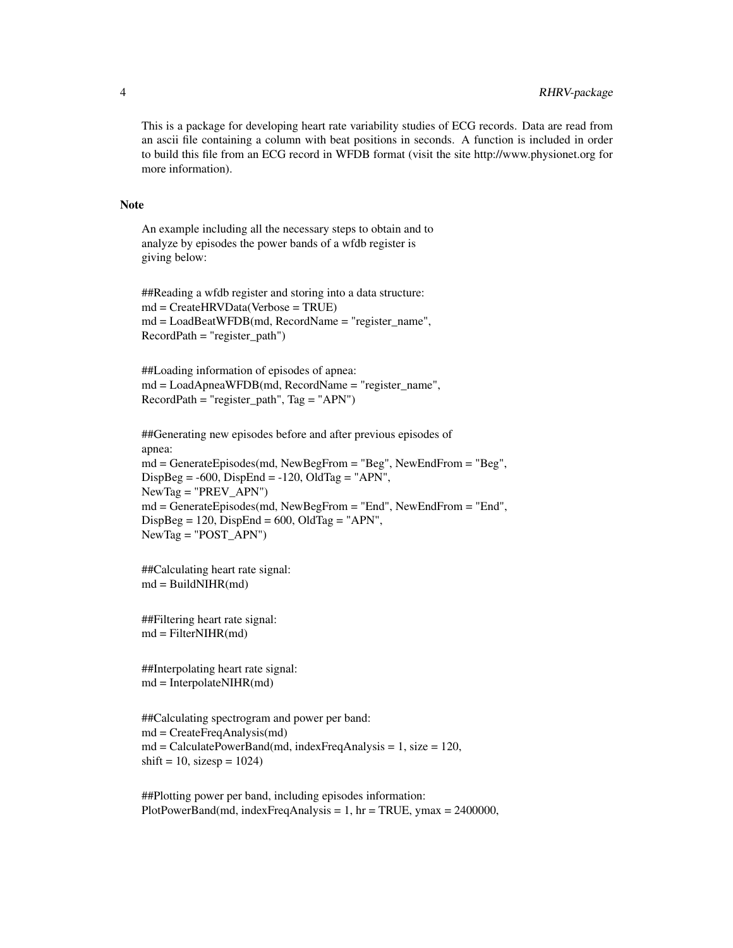This is a package for developing heart rate variability studies of ECG records. Data are read from an ascii file containing a column with beat positions in seconds. A function is included in order to build this file from an ECG record in WFDB format (visit the site http://www.physionet.org for more information).

#### Note

An example including all the necessary steps to obtain and to analyze by episodes the power bands of a wfdb register is giving below:

```
##Reading a wfdb register and storing into a data structure:
md = CreateHRVData(Verbose = TRUE)
md = LoadBeatWFDB(md, RecordName = "register_name",
RecordPath = "register_path")
```

```
##Loading information of episodes of apnea:
md = LoadApneaWFDB(md, RecordName = "register_name",
RecordPath = "register_path", Tag = "APN")
```

```
##Generating new episodes before and after previous episodes of
apnea:
md = GenerateEpisodes(md, NewBegFrom = "Beg", NewEndFrom = "Beg",
DispBeg = -600, DispEnd = -120, OldTag = "APN",NewTag = "PREV_APN")
md = GenerateEpisodes(md, NewBegFrom = "End", NewEndFrom = "End",
DispBeg = 120, DispEnd = 600, OldTag = "APN",NewTag = "POST_APN")
```

```
##Calculating heart rate signal:
md = BuildNIHR(md)
```

```
##Filtering heart rate signal:
md = FilterNIHR(md)
```

```
##Interpolating heart rate signal:
md = InterpolateNIHR(md)
```

```
##Calculating spectrogram and power per band:
md = CreateFreqAnalysis(md)
md = CalculatePowerBand(md, indexFreqAnalysis = 1, size = 120,shift = 10, size sp = 1024
```
##Plotting power per band, including episodes information: PlotPowerBand(md, indexFreqAnalysis =  $1$ , hr = TRUE, ymax = 2400000,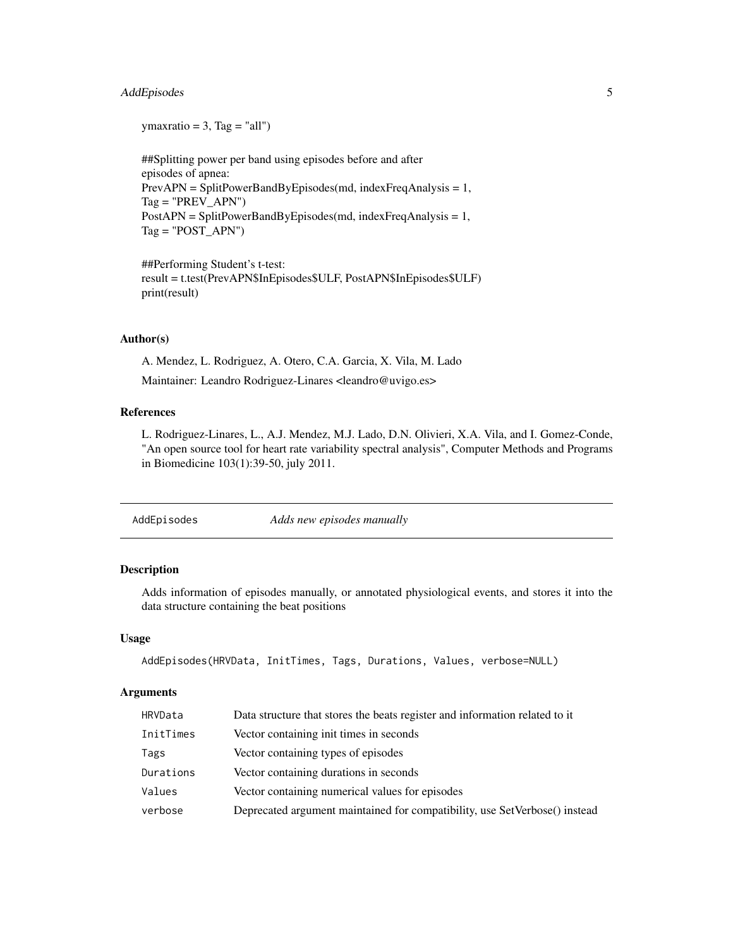# <span id="page-4-0"></span>AddEpisodes 5

 $ymaxratio = 3$ , Tag = "all")

##Splitting power per band using episodes before and after episodes of apnea: PrevAPN = SplitPowerBandByEpisodes(md, indexFreqAnalysis = 1,  $Tag = "PREV_APN")$ PostAPN = SplitPowerBandByEpisodes(md, indexFreqAnalysis = 1,  $Tag = "POST_APN")$ 

##Performing Student's t-test: result = t.test(PrevAPN\$InEpisodes\$ULF, PostAPN\$InEpisodes\$ULF) print(result)

# Author(s)

A. Mendez, L. Rodriguez, A. Otero, C.A. Garcia, X. Vila, M. Lado Maintainer: Leandro Rodriguez-Linares <leandro@uvigo.es>

# References

L. Rodriguez-Linares, L., A.J. Mendez, M.J. Lado, D.N. Olivieri, X.A. Vila, and I. Gomez-Conde, "An open source tool for heart rate variability spectral analysis", Computer Methods and Programs in Biomedicine 103(1):39-50, july 2011.

AddEpisodes *Adds new episodes manually*

# Description

Adds information of episodes manually, or annotated physiological events, and stores it into the data structure containing the beat positions

#### Usage

AddEpisodes(HRVData, InitTimes, Tags, Durations, Values, verbose=NULL)

# **Arguments**

| HRVData   | Data structure that stores the beats register and information related to it |
|-----------|-----------------------------------------------------------------------------|
| InitTimes | Vector containing in t times in seconds                                     |
| Tags      | Vector containing types of episodes                                         |
| Durations | Vector containing durations in seconds                                      |
| Values    | Vector containing numerical values for episodes                             |
| verbose   | Deprecated argument maintained for compatibility, use SetVerbose() instead  |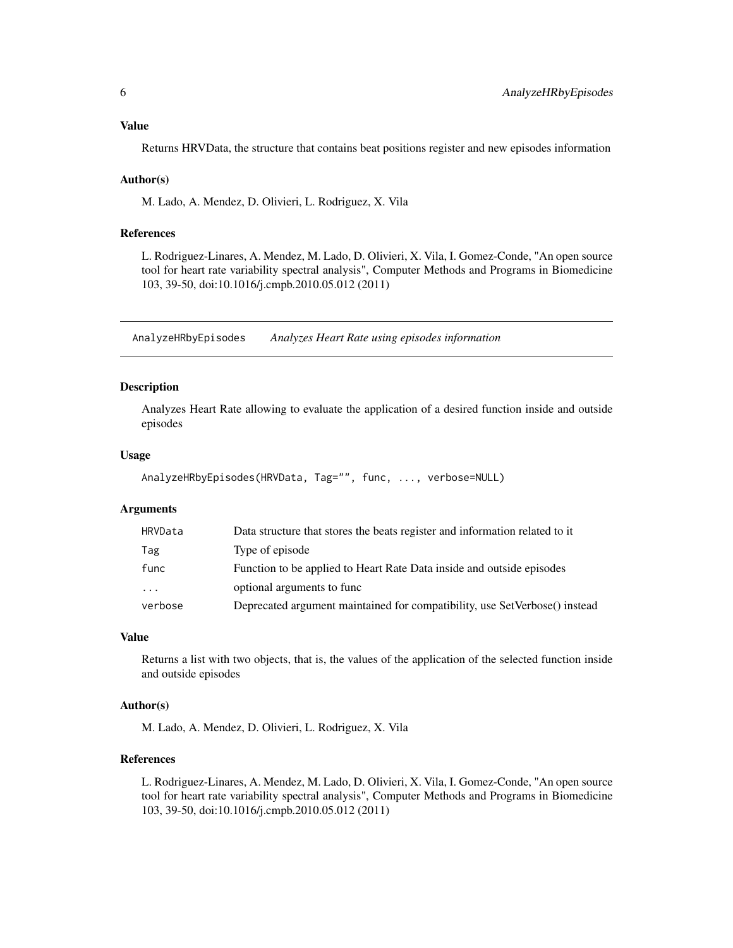# <span id="page-5-0"></span>Value

Returns HRVData, the structure that contains beat positions register and new episodes information

#### Author(s)

M. Lado, A. Mendez, D. Olivieri, L. Rodriguez, X. Vila

# References

L. Rodriguez-Linares, A. Mendez, M. Lado, D. Olivieri, X. Vila, I. Gomez-Conde, "An open source tool for heart rate variability spectral analysis", Computer Methods and Programs in Biomedicine 103, 39-50, doi:10.1016/j.cmpb.2010.05.012 (2011)

AnalyzeHRbyEpisodes *Analyzes Heart Rate using episodes information*

# Description

Analyzes Heart Rate allowing to evaluate the application of a desired function inside and outside episodes

# Usage

```
AnalyzeHRbyEpisodes(HRVData, Tag="", func, ..., verbose=NULL)
```
#### Arguments

| HRVData                 | Data structure that stores the beats register and information related to it |
|-------------------------|-----------------------------------------------------------------------------|
| Tag                     | Type of episode                                                             |
| func                    | Function to be applied to Heart Rate Data inside and outside episodes       |
| $\cdot$ $\cdot$ $\cdot$ | optional arguments to func                                                  |
| verbose                 | Deprecated argument maintained for compatibility, use SetVerbose() instead  |

#### Value

Returns a list with two objects, that is, the values of the application of the selected function inside and outside episodes

#### Author(s)

M. Lado, A. Mendez, D. Olivieri, L. Rodriguez, X. Vila

# References

L. Rodriguez-Linares, A. Mendez, M. Lado, D. Olivieri, X. Vila, I. Gomez-Conde, "An open source tool for heart rate variability spectral analysis", Computer Methods and Programs in Biomedicine 103, 39-50, doi:10.1016/j.cmpb.2010.05.012 (2011)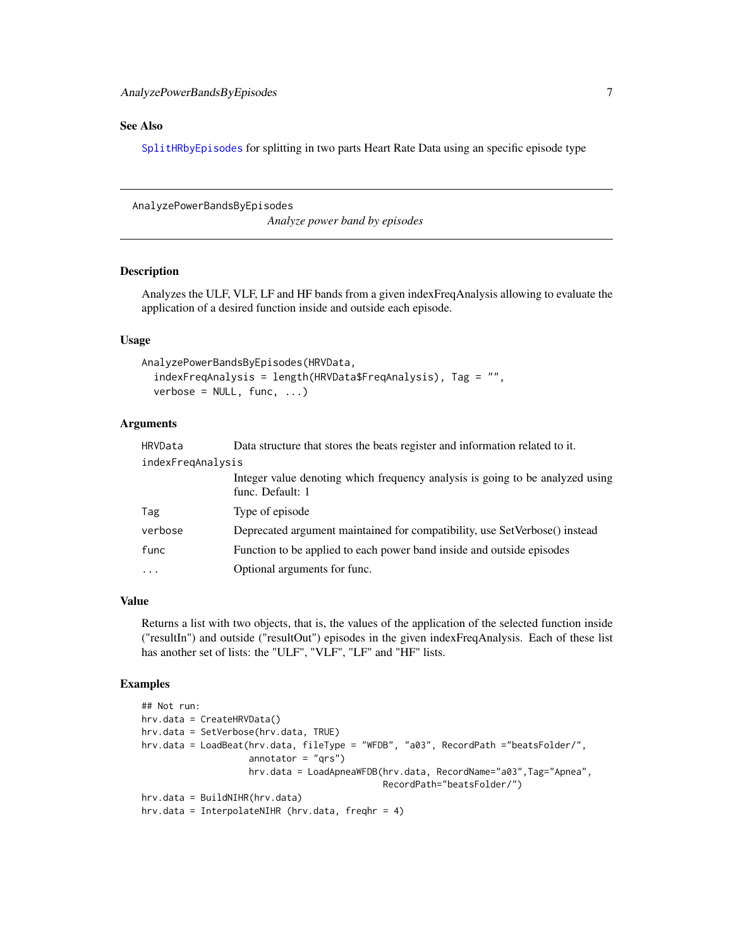# <span id="page-6-0"></span>See Also

[SplitHRbyEpisodes](#page-79-1) for splitting in two parts Heart Rate Data using an specific episode type

AnalyzePowerBandsByEpisodes

*Analyze power band by episodes*

# Description

Analyzes the ULF, VLF, LF and HF bands from a given indexFreqAnalysis allowing to evaluate the application of a desired function inside and outside each episode.

# Usage

```
AnalyzePowerBandsByEpisodes(HRVData,
  indexFreqAnalysis = length(HRVData$FreqAnalysis), Tag = "",
  verbose = NULL, func, ...)
```
# Arguments

| HRVData           | Data structure that stores the beats register and information related to it.                      |  |
|-------------------|---------------------------------------------------------------------------------------------------|--|
| indexFregAnalysis |                                                                                                   |  |
|                   | Integer value denoting which frequency analysis is going to be analyzed using<br>func. Default: 1 |  |
| Tag               | Type of episode                                                                                   |  |
| verbose           | Deprecated argument maintained for compatibility, use SetVerbose() instead                        |  |
| func              | Function to be applied to each power band inside and outside episodes                             |  |
| $\ddotsc$         | Optional arguments for func.                                                                      |  |

# Value

Returns a list with two objects, that is, the values of the application of the selected function inside ("resultIn") and outside ("resultOut") episodes in the given indexFreqAnalysis. Each of these list has another set of lists: the "ULF", "VLF", "LF" and "HF" lists.

# Examples

```
## Not run:
hrv.data = CreateHRVData()
hrv.data = SetVerbose(hrv.data, TRUE)
hrv.data = LoadBeat(hrv.data, fileType = "WFDB", "a03", RecordPath ="beatsFolder/",
                    annotator = "qrs")hrv.data = LoadApneaWFDB(hrv.data, RecordName="a03",Tag="Apnea",
                                             RecordPath="beatsFolder/")
hrv.data = BuildNIHR(hrv.data)
hrv.data = InterpolateNIHR (hrv.data, freqhr = 4)
```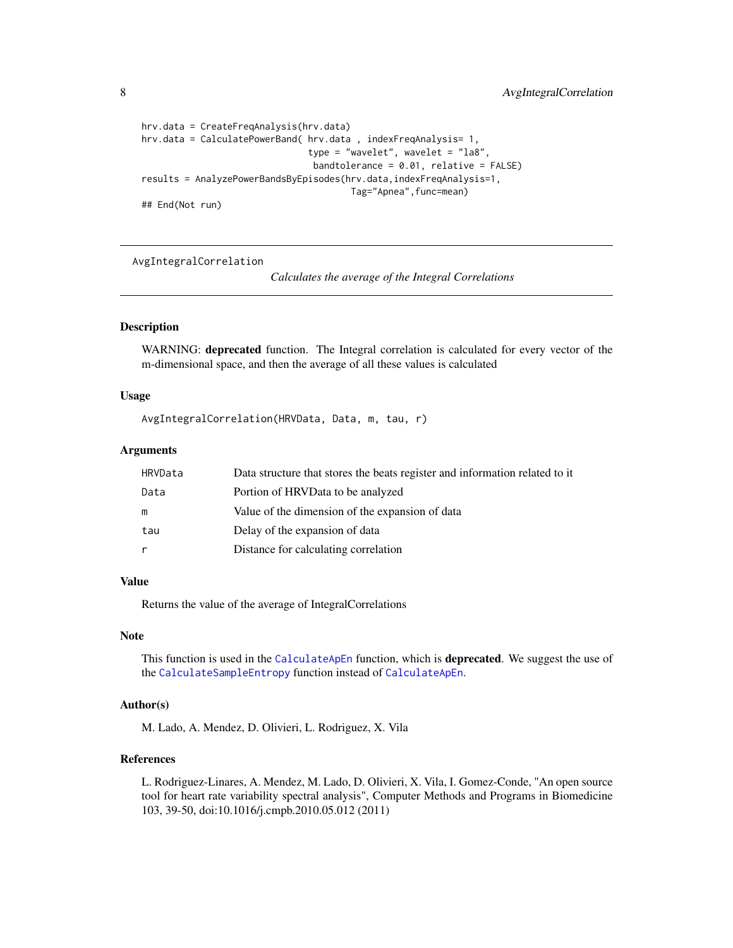```
hrv.data = CreateFreqAnalysis(hrv.data)
hrv.data = CalculatePowerBand( hrv.data , indexFreqAnalysis= 1,
                               type = "wavelet", wavelet = "la8",
                                bandtolerance = 0.01, relative = FALSE)results = AnalyzePowerBandsByEpisodes(hrv.data,indexFreqAnalysis=1,
                                       Tag="Apnea",func=mean)
## End(Not run)
```
<span id="page-7-1"></span>AvgIntegralCorrelation

*Calculates the average of the Integral Correlations*

# Description

WARNING: deprecated function. The Integral correlation is calculated for every vector of the m-dimensional space, and then the average of all these values is calculated

#### Usage

```
AvgIntegralCorrelation(HRVData, Data, m, tau, r)
```
#### Arguments

| Portion of HRVData to be analyzed<br>Data<br>Value of the dimension of the expansion of data<br>m<br>Delay of the expansion of data<br>tau<br>Distance for calculating correlation<br>r | HRVData | Data structure that stores the beats register and information related to it |
|-----------------------------------------------------------------------------------------------------------------------------------------------------------------------------------------|---------|-----------------------------------------------------------------------------|
|                                                                                                                                                                                         |         |                                                                             |
|                                                                                                                                                                                         |         |                                                                             |
|                                                                                                                                                                                         |         |                                                                             |
|                                                                                                                                                                                         |         |                                                                             |

#### Value

Returns the value of the average of IntegralCorrelations

#### Note

This function is used in the [CalculateApEn](#page-11-1) function, which is **deprecated**. We suggest the use of the [CalculateSampleEntropy](#page-30-1) function instead of [CalculateApEn](#page-11-1).

# Author(s)

M. Lado, A. Mendez, D. Olivieri, L. Rodriguez, X. Vila

# References

L. Rodriguez-Linares, A. Mendez, M. Lado, D. Olivieri, X. Vila, I. Gomez-Conde, "An open source tool for heart rate variability spectral analysis", Computer Methods and Programs in Biomedicine 103, 39-50, doi:10.1016/j.cmpb.2010.05.012 (2011)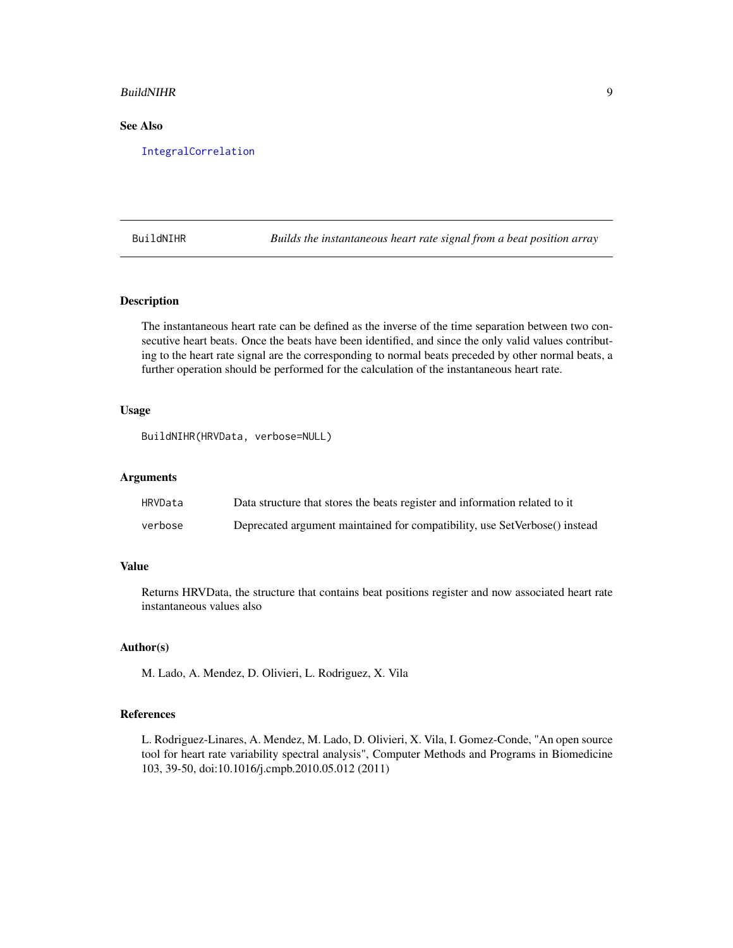#### <span id="page-8-0"></span>BuildNIHR 9

# See Also

[IntegralCorrelation](#page-46-1)

BuildNIHR *Builds the instantaneous heart rate signal from a beat position array*

# Description

The instantaneous heart rate can be defined as the inverse of the time separation between two consecutive heart beats. Once the beats have been identified, and since the only valid values contributing to the heart rate signal are the corresponding to normal beats preceded by other normal beats, a further operation should be performed for the calculation of the instantaneous heart rate.

#### Usage

```
BuildNIHR(HRVData, verbose=NULL)
```
#### Arguments

| HRVData | Data structure that stores the beats register and information related to it |
|---------|-----------------------------------------------------------------------------|
| verbose | Deprecated argument maintained for compatibility, use SetVerbose() instead  |

# Value

Returns HRVData, the structure that contains beat positions register and now associated heart rate instantaneous values also

#### Author(s)

M. Lado, A. Mendez, D. Olivieri, L. Rodriguez, X. Vila

#### References

L. Rodriguez-Linares, A. Mendez, M. Lado, D. Olivieri, X. Vila, I. Gomez-Conde, "An open source tool for heart rate variability spectral analysis", Computer Methods and Programs in Biomedicine 103, 39-50, doi:10.1016/j.cmpb.2010.05.012 (2011)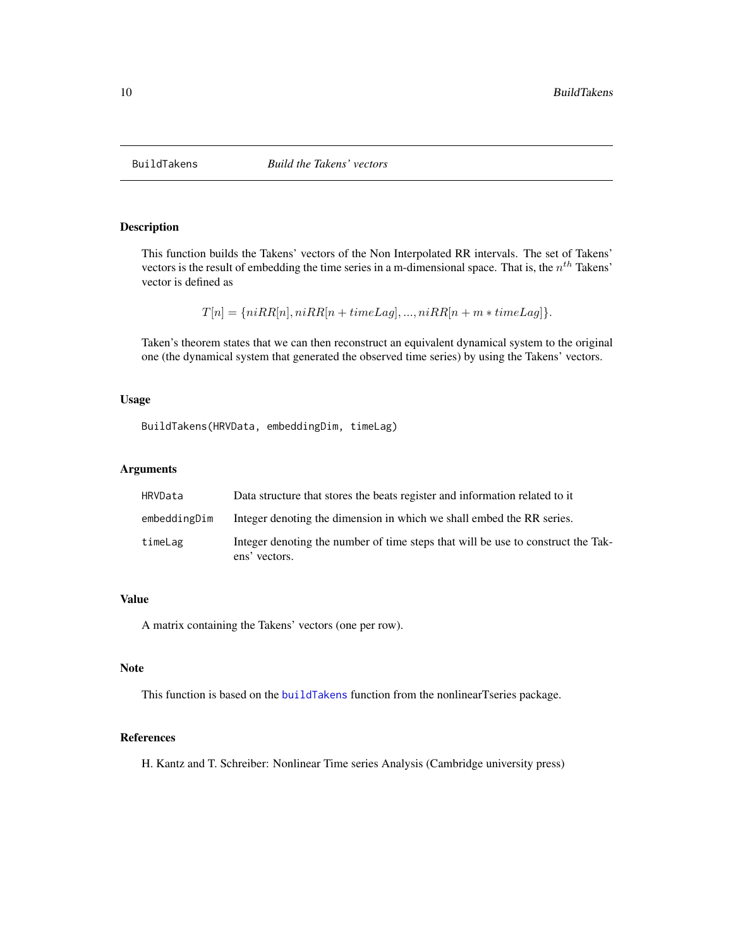<span id="page-9-1"></span><span id="page-9-0"></span>

This function builds the Takens' vectors of the Non Interpolated RR intervals. The set of Takens' vectors is the result of embedding the time series in a m-dimensional space. That is, the  $n^{th}$  Takens' vector is defined as

 $T[n] = \{niRR[n], niRR[n+timeLag], ..., niRR[n+m*timeLag]\}.$ 

Taken's theorem states that we can then reconstruct an equivalent dynamical system to the original one (the dynamical system that generated the observed time series) by using the Takens' vectors.

# Usage

BuildTakens(HRVData, embeddingDim, timeLag)

# Arguments

| HRVData      | Data structure that stores the beats register and information related to it                       |
|--------------|---------------------------------------------------------------------------------------------------|
| embeddingDim | Integer denoting the dimension in which we shall embed the RR series.                             |
| timeLag      | Integer denoting the number of time steps that will be use to construct the Tak-<br>ens' vectors. |

# Value

A matrix containing the Takens' vectors (one per row).

# Note

This function is based on the [buildTakens](#page-0-0) function from the nonlinearTseries package.

# References

H. Kantz and T. Schreiber: Nonlinear Time series Analysis (Cambridge university press)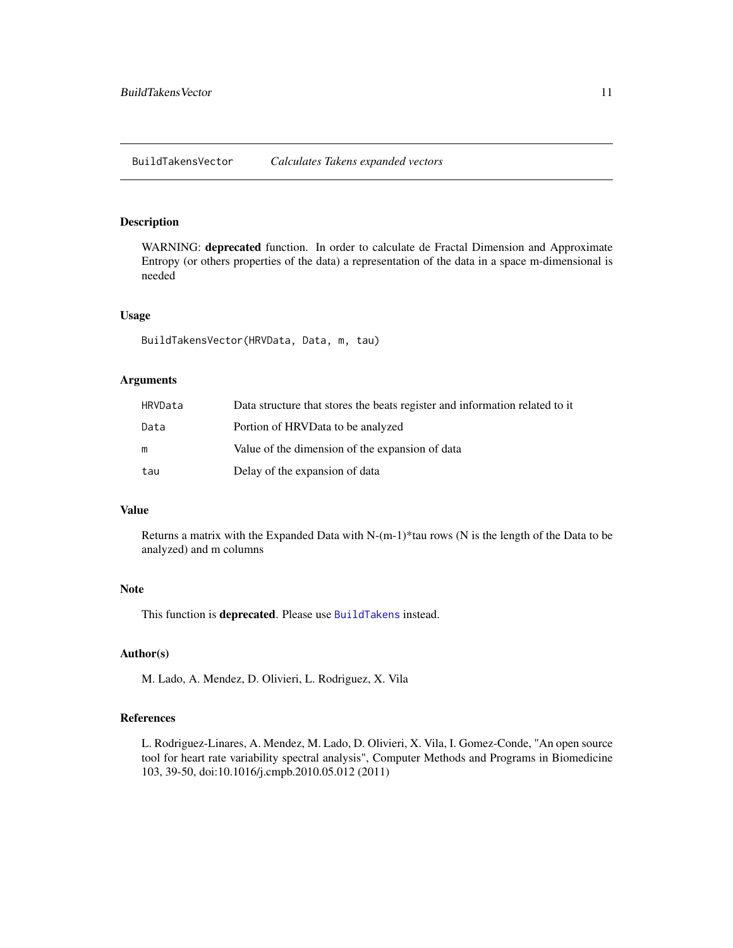<span id="page-10-1"></span><span id="page-10-0"></span>WARNING: deprecated function. In order to calculate de Fractal Dimension and Approximate Entropy (or others properties of the data) a representation of the data in a space m-dimensional is needed

# Usage

BuildTakensVector(HRVData, Data, m, tau)

#### Arguments

| HRVData | Data structure that stores the beats register and information related to it |
|---------|-----------------------------------------------------------------------------|
| Data    | Portion of HRVData to be analyzed                                           |
| m       | Value of the dimension of the expansion of data                             |
| tau     | Delay of the expansion of data                                              |

# Value

Returns a matrix with the Expanded Data with N-(m-1)\*tau rows (N is the length of the Data to be analyzed) and m columns

# Note

This function is deprecated. Please use [BuildTakens](#page-9-1) instead.

#### Author(s)

M. Lado, A. Mendez, D. Olivieri, L. Rodriguez, X. Vila

# References

L. Rodriguez-Linares, A. Mendez, M. Lado, D. Olivieri, X. Vila, I. Gomez-Conde, "An open source tool for heart rate variability spectral analysis", Computer Methods and Programs in Biomedicine 103, 39-50, doi:10.1016/j.cmpb.2010.05.012 (2011)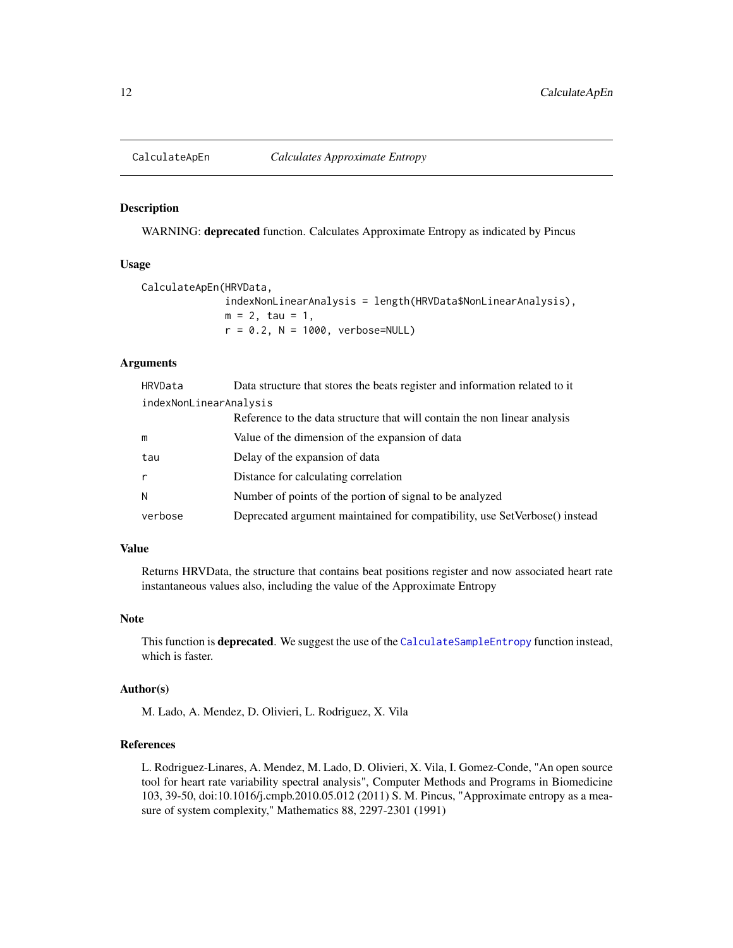<span id="page-11-1"></span><span id="page-11-0"></span>

WARNING: deprecated function. Calculates Approximate Entropy as indicated by Pincus

#### Usage

CalculateApEn(HRVData, indexNonLinearAnalysis = length(HRVData\$NonLinearAnalysis),  $m = 2$ , tau = 1,  $r = 0.2$ , N = 1000, verbose=NULL)

# Arguments

| HRVData                | Data structure that stores the beats register and information related to it |
|------------------------|-----------------------------------------------------------------------------|
| indexNonLinearAnalysis |                                                                             |
|                        | Reference to the data structure that will contain the non linear analysis   |
| m                      | Value of the dimension of the expansion of data                             |
| tau                    | Delay of the expansion of data                                              |
| $\mathsf{r}$           | Distance for calculating correlation                                        |
| N                      | Number of points of the portion of signal to be analyzed                    |
| verbose                | Deprecated argument maintained for compatibility, use SetVerbose() instead  |

#### Value

Returns HRVData, the structure that contains beat positions register and now associated heart rate instantaneous values also, including the value of the Approximate Entropy

# Note

This function is **deprecated**. We suggest the use of the [CalculateSampleEntropy](#page-30-1) function instead, which is faster.

# Author(s)

M. Lado, A. Mendez, D. Olivieri, L. Rodriguez, X. Vila

#### References

L. Rodriguez-Linares, A. Mendez, M. Lado, D. Olivieri, X. Vila, I. Gomez-Conde, "An open source tool for heart rate variability spectral analysis", Computer Methods and Programs in Biomedicine 103, 39-50, doi:10.1016/j.cmpb.2010.05.012 (2011) S. M. Pincus, "Approximate entropy as a measure of system complexity," Mathematics 88, 2297-2301 (1991)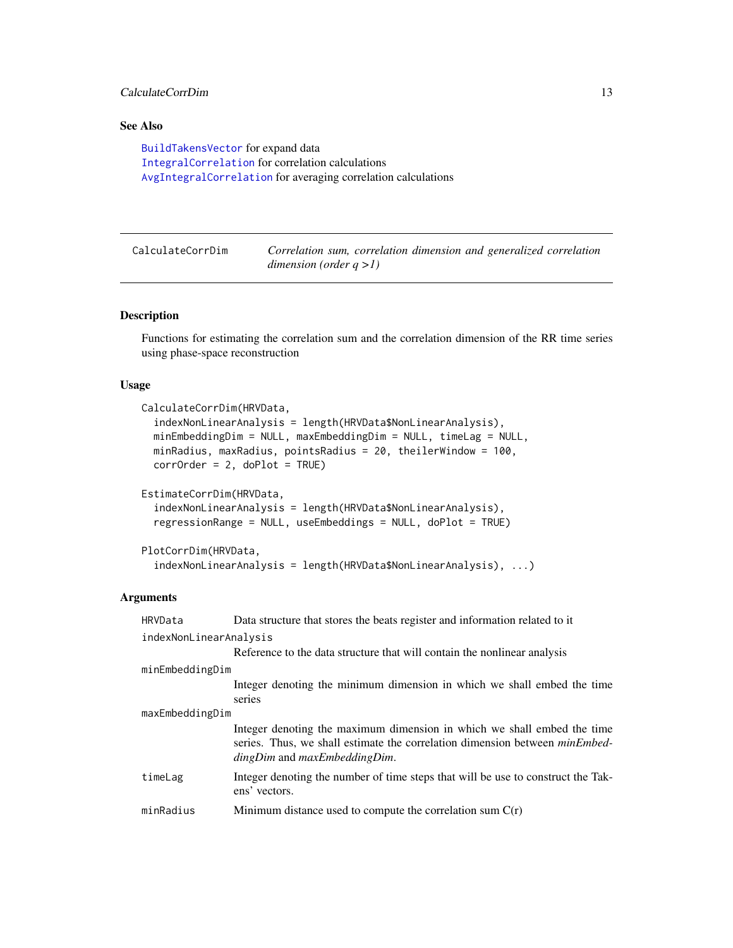# <span id="page-12-0"></span>CalculateCorrDim 13

# See Also

```
BuildTakensVector for expand data
IntegralCorrelation for correlation calculations
AvgIntegralCorrelation for averaging correlation calculations
```
<span id="page-12-1"></span>

| CalculateCorrDim | Correlation sum, correlation dimension and generalized correlation |
|------------------|--------------------------------------------------------------------|
|                  | dimension (order $q > 1$ )                                         |

# Description

Functions for estimating the correlation sum and the correlation dimension of the RR time series using phase-space reconstruction

#### Usage

```
CalculateCorrDim(HRVData,
  indexNonLinearAnalysis = length(HRVData$NonLinearAnalysis),
  minEmbeddingDim = NULL, maxEmbeddingDim = NULL, timeLag = NULL,
 minRadius, maxRadius, pointsRadius = 20, theilerWindow = 100,
  corrOrder = 2, doPlot = TRUE)
EstimateCorrDim(HRVData,
  indexNonLinearAnalysis = length(HRVData$NonLinearAnalysis),
  regressionRange = NULL, useEmbeddings = NULL, doPlot = TRUE)
```

```
PlotCorrDim(HRVData,
  indexNonLinearAnalysis = length(HRVData$NonLinearAnalysis), ...)
```
# Arguments

| HRVData                | Data structure that stores the beats register and information related to it                                                                                                                       |  |
|------------------------|---------------------------------------------------------------------------------------------------------------------------------------------------------------------------------------------------|--|
| indexNonLinearAnalysis |                                                                                                                                                                                                   |  |
|                        | Reference to the data structure that will contain the nonlinear analysis                                                                                                                          |  |
| minEmbeddingDim        |                                                                                                                                                                                                   |  |
|                        | Integer denoting the minimum dimension in which we shall embed the time<br>series                                                                                                                 |  |
| maxEmbeddingDim        |                                                                                                                                                                                                   |  |
|                        | Integer denoting the maximum dimension in which we shall embed the time<br>series. Thus, we shall estimate the correlation dimension between <i>minEmbed</i><br>$dingDim$ and $maxEmbeddingDim$ . |  |
| timeLag                | Integer denoting the number of time steps that will be use to construct the Tak-<br>ens' vectors.                                                                                                 |  |
| minRadius              | Minimum distance used to compute the correlation sum $C(r)$                                                                                                                                       |  |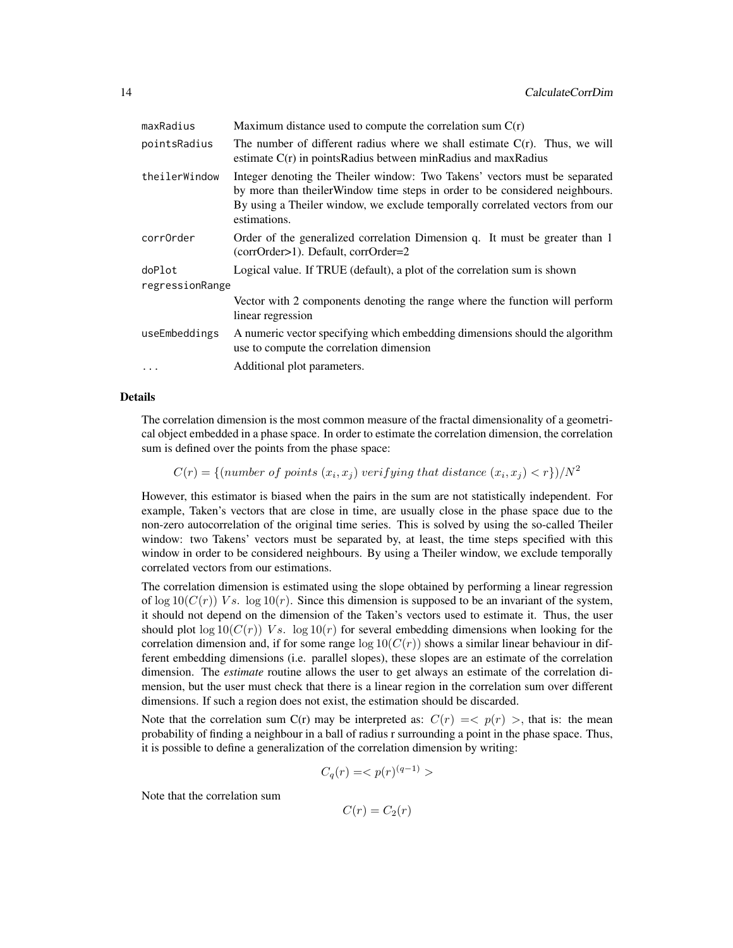| maxRadius       | Maximum distance used to compute the correlation sum $C(r)$                                                                                                                                                                                                |  |
|-----------------|------------------------------------------------------------------------------------------------------------------------------------------------------------------------------------------------------------------------------------------------------------|--|
| pointsRadius    | The number of different radius where we shall estimate $C(r)$ . Thus, we will<br>estimate $C(r)$ in points Radius between min Radius and max Radius                                                                                                        |  |
| theilerWindow   | Integer denoting the Theiler window: Two Takens' vectors must be separated<br>by more than the ilerWindow time steps in order to be considered neighbours.<br>By using a Theiler window, we exclude temporally correlated vectors from our<br>estimations. |  |
| corr0rder       | Order of the generalized correlation Dimension q. It must be greater than 1<br>(corrOrder>1). Default, corrOrder=2                                                                                                                                         |  |
| doPlot          | Logical value. If TRUE (default), a plot of the correlation sum is shown                                                                                                                                                                                   |  |
| regressionRange |                                                                                                                                                                                                                                                            |  |
|                 | Vector with 2 components denoting the range where the function will perform<br>linear regression                                                                                                                                                           |  |
| useEmbeddings   | A numeric vector specifying which embedding dimensions should the algorithm<br>use to compute the correlation dimension                                                                                                                                    |  |
| $\cdots$        | Additional plot parameters.                                                                                                                                                                                                                                |  |

### Details

The correlation dimension is the most common measure of the fractal dimensionality of a geometrical object embedded in a phase space. In order to estimate the correlation dimension, the correlation sum is defined over the points from the phase space:

 $C(r) = \{(number\ of\ points\ (x_i, x_j) \ verifying\ that\ distance\ (x_i, x_j) \lt r\})/N^2$ 

However, this estimator is biased when the pairs in the sum are not statistically independent. For example, Taken's vectors that are close in time, are usually close in the phase space due to the non-zero autocorrelation of the original time series. This is solved by using the so-called Theiler window: two Takens' vectors must be separated by, at least, the time steps specified with this window in order to be considered neighbours. By using a Theiler window, we exclude temporally correlated vectors from our estimations.

The correlation dimension is estimated using the slope obtained by performing a linear regression of  $\log 10(C(r))$  Vs.  $\log 10(r)$ . Since this dimension is supposed to be an invariant of the system, it should not depend on the dimension of the Taken's vectors used to estimate it. Thus, the user should plot  $\log 10(C(r))$  Vs.  $\log 10(r)$  for several embedding dimensions when looking for the correlation dimension and, if for some range  $log 10(C(r))$  shows a similar linear behaviour in different embedding dimensions (i.e. parallel slopes), these slopes are an estimate of the correlation dimension. The *estimate* routine allows the user to get always an estimate of the correlation dimension, but the user must check that there is a linear region in the correlation sum over different dimensions. If such a region does not exist, the estimation should be discarded.

Note that the correlation sum C(r) may be interpreted as:  $C(r) = \langle p(r) \rangle$ , that is: the mean probability of finding a neighbour in a ball of radius r surrounding a point in the phase space. Thus, it is possible to define a generalization of the correlation dimension by writing:

$$
C_q(r) = \langle p(r)^{(q-1)} \rangle
$$

Note that the correlation sum

$$
C(r) = C_2(r)
$$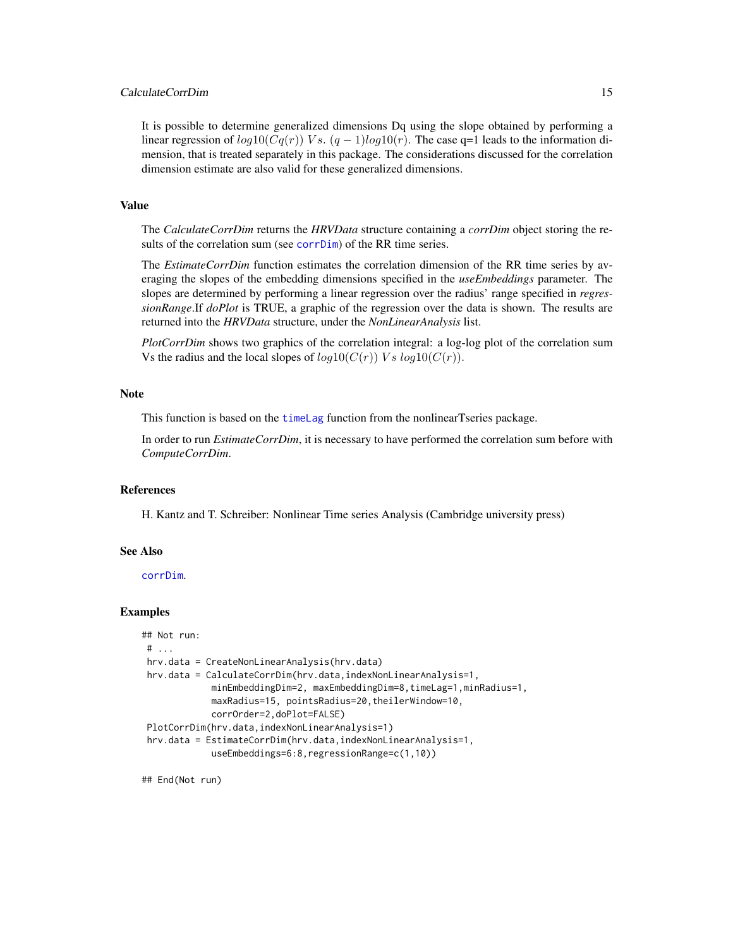# CalculateCorrDim 15

It is possible to determine generalized dimensions Dq using the slope obtained by performing a linear regression of  $log10(Cq(r))$  Vs.  $(q-1)log10(r)$ . The case q=1 leads to the information dimension, that is treated separately in this package. The considerations discussed for the correlation dimension estimate are also valid for these generalized dimensions.

#### Value

The *CalculateCorrDim* returns the *HRVData* structure containing a *corrDim* object storing the results of the correlation sum (see [corrDim](#page-0-0)) of the RR time series.

The *EstimateCorrDim* function estimates the correlation dimension of the RR time series by averaging the slopes of the embedding dimensions specified in the *useEmbeddings* parameter. The slopes are determined by performing a linear regression over the radius' range specified in *regressionRange*.If *doPlot* is TRUE, a graphic of the regression over the data is shown. The results are returned into the *HRVData* structure, under the *NonLinearAnalysis* list.

*PlotCorrDim* shows two graphics of the correlation integral: a log-log plot of the correlation sum Vs the radius and the local slopes of  $log 10(C(r))$  Vs  $log 10(C(r))$ .

#### **Note**

This function is based on the [timeLag](#page-0-0) function from the nonlinearTseries package.

In order to run *EstimateCorrDim*, it is necessary to have performed the correlation sum before with *ComputeCorrDim*.

#### References

H. Kantz and T. Schreiber: Nonlinear Time series Analysis (Cambridge university press)

#### See Also

[corrDim](#page-0-0).

# Examples

```
## Not run:
# ...
hrv.data = CreateNonLinearAnalysis(hrv.data)
hrv.data = CalculateCorrDim(hrv.data,indexNonLinearAnalysis=1,
            minEmbeddingDim=2, maxEmbeddingDim=8,timeLag=1,minRadius=1,
            maxRadius=15, pointsRadius=20,theilerWindow=10,
            corrOrder=2,doPlot=FALSE)
PlotCorrDim(hrv.data,indexNonLinearAnalysis=1)
hrv.data = EstimateCorrDim(hrv.data,indexNonLinearAnalysis=1,
            useEmbeddings=6:8,regressionRange=c(1,10))
```
## End(Not run)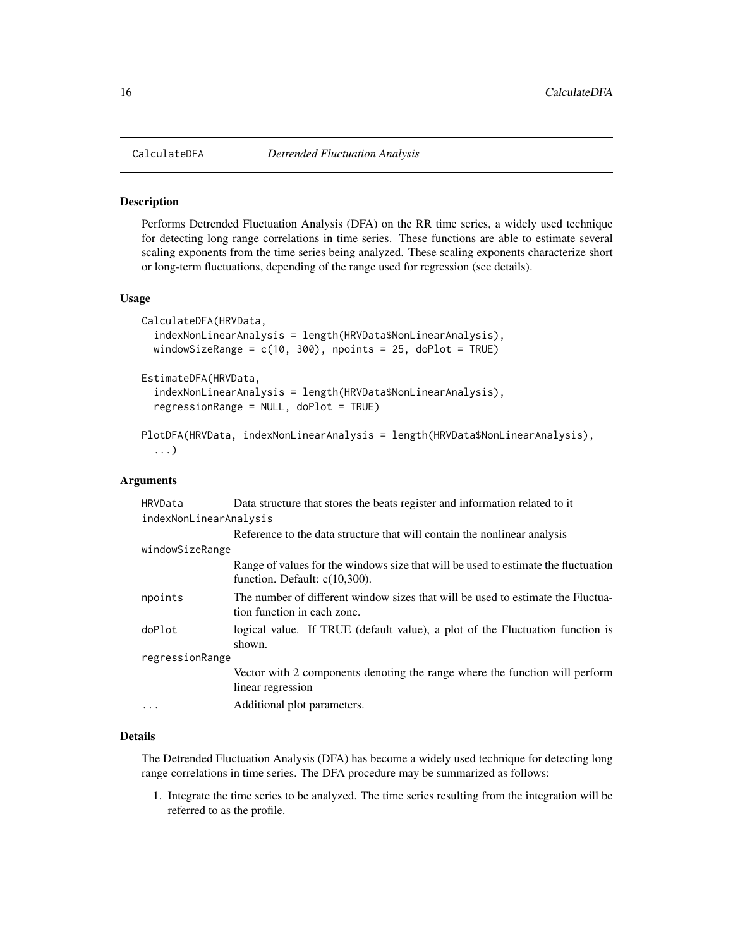<span id="page-15-0"></span>

Performs Detrended Fluctuation Analysis (DFA) on the RR time series, a widely used technique for detecting long range correlations in time series. These functions are able to estimate several scaling exponents from the time series being analyzed. These scaling exponents characterize short or long-term fluctuations, depending of the range used for regression (see details).

#### Usage

```
CalculateDFA(HRVData,
  indexNonLinearAnalysis = length(HRVData$NonLinearAnalysis),
 windowSizeRange = c(10, 300), npoints = 25, doPlot = TRUE)
EstimateDFA(HRVData,
  indexNonLinearAnalysis = length(HRVData$NonLinearAnalysis),
  regressionRange = NULL, doPlot = TRUE)
PlotDFA(HRVData, indexNonLinearAnalysis = length(HRVData$NonLinearAnalysis),
```

```
...)
```
# Arguments

| HRVData                | Data structure that stores the beats register and information related to it                                            |  |
|------------------------|------------------------------------------------------------------------------------------------------------------------|--|
| indexNonLinearAnalysis |                                                                                                                        |  |
|                        | Reference to the data structure that will contain the nonlinear analysis                                               |  |
| windowSizeRange        |                                                                                                                        |  |
|                        | Range of values for the windows size that will be used to estimate the fluctuation<br>function. Default: $c(10,300)$ . |  |
| npoints                | The number of different window sizes that will be used to estimate the Fluctua-<br>tion function in each zone.         |  |
| doPlot                 | logical value. If TRUE (default value), a plot of the Fluctuation function is<br>shown.                                |  |
| regressionRange        |                                                                                                                        |  |
|                        | Vector with 2 components denoting the range where the function will perform<br>linear regression                       |  |
| .                      | Additional plot parameters.                                                                                            |  |

# Details

The Detrended Fluctuation Analysis (DFA) has become a widely used technique for detecting long range correlations in time series. The DFA procedure may be summarized as follows:

1. Integrate the time series to be analyzed. The time series resulting from the integration will be referred to as the profile.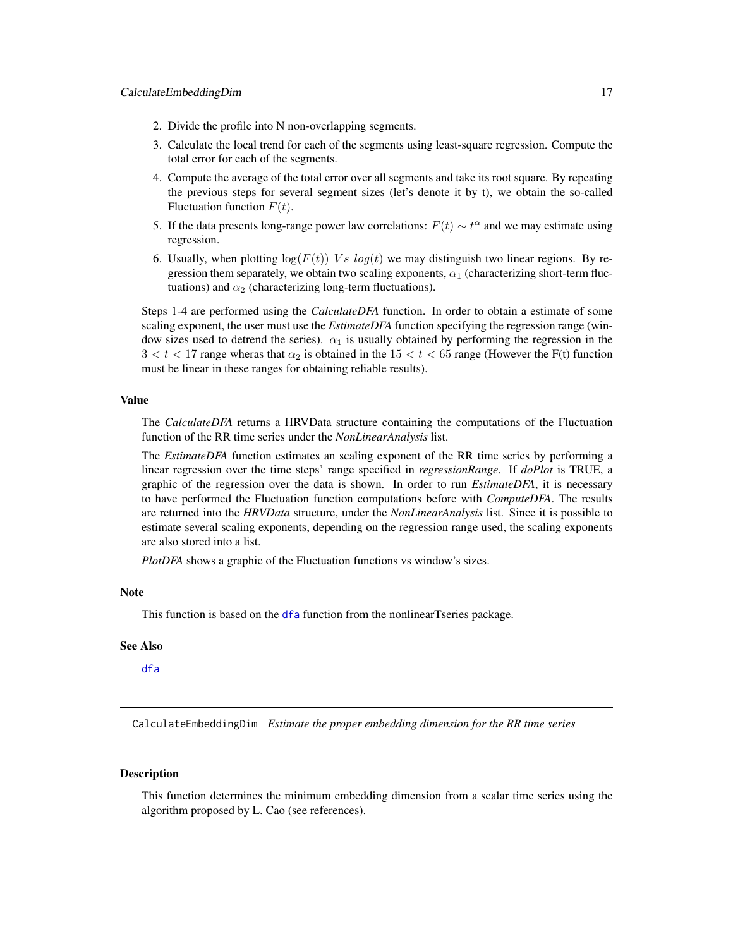- <span id="page-16-0"></span>2. Divide the profile into N non-overlapping segments.
- 3. Calculate the local trend for each of the segments using least-square regression. Compute the total error for each of the segments.
- 4. Compute the average of the total error over all segments and take its root square. By repeating the previous steps for several segment sizes (let's denote it by t), we obtain the so-called Fluctuation function  $F(t)$ .
- 5. If the data presents long-range power law correlations:  $F(t) \sim t^{\alpha}$  and we may estimate using regression.
- 6. Usually, when plotting  $log(F(t))$  Vs  $log(t)$  we may distinguish two linear regions. By regression them separately, we obtain two scaling exponents,  $\alpha_1$  (characterizing short-term fluctuations) and  $\alpha_2$  (characterizing long-term fluctuations).

Steps 1-4 are performed using the *CalculateDFA* function. In order to obtain a estimate of some scaling exponent, the user must use the *EstimateDFA* function specifying the regression range (window sizes used to detrend the series).  $\alpha_1$  is usually obtained by performing the regression in the  $3 < t < 17$  range wheras that  $\alpha_2$  is obtained in the  $15 < t < 65$  range (However the F(t) function must be linear in these ranges for obtaining reliable results).

# Value

The *CalculateDFA* returns a HRVData structure containing the computations of the Fluctuation function of the RR time series under the *NonLinearAnalysis* list.

The *EstimateDFA* function estimates an scaling exponent of the RR time series by performing a linear regression over the time steps' range specified in *regressionRange*. If *doPlot* is TRUE, a graphic of the regression over the data is shown. In order to run *EstimateDFA*, it is necessary to have performed the Fluctuation function computations before with *ComputeDFA*. The results are returned into the *HRVData* structure, under the *NonLinearAnalysis* list. Since it is possible to estimate several scaling exponents, depending on the regression range used, the scaling exponents are also stored into a list.

*PlotDFA* shows a graphic of the Fluctuation functions vs window's sizes.

# Note

This function is based on the [dfa](#page-0-0) function from the nonlinearTseries package.

# See Also

[dfa](#page-0-0)

CalculateEmbeddingDim *Estimate the proper embedding dimension for the RR time series*

#### **Description**

This function determines the minimum embedding dimension from a scalar time series using the algorithm proposed by L. Cao (see references).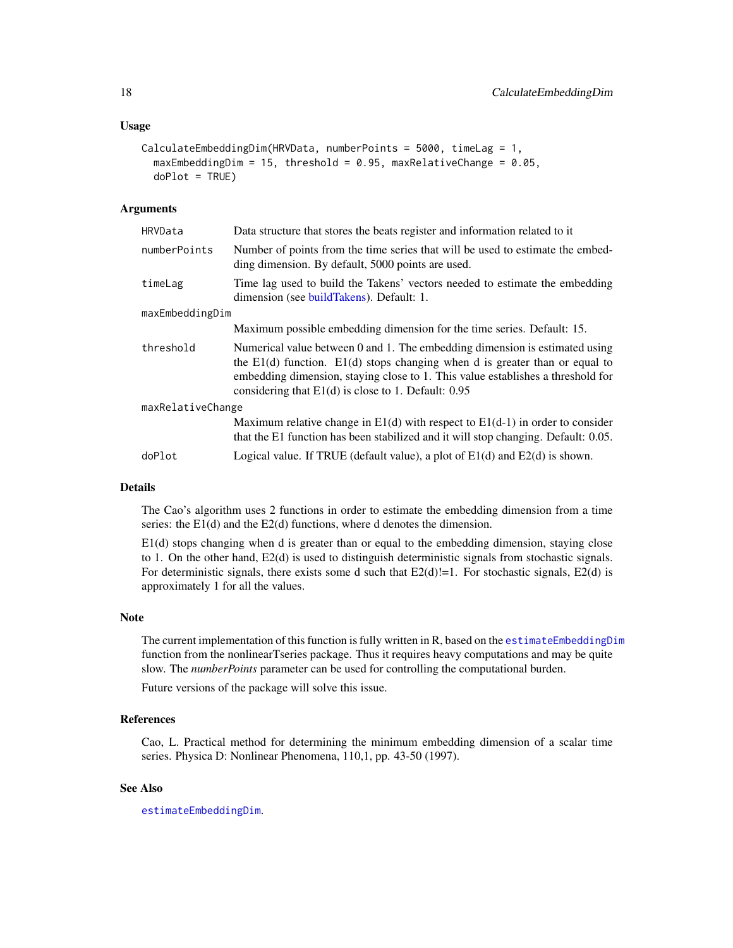#### Usage

```
CalculateEmbeddingDim(HRVData, numberPoints = 5000, timeLag = 1,
  maxEmbeddingDim = 15, threshold = 0.95, maxRelativeChange = 0.05,
 doPlot = TRUE)
```
#### Arguments

| HRVData           | Data structure that stores the beats register and information related to it                                                                                                                                                                                                                                |  |
|-------------------|------------------------------------------------------------------------------------------------------------------------------------------------------------------------------------------------------------------------------------------------------------------------------------------------------------|--|
| numberPoints      | Number of points from the time series that will be used to estimate the embed-<br>ding dimension. By default, 5000 points are used.                                                                                                                                                                        |  |
| timeLag           | Time lag used to build the Takens' vectors needed to estimate the embedding<br>dimension (see buildTakens). Default: 1.                                                                                                                                                                                    |  |
| maxEmbeddingDim   |                                                                                                                                                                                                                                                                                                            |  |
|                   | Maximum possible embedding dimension for the time series. Default: 15.                                                                                                                                                                                                                                     |  |
| threshold         | Numerical value between 0 and 1. The embedding dimension is estimated using<br>the $E1(d)$ function. $E1(d)$ stops changing when d is greater than or equal to<br>embedding dimension, staying close to 1. This value establishes a threshold for<br>considering that $E1(d)$ is close to 1. Default: 0.95 |  |
| maxRelativeChange |                                                                                                                                                                                                                                                                                                            |  |
|                   | Maximum relative change in $E1(d)$ with respect to $E1(d-1)$ in order to consider<br>that the E1 function has been stabilized and it will stop changing. Default: 0.05.                                                                                                                                    |  |
| doPlot            | Logical value. If TRUE (default value), a plot of $E1(d)$ and $E2(d)$ is shown.                                                                                                                                                                                                                            |  |

# Details

The Cao's algorithm uses 2 functions in order to estimate the embedding dimension from a time series: the E1(d) and the E2(d) functions, where d denotes the dimension.

E1(d) stops changing when d is greater than or equal to the embedding dimension, staying close to 1. On the other hand, E2(d) is used to distinguish deterministic signals from stochastic signals. For deterministic signals, there exists some d such that  $E2(d)=1$ . For stochastic signals,  $E2(d)$  is approximately 1 for all the values.

# Note

The current implementation of this function is fully written in R, based on the [estimateEmbeddingDim](#page-0-0) function from the nonlinearTseries package. Thus it requires heavy computations and may be quite slow. The *numberPoints* parameter can be used for controlling the computational burden.

Future versions of the package will solve this issue.

#### References

Cao, L. Practical method for determining the minimum embedding dimension of a scalar time series. Physica D: Nonlinear Phenomena, 110,1, pp. 43-50 (1997).

# See Also

[estimateEmbeddingDim](#page-0-0).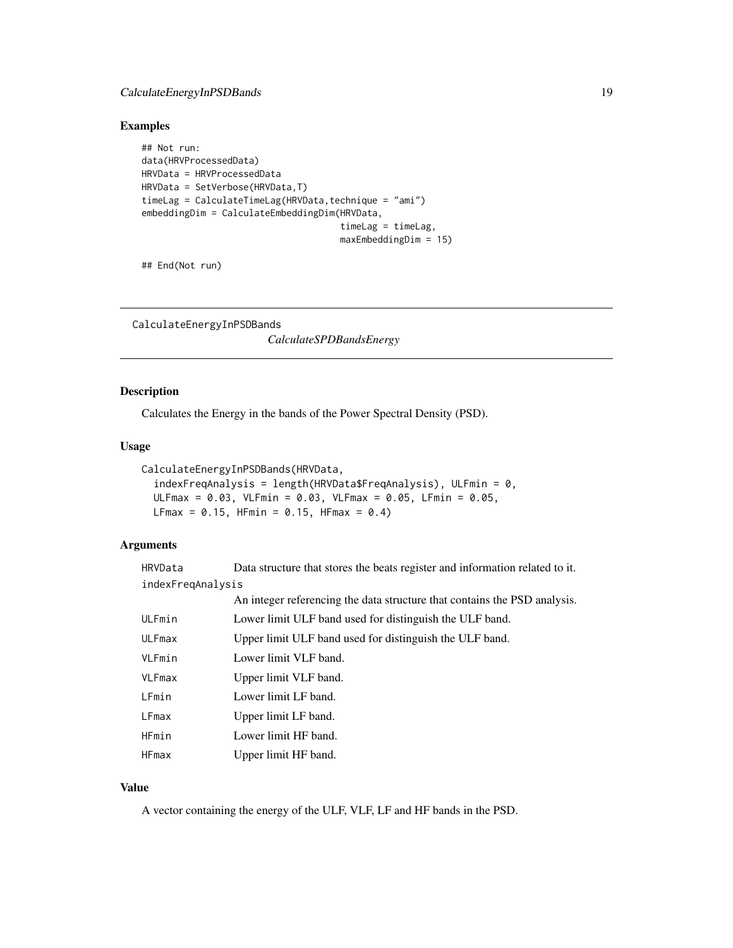# <span id="page-18-0"></span>CalculateEnergyInPSDBands 19

# Examples

```
## Not run:
data(HRVProcessedData)
HRVData = HRVProcessedData
HRVData = SetVerbose(HRVData,T)
timeLag = CalculateTimeLag(HRVData, technique = "ami")
embeddingDim = CalculateEmbeddingDim(HRVData,
                                     timeLag = timeLag,
                                     maxEmbeddingDim = 15)
```
## End(Not run)

CalculateEnergyInPSDBands

*CalculateSPDBandsEnergy*

# Description

Calculates the Energy in the bands of the Power Spectral Density (PSD).

# Usage

```
CalculateEnergyInPSDBands(HRVData,
  indexFreqAnalysis = length(HRVData$FreqAnalysis), ULFmin = 0,
 ULFmax = 0.03, VLFmin = 0.03, VLFmax = 0.05, LFmin = 0.05,
 LFmax = 0.15, HFmin = 0.15, HFmax = 0.4)
```
# Arguments

| HRVData           | Data structure that stores the beats register and information related to it. |
|-------------------|------------------------------------------------------------------------------|
| indexFregAnalysis |                                                                              |

|        | An integer referencing the data structure that contains the PSD analysis. |
|--------|---------------------------------------------------------------------------|
| ULFmin | Lower limit ULF band used for distinguish the ULF band.                   |
| ULFmax | Upper limit ULF band used for distinguish the ULF band.                   |
| VLFmin | Lower limit VLF band.                                                     |
| VLFmax | Upper limit VLF band.                                                     |
| LFmin  | Lower limit LF band.                                                      |
| LFmax  | Upper limit LF band.                                                      |
| HFmin  | Lower limit HF band.                                                      |
| HFmax  | Upper limit HF band.                                                      |

# Value

A vector containing the energy of the ULF, VLF, LF and HF bands in the PSD.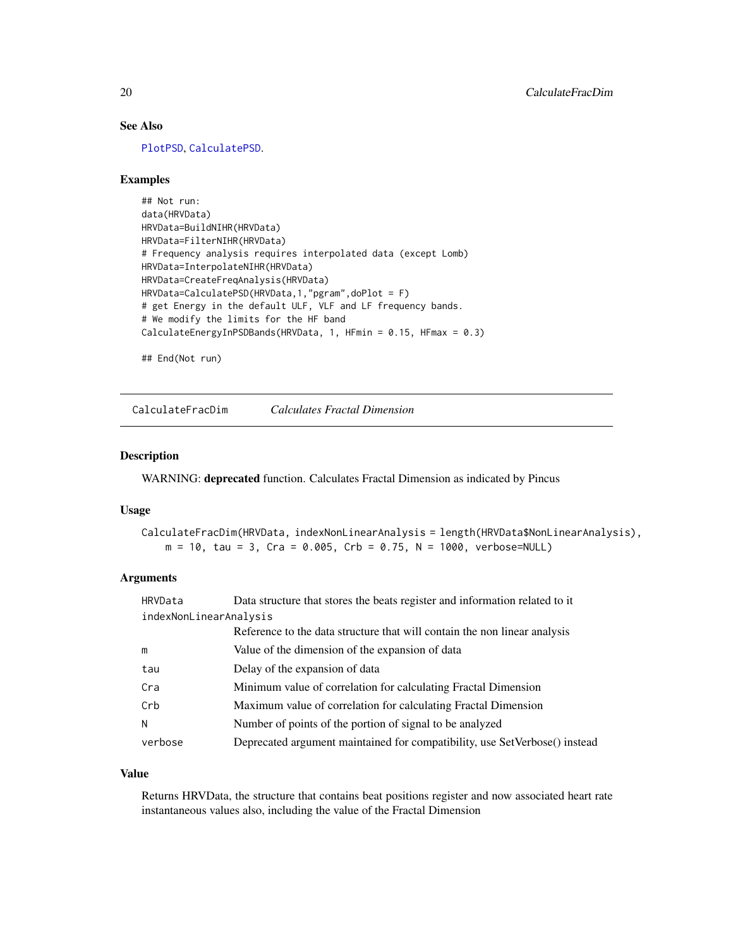# See Also

[PlotPSD](#page-67-1), [CalculatePSD](#page-27-1).

# Examples

```
## Not run:
data(HRVData)
HRVData=BuildNIHR(HRVData)
HRVData=FilterNIHR(HRVData)
# Frequency analysis requires interpolated data (except Lomb)
HRVData=InterpolateNIHR(HRVData)
HRVData=CreateFreqAnalysis(HRVData)
HRVData=CalculatePSD(HRVData,1,"pgram",doPlot = F)
# get Energy in the default ULF, VLF and LF frequency bands.
# We modify the limits for the HF band
CalculateEnergyInPSDBands(HRVData, 1, HFmin = 0.15, HFmax = 0.3)
```
## End(Not run)

<span id="page-19-1"></span>CalculateFracDim *Calculates Fractal Dimension*

# Description

WARNING: deprecated function. Calculates Fractal Dimension as indicated by Pincus

# Usage

CalculateFracDim(HRVData, indexNonLinearAnalysis = length(HRVData\$NonLinearAnalysis),  $m = 10$ , tau = 3, Cra = 0.005, Crb = 0.75, N = 1000, verbose=NULL)

# Arguments

| HRVData                | Data structure that stores the beats register and information related to it |
|------------------------|-----------------------------------------------------------------------------|
| indexNonLinearAnalysis |                                                                             |
|                        | Reference to the data structure that will contain the non linear analysis   |
| m                      | Value of the dimension of the expansion of data                             |
| tau                    | Delay of the expansion of data                                              |
| Cra                    | Minimum value of correlation for calculating Fractal Dimension              |
| Crb                    | Maximum value of correlation for calculating Fractal Dimension              |
| N                      | Number of points of the portion of signal to be analyzed                    |
| verbose                | Deprecated argument maintained for compatibility, use SetVerbose() instead  |

#### Value

Returns HRVData, the structure that contains beat positions register and now associated heart rate instantaneous values also, including the value of the Fractal Dimension

<span id="page-19-0"></span>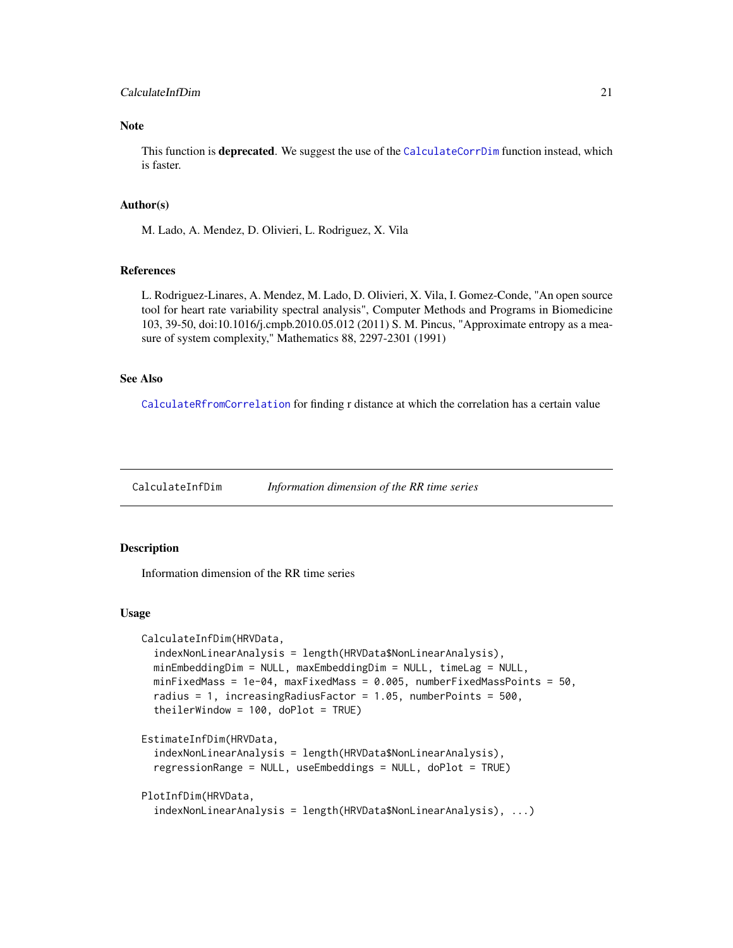# <span id="page-20-0"></span>CalculateInfDim 21

# Note

This function is **deprecated**. We suggest the use of the [CalculateCorrDim](#page-12-1) function instead, which is faster.

# Author(s)

M. Lado, A. Mendez, D. Olivieri, L. Rodriguez, X. Vila

# References

L. Rodriguez-Linares, A. Mendez, M. Lado, D. Olivieri, X. Vila, I. Gomez-Conde, "An open source tool for heart rate variability spectral analysis", Computer Methods and Programs in Biomedicine 103, 39-50, doi:10.1016/j.cmpb.2010.05.012 (2011) S. M. Pincus, "Approximate entropy as a measure of system complexity," Mathematics 88, 2297-2301 (1991)

#### See Also

[CalculateRfromCorrelation](#page-29-1) for finding r distance at which the correlation has a certain value

CalculateInfDim *Information dimension of the RR time series*

#### Description

Information dimension of the RR time series

#### Usage

```
CalculateInfDim(HRVData,
  indexNonLinearAnalysis = length(HRVData$NonLinearAnalysis),
 minEmbeddingDim = NULL, maxEmbeddingDim = NULL, timeLag = NULL,
 minFixedMass = 1e-04, maxFixedMass = 0.005, numberFixedMassPoints = 50,
  radius = 1, increasingRadiusFactor = 1.05, numberPoints = 500,
  theilerWindow = 100, doPlot = TRUE)
EstimateInfDim(HRVData,
  indexNonLinearAnalysis = length(HRVData$NonLinearAnalysis),
  regressionRange = NULL, useEmbeddings = NULL, doPlot = TRUE)
PlotInfDim(HRVData,
  indexNonLinearAnalysis = length(HRVData$NonLinearAnalysis), ...)
```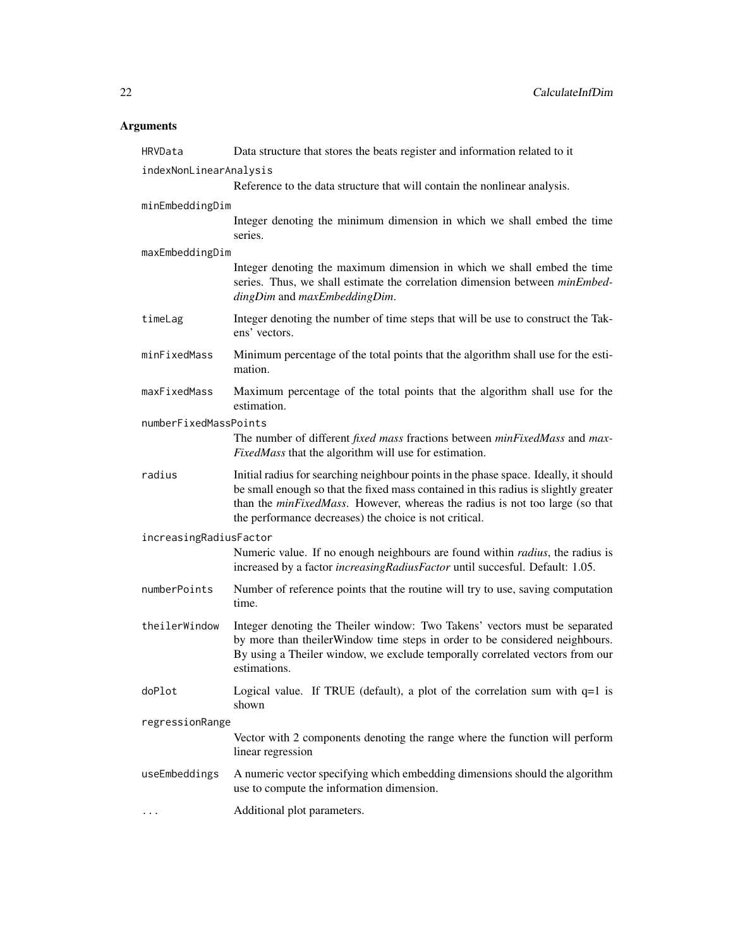# Arguments

| HRVData                | Data structure that stores the beats register and information related to it                                                                                                                                                                                                                                                   |  |
|------------------------|-------------------------------------------------------------------------------------------------------------------------------------------------------------------------------------------------------------------------------------------------------------------------------------------------------------------------------|--|
| indexNonLinearAnalysis |                                                                                                                                                                                                                                                                                                                               |  |
|                        | Reference to the data structure that will contain the nonlinear analysis.                                                                                                                                                                                                                                                     |  |
| minEmbeddingDim        |                                                                                                                                                                                                                                                                                                                               |  |
|                        | Integer denoting the minimum dimension in which we shall embed the time<br>series.                                                                                                                                                                                                                                            |  |
| maxEmbeddingDim        |                                                                                                                                                                                                                                                                                                                               |  |
|                        | Integer denoting the maximum dimension in which we shall embed the time<br>series. Thus, we shall estimate the correlation dimension between minEmbed-<br>dingDim and maxEmbeddingDim.                                                                                                                                        |  |
| timeLag                | Integer denoting the number of time steps that will be use to construct the Tak-<br>ens' vectors.                                                                                                                                                                                                                             |  |
| minFixedMass           | Minimum percentage of the total points that the algorithm shall use for the esti-<br>mation.                                                                                                                                                                                                                                  |  |
| maxFixedMass           | Maximum percentage of the total points that the algorithm shall use for the<br>estimation.                                                                                                                                                                                                                                    |  |
| numberFixedMassPoints  |                                                                                                                                                                                                                                                                                                                               |  |
|                        | The number of different fixed mass fractions between minFixedMass and max-<br>FixedMass that the algorithm will use for estimation.                                                                                                                                                                                           |  |
| radius                 | Initial radius for searching neighbour points in the phase space. Ideally, it should<br>be small enough so that the fixed mass contained in this radius is slightly greater<br>than the <i>minFixedMass</i> . However, whereas the radius is not too large (so that<br>the performance decreases) the choice is not critical. |  |
| increasingRadiusFactor |                                                                                                                                                                                                                                                                                                                               |  |
|                        | Numeric value. If no enough neighbours are found within <i>radius</i> , the radius is<br>increased by a factor <i>increasingRadiusFactor</i> until succesful. Default: 1.05.                                                                                                                                                  |  |
| numberPoints           | Number of reference points that the routine will try to use, saving computation<br>time.                                                                                                                                                                                                                                      |  |
| theilerWindow          | Integer denoting the Theiler window: Two Takens' vectors must be separated<br>by more than the ilerWindow time steps in order to be considered neighbours.<br>By using a Theiler window, we exclude temporally correlated vectors from our<br>estimations.                                                                    |  |
| doPlot                 | Logical value. If TRUE (default), a plot of the correlation sum with $q=1$ is<br>shown                                                                                                                                                                                                                                        |  |
| regressionRange        |                                                                                                                                                                                                                                                                                                                               |  |
|                        | Vector with 2 components denoting the range where the function will perform<br>linear regression                                                                                                                                                                                                                              |  |
| useEmbeddings          | A numeric vector specifying which embedding dimensions should the algorithm<br>use to compute the information dimension.                                                                                                                                                                                                      |  |
| $\cdots$               | Additional plot parameters.                                                                                                                                                                                                                                                                                                   |  |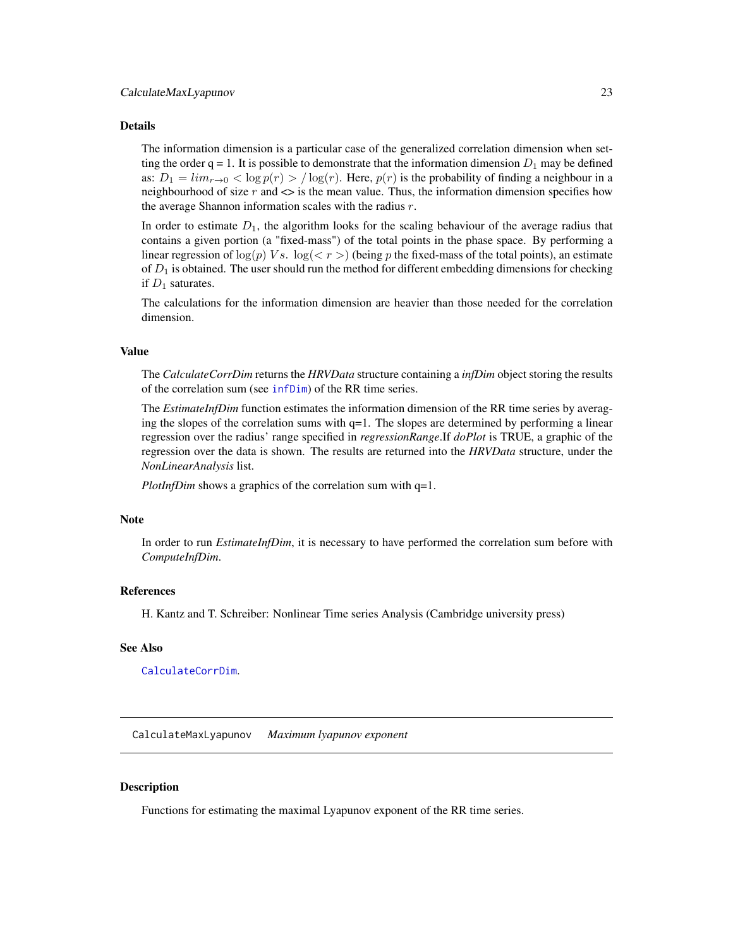#### <span id="page-22-0"></span>Details

The information dimension is a particular case of the generalized correlation dimension when setting the order  $q = 1$ . It is possible to demonstrate that the information dimension  $D_1$  may be defined as:  $D_1 = \lim_{r \to 0}$  <  $\log p(r)$  >  $/\log(r)$ . Here,  $p(r)$  is the probability of finding a neighbour in a neighbourhood of size  $r$  and  $\leq$  is the mean value. Thus, the information dimension specifies how the average Shannon information scales with the radius  $r$ .

In order to estimate  $D_1$ , the algorithm looks for the scaling behaviour of the average radius that contains a given portion (a "fixed-mass") of the total points in the phase space. By performing a linear regression of  $\log(p)$  Vs.  $\log(\langle r \rangle)$  (being p the fixed-mass of the total points), an estimate of  $D_1$  is obtained. The user should run the method for different embedding dimensions for checking if  $D_1$  saturates.

The calculations for the information dimension are heavier than those needed for the correlation dimension.

# Value

The *CalculateCorrDim* returns the *HRVData* structure containing a *infDim* object storing the results of the correlation sum (see [infDim](#page-0-0)) of the RR time series.

The *EstimateInfDim* function estimates the information dimension of the RR time series by averaging the slopes of the correlation sums with  $q=1$ . The slopes are determined by performing a linear regression over the radius' range specified in *regressionRange*.If *doPlot* is TRUE, a graphic of the regression over the data is shown. The results are returned into the *HRVData* structure, under the *NonLinearAnalysis* list.

*PlotInfDim* shows a graphics of the correlation sum with q=1.

#### Note

In order to run *EstimateInfDim*, it is necessary to have performed the correlation sum before with *ComputeInfDim*.

# References

H. Kantz and T. Schreiber: Nonlinear Time series Analysis (Cambridge university press)

#### See Also

[CalculateCorrDim](#page-12-1).

CalculateMaxLyapunov *Maximum lyapunov exponent*

#### **Description**

Functions for estimating the maximal Lyapunov exponent of the RR time series.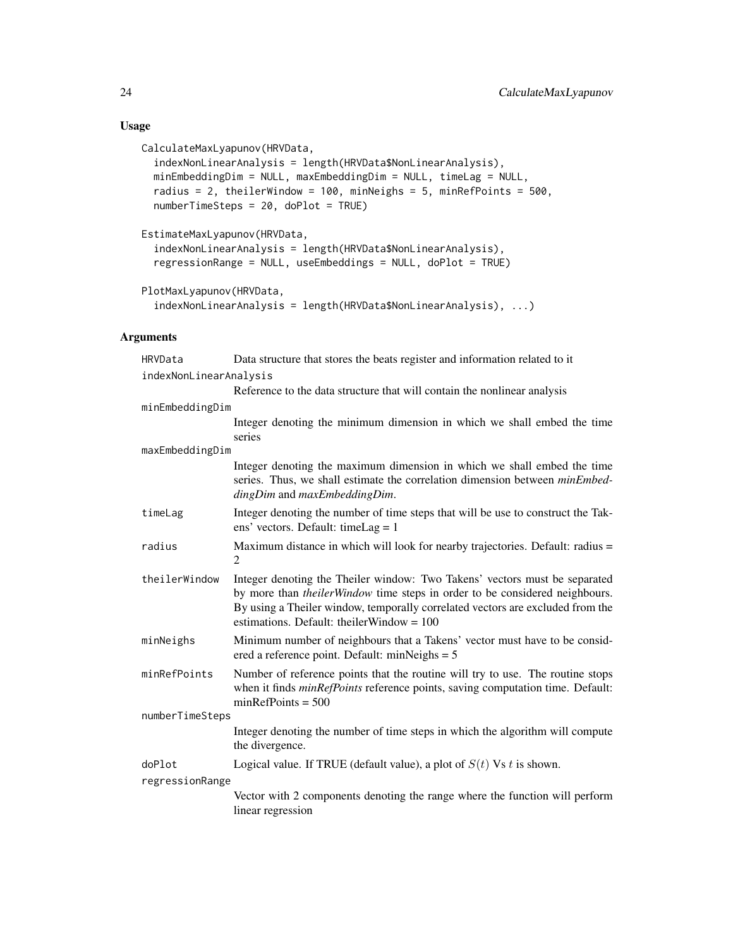# Usage

```
CalculateMaxLyapunov(HRVData,
  indexNonLinearAnalysis = length(HRVData$NonLinearAnalysis),
 minEmbeddingDim = NULL, maxEmbeddingDim = NULL, timeLag = NULL,
  radius = 2, theilerWindow = 100, minNeighs = 5, minRefPoints = 500,
 numberTimeSteps = 20, doPlot = TRUE)
```

```
EstimateMaxLyapunov(HRVData,
  indexNonLinearAnalysis = length(HRVData$NonLinearAnalysis),
  regressionRange = NULL, useEmbeddings = NULL, doPlot = TRUE)
```

```
PlotMaxLyapunov(HRVData,
  indexNonLinearAnalysis = length(HRVData$NonLinearAnalysis), ...)
```
# Arguments

| HRVData                | Data structure that stores the beats register and information related to it                                                                                                                                                                                                                        |
|------------------------|----------------------------------------------------------------------------------------------------------------------------------------------------------------------------------------------------------------------------------------------------------------------------------------------------|
| indexNonLinearAnalysis |                                                                                                                                                                                                                                                                                                    |
|                        | Reference to the data structure that will contain the nonlinear analysis                                                                                                                                                                                                                           |
| minEmbeddingDim        |                                                                                                                                                                                                                                                                                                    |
|                        | Integer denoting the minimum dimension in which we shall embed the time<br>series                                                                                                                                                                                                                  |
| maxEmbeddingDim        |                                                                                                                                                                                                                                                                                                    |
|                        | Integer denoting the maximum dimension in which we shall embed the time<br>series. Thus, we shall estimate the correlation dimension between minEmbed-<br>dingDim and maxEmbeddingDim.                                                                                                             |
| timeLag                | Integer denoting the number of time steps that will be use to construct the Tak-<br>ens' vectors. Default: timeLag = $1$                                                                                                                                                                           |
| radius                 | Maximum distance in which will look for nearby trajectories. Default: radius =<br>2                                                                                                                                                                                                                |
| theilerWindow          | Integer denoting the Theiler window: Two Takens' vectors must be separated<br>by more than <i>theilerWindow</i> time steps in order to be considered neighbours.<br>By using a Theiler window, temporally correlated vectors are excluded from the<br>estimations. Default: the ilerWindow = $100$ |
| minNeighs              | Minimum number of neighbours that a Takens' vector must have to be consid-<br>ered a reference point. Default: $minNeighs = 5$                                                                                                                                                                     |
| minRefPoints           | Number of reference points that the routine will try to use. The routine stops<br>when it finds <i>minRefPoints</i> reference points, saving computation time. Default:<br>$minRefPoints = 500$                                                                                                    |
| numberTimeSteps        |                                                                                                                                                                                                                                                                                                    |
|                        | Integer denoting the number of time steps in which the algorithm will compute<br>the divergence.                                                                                                                                                                                                   |
| doPlot                 | Logical value. If TRUE (default value), a plot of $S(t)$ Vs t is shown.                                                                                                                                                                                                                            |
| regressionRange        |                                                                                                                                                                                                                                                                                                    |
|                        | Vector with 2 components denoting the range where the function will perform<br>linear regression                                                                                                                                                                                                   |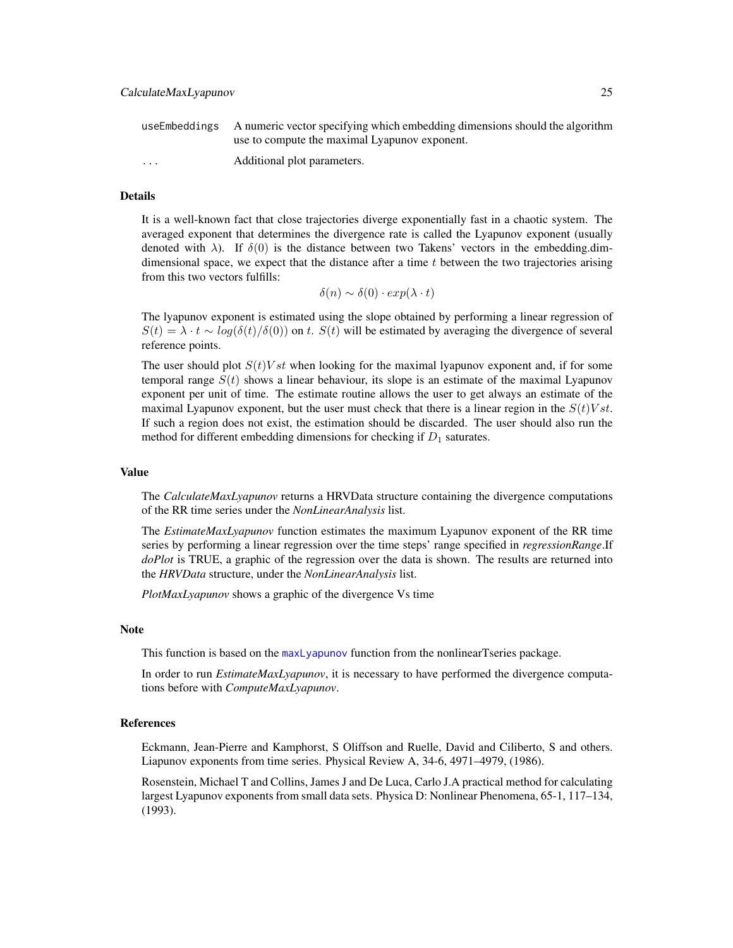|                         | use Embeddings A numeric vector specifying which embedding dimensions should the algorithm |
|-------------------------|--------------------------------------------------------------------------------------------|
|                         | use to compute the maximal Lyapunov exponent.                                              |
| $\cdot$ $\cdot$ $\cdot$ | Additional plot parameters.                                                                |

# Details

It is a well-known fact that close trajectories diverge exponentially fast in a chaotic system. The averaged exponent that determines the divergence rate is called the Lyapunov exponent (usually denoted with  $\lambda$ ). If  $\delta(0)$  is the distance between two Takens' vectors in the embedding.dimdimensional space, we expect that the distance after a time  $t$  between the two trajectories arising from this two vectors fulfills:

$$
\delta(n) \sim \delta(0) \cdot exp(\lambda \cdot t)
$$

The lyapunov exponent is estimated using the slope obtained by performing a linear regression of  $S(t) = \lambda \cdot t \sim \log(\delta(t)/\delta(0))$  on t.  $S(t)$  will be estimated by averaging the divergence of several reference points.

The user should plot  $S(t)Vst$  when looking for the maximal lyapunov exponent and, if for some temporal range  $S(t)$  shows a linear behaviour, its slope is an estimate of the maximal Lyapunov exponent per unit of time. The estimate routine allows the user to get always an estimate of the maximal Lyapunov exponent, but the user must check that there is a linear region in the  $S(t)Vst$ . If such a region does not exist, the estimation should be discarded. The user should also run the method for different embedding dimensions for checking if  $D_1$  saturates.

#### Value

The *CalculateMaxLyapunov* returns a HRVData structure containing the divergence computations of the RR time series under the *NonLinearAnalysis* list.

The *EstimateMaxLyapunov* function estimates the maximum Lyapunov exponent of the RR time series by performing a linear regression over the time steps' range specified in *regressionRange*.If *doPlot* is TRUE, a graphic of the regression over the data is shown. The results are returned into the *HRVData* structure, under the *NonLinearAnalysis* list.

*PlotMaxLyapunov* shows a graphic of the divergence Vs time

#### **Note**

This function is based on the [maxLyapunov](#page-0-0) function from the nonlinearTseries package.

In order to run *EstimateMaxLyapunov*, it is necessary to have performed the divergence computations before with *ComputeMaxLyapunov*.

#### References

Eckmann, Jean-Pierre and Kamphorst, S Oliffson and Ruelle, David and Ciliberto, S and others. Liapunov exponents from time series. Physical Review A, 34-6, 4971–4979, (1986).

Rosenstein, Michael T and Collins, James J and De Luca, Carlo J.A practical method for calculating largest Lyapunov exponents from small data sets. Physica D: Nonlinear Phenomena, 65-1, 117–134, (1993).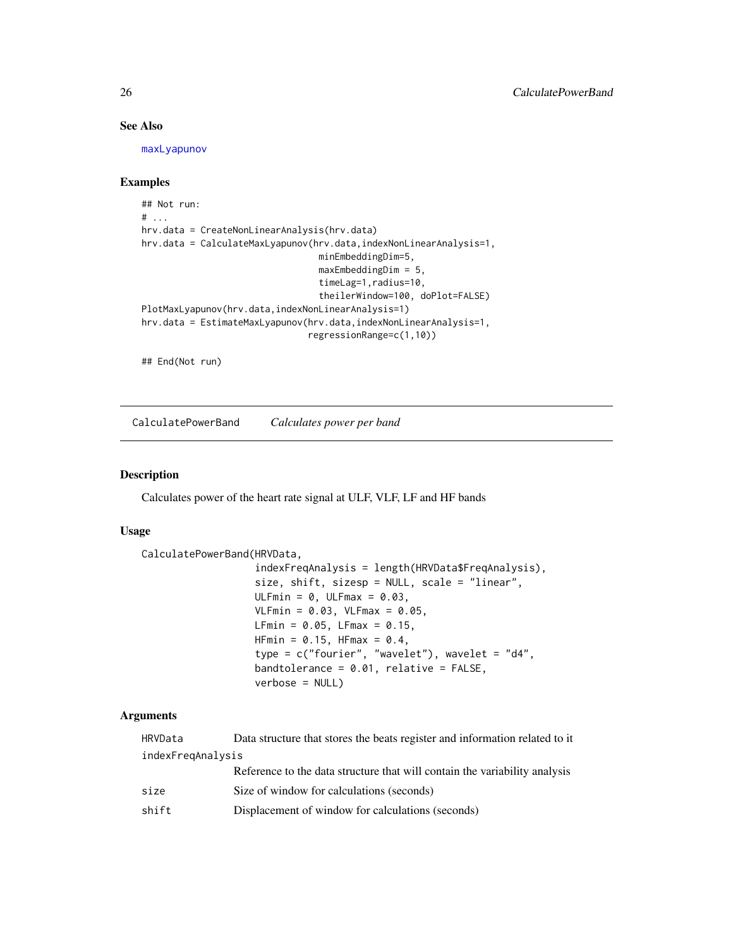# See Also

[maxLyapunov](#page-0-0)

# Examples

```
## Not run:
# ...
hrv.data = CreateNonLinearAnalysis(hrv.data)
hrv.data = CalculateMaxLyapunov(hrv.data,indexNonLinearAnalysis=1,
                                 minEmbeddingDim=5,
                                 maxEmbeddingDim = 5,
                                 timeLag=1,radius=10,
                                 theilerWindow=100, doPlot=FALSE)
PlotMaxLyapunov(hrv.data,indexNonLinearAnalysis=1)
hrv.data = EstimateMaxLyapunov(hrv.data,indexNonLinearAnalysis=1,
                               regressionRange=c(1,10))
```
## End(Not run)

CalculatePowerBand *Calculates power per band*

# Description

Calculates power of the heart rate signal at ULF, VLF, LF and HF bands

#### Usage

```
CalculatePowerBand(HRVData,
```

```
indexFreqAnalysis = length(HRVData$FreqAnalysis),
size, shift, sizesp = NULL, scale = "linear",
ULFmin = 0, ULFmax = 0.03,
VLFmin = 0.03, VLFmax = 0.05,
LFmin = 0.05, LFmax = 0.15,
HFmin = 0.15, HFmax = 0.4,
type = c("fourier", "wavelet"), wavelet = "d4",
bandtolerance = 0.01, relative = FALSE,
verbose = NULL)
```
# Arguments

| HRVData           | Data structure that stores the beats register and information related to it |  |
|-------------------|-----------------------------------------------------------------------------|--|
| indexFregAnalysis |                                                                             |  |
|                   | Reference to the data structure that will contain the variability analysis  |  |
| size              | Size of window for calculations (seconds)                                   |  |
| shift             | Displacement of window for calculations (seconds)                           |  |

<span id="page-25-0"></span>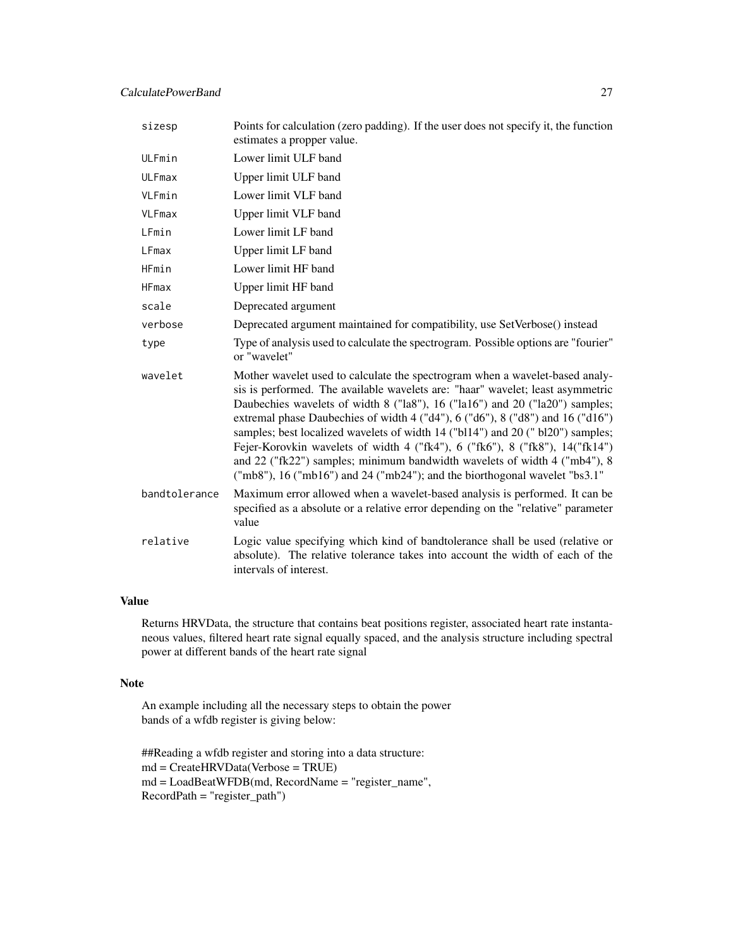# CalculatePowerBand 27

| sizesp        | Points for calculation (zero padding). If the user does not specify it, the function<br>estimates a propper value.                                                                                                                                                                                                                                                                                                                                                                                                                                                                                                                                             |
|---------------|----------------------------------------------------------------------------------------------------------------------------------------------------------------------------------------------------------------------------------------------------------------------------------------------------------------------------------------------------------------------------------------------------------------------------------------------------------------------------------------------------------------------------------------------------------------------------------------------------------------------------------------------------------------|
| ULFmin        | Lower limit ULF band                                                                                                                                                                                                                                                                                                                                                                                                                                                                                                                                                                                                                                           |
| <b>ULFmax</b> | Upper limit ULF band                                                                                                                                                                                                                                                                                                                                                                                                                                                                                                                                                                                                                                           |
| VLFmin        | Lower limit VLF band                                                                                                                                                                                                                                                                                                                                                                                                                                                                                                                                                                                                                                           |
| VLFmax        | Upper limit VLF band                                                                                                                                                                                                                                                                                                                                                                                                                                                                                                                                                                                                                                           |
| LFmin         | Lower limit LF band                                                                                                                                                                                                                                                                                                                                                                                                                                                                                                                                                                                                                                            |
| LFmax         | Upper limit LF band                                                                                                                                                                                                                                                                                                                                                                                                                                                                                                                                                                                                                                            |
| HFmin         | Lower limit HF band                                                                                                                                                                                                                                                                                                                                                                                                                                                                                                                                                                                                                                            |
| <b>HFmax</b>  | Upper limit HF band                                                                                                                                                                                                                                                                                                                                                                                                                                                                                                                                                                                                                                            |
| scale         | Deprecated argument                                                                                                                                                                                                                                                                                                                                                                                                                                                                                                                                                                                                                                            |
| verbose       | Deprecated argument maintained for compatibility, use SetVerbose() instead                                                                                                                                                                                                                                                                                                                                                                                                                                                                                                                                                                                     |
| type          | Type of analysis used to calculate the spectrogram. Possible options are "fourier"<br>or "wavelet"                                                                                                                                                                                                                                                                                                                                                                                                                                                                                                                                                             |
| wavelet       | Mother wavelet used to calculate the spectrogram when a wavelet-based analy-<br>sis is performed. The available wavelets are: "haar" wavelet; least asymmetric<br>Daubechies wavelets of width 8 ("la8"), 16 ("la16") and 20 ("la20") samples;<br>extremal phase Daubechies of width 4 ("d4"), 6 ("d6"), 8 ("d8") and 16 ("d16")<br>samples; best localized wavelets of width 14 ("bl14") and 20 ("bl20") samples;<br>Fejer-Korovkin wavelets of width 4 ("fk4"), 6 ("fk6"), 8 ("fk8"), 14 ("fk14")<br>and 22 ("fk22") samples; minimum bandwidth wavelets of width 4 ("mb4"), 8<br>("mb8"), 16 ("mb16") and 24 ("mb24"); and the biorthogonal wavelet "bs3.1" |
| bandtolerance | Maximum error allowed when a wavelet-based analysis is performed. It can be<br>specified as a absolute or a relative error depending on the "relative" parameter<br>value                                                                                                                                                                                                                                                                                                                                                                                                                                                                                      |
| relative      | Logic value specifying which kind of bandtolerance shall be used (relative or<br>absolute). The relative tolerance takes into account the width of each of the<br>intervals of interest.                                                                                                                                                                                                                                                                                                                                                                                                                                                                       |

# Value

Returns HRVData, the structure that contains beat positions register, associated heart rate instantaneous values, filtered heart rate signal equally spaced, and the analysis structure including spectral power at different bands of the heart rate signal

# Note

An example including all the necessary steps to obtain the power bands of a wfdb register is giving below:

```
##Reading a wfdb register and storing into a data structure:
md = CreateHRVData(Verbose = TRUE)
md = LoadBeatWFDB(md, RecordName = "register_name",
RecordPath = "register_path")
```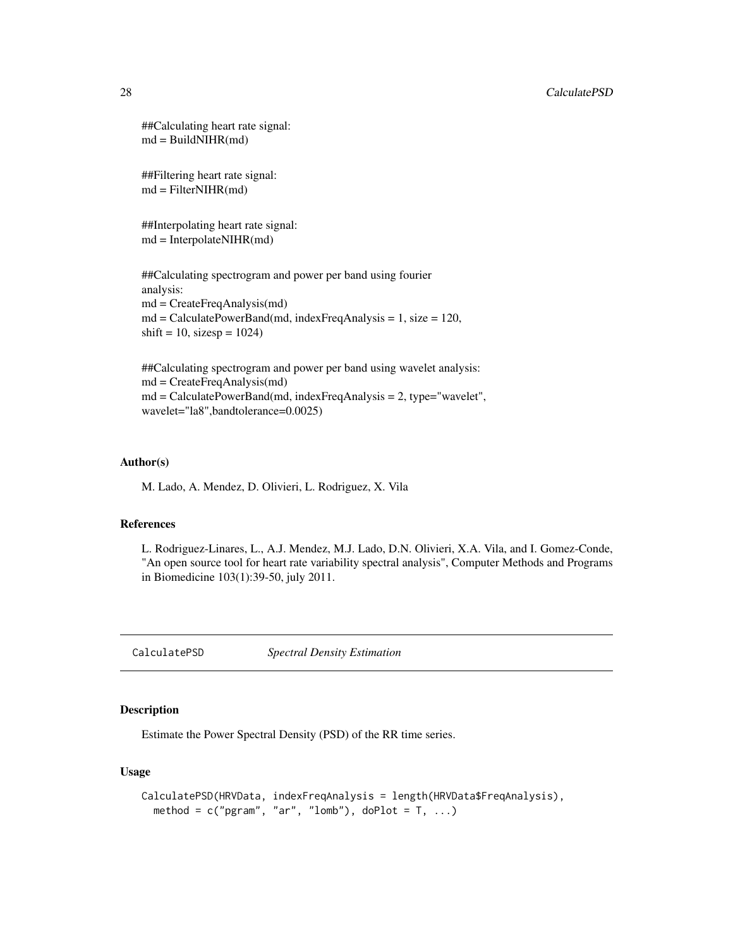```
##Calculating heart rate signal:
md = BuildNIHR(md)
```
##Filtering heart rate signal: md = FilterNIHR(md)

##Interpolating heart rate signal:  $md = InterpolateNIHR(md)$ 

##Calculating spectrogram and power per band using fourier analysis: md = CreateFreqAnalysis(md) md = CalculatePowerBand(md, indexFreqAnalysis = 1, size = 120,  $\text{shift} = 10, \text{ sizesp} = 1024)$ 

##Calculating spectrogram and power per band using wavelet analysis: md = CreateFreqAnalysis(md) md = CalculatePowerBand(md, indexFreqAnalysis = 2, type="wavelet", wavelet="la8",bandtolerance=0.0025)

# Author(s)

M. Lado, A. Mendez, D. Olivieri, L. Rodriguez, X. Vila

#### References

L. Rodriguez-Linares, L., A.J. Mendez, M.J. Lado, D.N. Olivieri, X.A. Vila, and I. Gomez-Conde, "An open source tool for heart rate variability spectral analysis", Computer Methods and Programs in Biomedicine 103(1):39-50, july 2011.

<span id="page-27-1"></span>CalculatePSD *Spectral Density Estimation*

# Description

Estimate the Power Spectral Density (PSD) of the RR time series.

# Usage

```
CalculatePSD(HRVData, indexFreqAnalysis = length(HRVData$FreqAnalysis),
  method = c("pgram", "ar", "lomb"), doPlot = T, ...)
```
<span id="page-27-0"></span>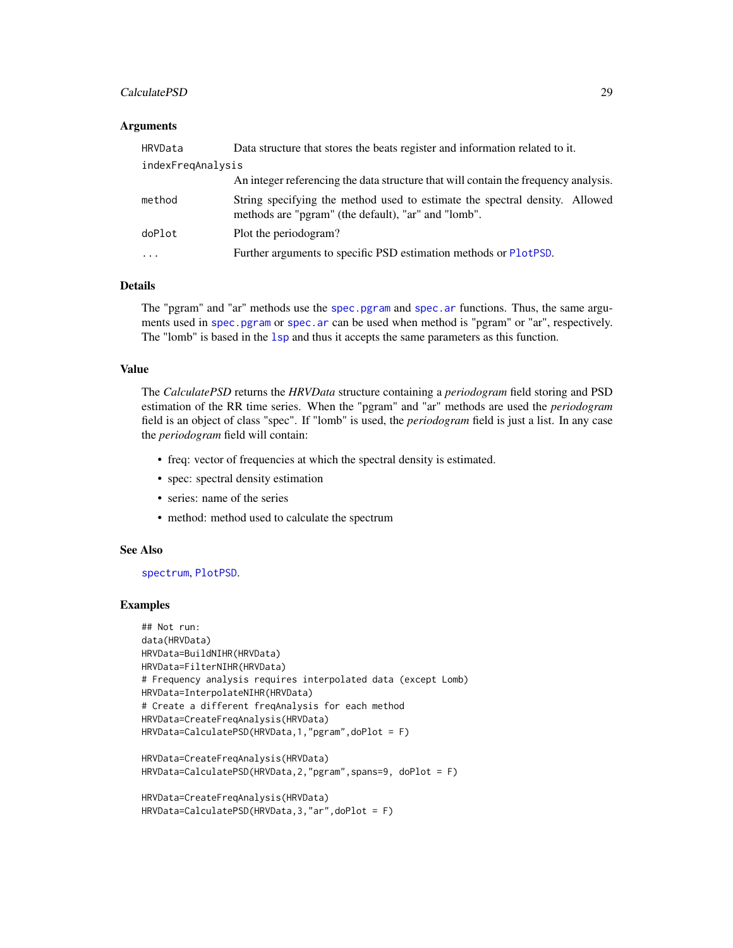# CalculatePSD 29

#### **Arguments**

| HRVData           | Data structure that stores the beats register and information related to it.                                                       |  |
|-------------------|------------------------------------------------------------------------------------------------------------------------------------|--|
| indexFregAnalysis |                                                                                                                                    |  |
|                   | An integer referencing the data structure that will contain the frequency analysis.                                                |  |
| method            | String specifying the method used to estimate the spectral density. Allowed<br>methods are "pgram" (the default), "ar" and "lomb". |  |
| doPlot            | Plot the periodogram?                                                                                                              |  |
| $\ddotsc$         | Further arguments to specific PSD estimation methods or PlotPSD.                                                                   |  |

# Details

The "pgram" and "ar" methods use the [spec.pgram](#page-0-0) and [spec.ar](#page-0-0) functions. Thus, the same arguments used in [spec.pgram](#page-0-0) or [spec.ar](#page-0-0) can be used when method is "pgram" or "ar", respectively. The "lomb" is based in the 1sp and thus it accepts the same parameters as this function.

#### Value

The *CalculatePSD* returns the *HRVData* structure containing a *periodogram* field storing and PSD estimation of the RR time series. When the "pgram" and "ar" methods are used the *periodogram* field is an object of class "spec". If "lomb" is used, the *periodogram* field is just a list. In any case the *periodogram* field will contain:

- freq: vector of frequencies at which the spectral density is estimated.
- spec: spectral density estimation
- series: name of the series
- method: method used to calculate the spectrum

# See Also

# [spectrum](#page-0-0), [PlotPSD](#page-67-1).

#### Examples

```
## Not run:
data(HRVData)
HRVData=BuildNIHR(HRVData)
HRVData=FilterNIHR(HRVData)
# Frequency analysis requires interpolated data (except Lomb)
HRVData=InterpolateNIHR(HRVData)
# Create a different freqAnalysis for each method
HRVData=CreateFreqAnalysis(HRVData)
HRVData=CalculatePSD(HRVData,1,"pgram",doPlot = F)
HRVData=CreateFreqAnalysis(HRVData)
```

```
HRVData=CalculatePSD(HRVData,2,"pgram",spans=9, doPlot = F)
```

```
HRVData=CreateFreqAnalysis(HRVData)
HRVData=CalculatePSD(HRVData,3,"ar",doPlot = F)
```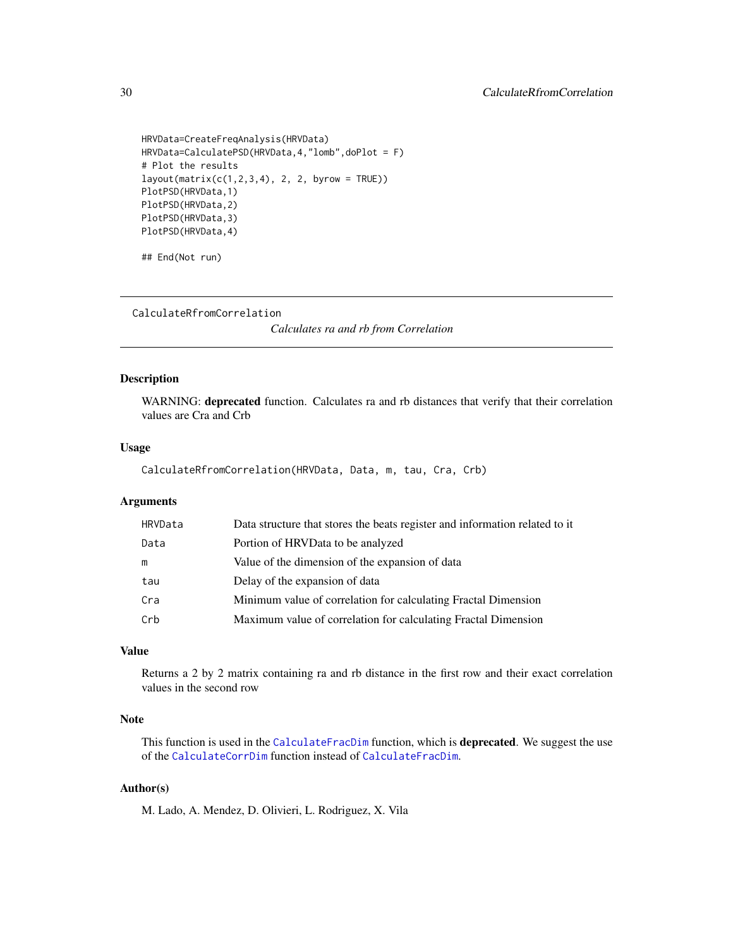```
HRVData=CreateFreqAnalysis(HRVData)
HRVData=CalculatePSD(HRVData,4,"lomb",doPlot = F)
# Plot the results
layout(matrix(c(1,2,3,4), 2, 2, byrow = TRUE))PlotPSD(HRVData,1)
PlotPSD(HRVData,2)
PlotPSD(HRVData,3)
PlotPSD(HRVData,4)
```

```
## End(Not run)
```
<span id="page-29-1"></span>CalculateRfromCorrelation

*Calculates ra and rb from Correlation*

#### Description

WARNING: deprecated function. Calculates ra and rb distances that verify that their correlation values are Cra and Crb

# Usage

CalculateRfromCorrelation(HRVData, Data, m, tau, Cra, Crb)

# Arguments

| HRVData | Data structure that stores the beats register and information related to it |
|---------|-----------------------------------------------------------------------------|
| Data    | Portion of HRVData to be analyzed                                           |
| m       | Value of the dimension of the expansion of data                             |
| tau     | Delay of the expansion of data                                              |
| Cra     | Minimum value of correlation for calculating Fractal Dimension              |
| Crb     | Maximum value of correlation for calculating Fractal Dimension              |

# Value

Returns a 2 by 2 matrix containing ra and rb distance in the first row and their exact correlation values in the second row

# Note

This function is used in the [CalculateFracDim](#page-19-1) function, which is **deprecated**. We suggest the use of the [CalculateCorrDim](#page-12-1) function instead of [CalculateFracDim](#page-19-1).

# Author(s)

M. Lado, A. Mendez, D. Olivieri, L. Rodriguez, X. Vila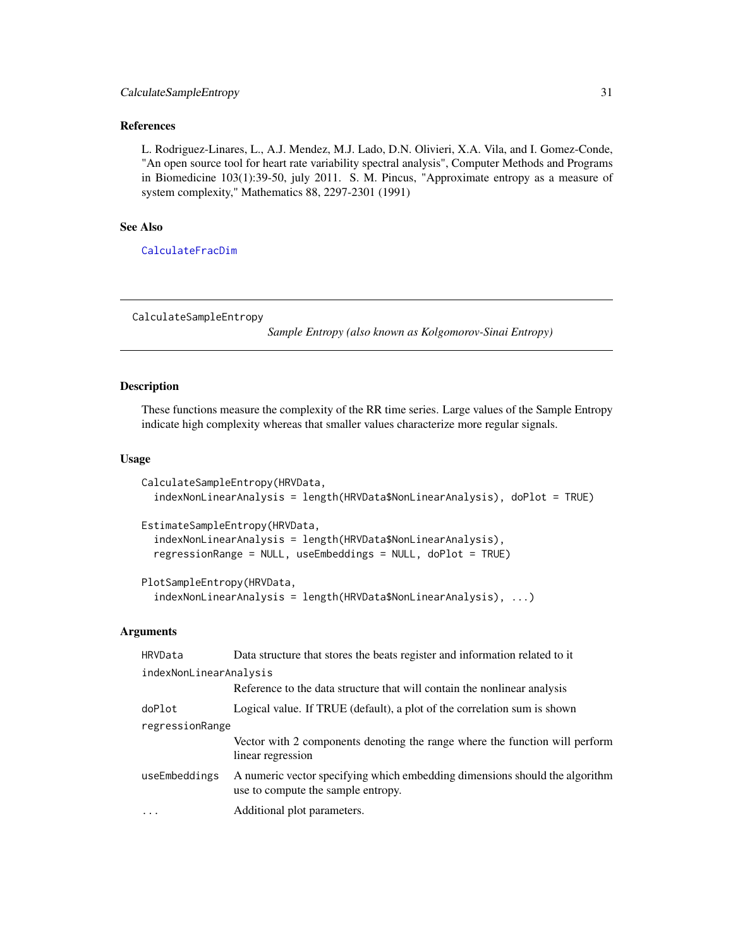# <span id="page-30-0"></span>CalculateSampleEntropy 31

# References

L. Rodriguez-Linares, L., A.J. Mendez, M.J. Lado, D.N. Olivieri, X.A. Vila, and I. Gomez-Conde, "An open source tool for heart rate variability spectral analysis", Computer Methods and Programs in Biomedicine 103(1):39-50, july 2011. S. M. Pincus, "Approximate entropy as a measure of system complexity," Mathematics 88, 2297-2301 (1991)

# See Also

[CalculateFracDim](#page-19-1)

<span id="page-30-1"></span>CalculateSampleEntropy

*Sample Entropy (also known as Kolgomorov-Sinai Entropy)*

# Description

These functions measure the complexity of the RR time series. Large values of the Sample Entropy indicate high complexity whereas that smaller values characterize more regular signals.

# Usage

```
CalculateSampleEntropy(HRVData,
  indexNonLinearAnalysis = length(HRVData$NonLinearAnalysis), doPlot = TRUE)
EstimateSampleEntropy(HRVData,
  indexNonLinearAnalysis = length(HRVData$NonLinearAnalysis),
  regressionRange = NULL, useEmbeddings = NULL, doPlot = TRUE)
PlotSampleEntropy(HRVData,
```

```
indexNonLinearAnalysis = length(HRVData$NonLinearAnalysis), ...)
```
# Arguments

| HRVData                | Data structure that stores the beats register and information related to it                                       |  |
|------------------------|-------------------------------------------------------------------------------------------------------------------|--|
| indexNonLinearAnalysis |                                                                                                                   |  |
|                        | Reference to the data structure that will contain the nonlinear analysis                                          |  |
| doPlot                 | Logical value. If TRUE (default), a plot of the correlation sum is shown                                          |  |
| regressionRange        |                                                                                                                   |  |
|                        | Vector with 2 components denoting the range where the function will perform<br>linear regression                  |  |
| useEmbeddings          | A numeric vector specifying which embedding dimensions should the algorithm<br>use to compute the sample entropy. |  |
| $\cdot$                | Additional plot parameters.                                                                                       |  |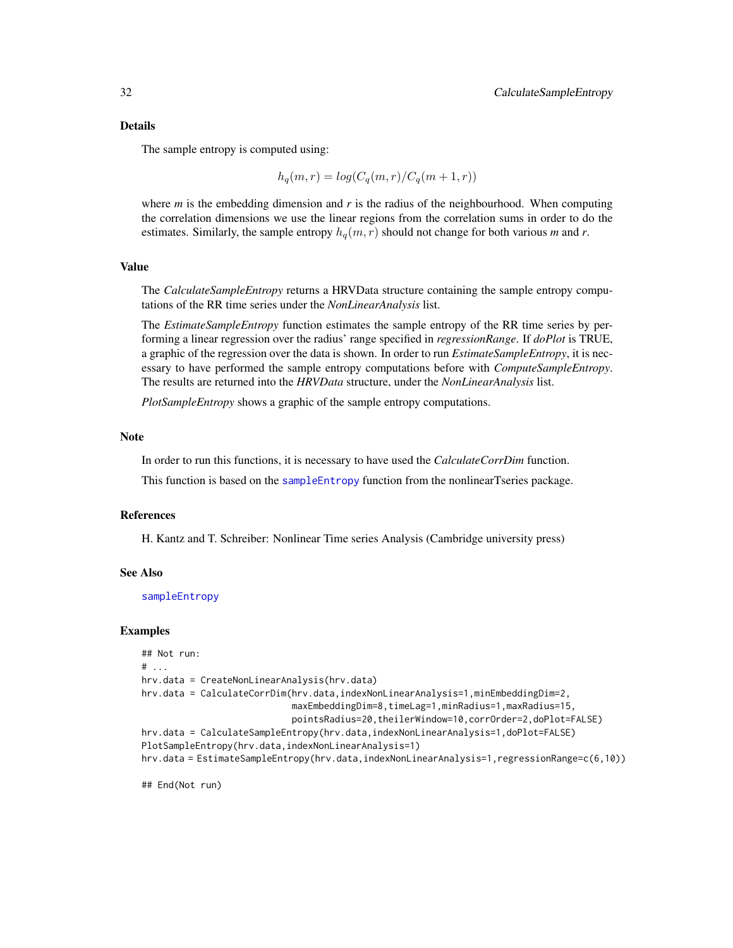#### Details

The sample entropy is computed using:

$$
h_q(m,r) = \log(C_q(m,r)/C_q(m+1,r))
$$

where  $m$  is the embedding dimension and  $r$  is the radius of the neighbourhood. When computing the correlation dimensions we use the linear regions from the correlation sums in order to do the estimates. Similarly, the sample entropy  $h_q(m, r)$  should not change for both various *m* and *r*.

#### Value

The *CalculateSampleEntropy* returns a HRVData structure containing the sample entropy computations of the RR time series under the *NonLinearAnalysis* list.

The *EstimateSampleEntropy* function estimates the sample entropy of the RR time series by performing a linear regression over the radius' range specified in *regressionRange*. If *doPlot* is TRUE, a graphic of the regression over the data is shown. In order to run *EstimateSampleEntropy*, it is necessary to have performed the sample entropy computations before with *ComputeSampleEntropy*. The results are returned into the *HRVData* structure, under the *NonLinearAnalysis* list.

*PlotSampleEntropy* shows a graphic of the sample entropy computations.

#### **Note**

In order to run this functions, it is necessary to have used the *CalculateCorrDim* function.

This function is based on the [sampleEntropy](#page-0-0) function from the nonlinearTseries package.

#### References

H. Kantz and T. Schreiber: Nonlinear Time series Analysis (Cambridge university press)

# See Also

[sampleEntropy](#page-0-0)

#### Examples

```
## Not run:
# ...
hrv.data = CreateNonLinearAnalysis(hrv.data)
hrv.data = CalculateCorrDim(hrv.data,indexNonLinearAnalysis=1,minEmbeddingDim=2,
                            maxEmbeddingDim=8,timeLag=1,minRadius=1,maxRadius=15,
                            pointsRadius=20,theilerWindow=10,corrOrder=2,doPlot=FALSE)
hrv.data = CalculateSampleEntropy(hrv.data,indexNonLinearAnalysis=1,doPlot=FALSE)
PlotSampleEntropy(hrv.data,indexNonLinearAnalysis=1)
hrv.data = EstimateSampleEntropy(hrv.data,indexNonLinearAnalysis=1,regressionRange=c(6,10))
```
## End(Not run)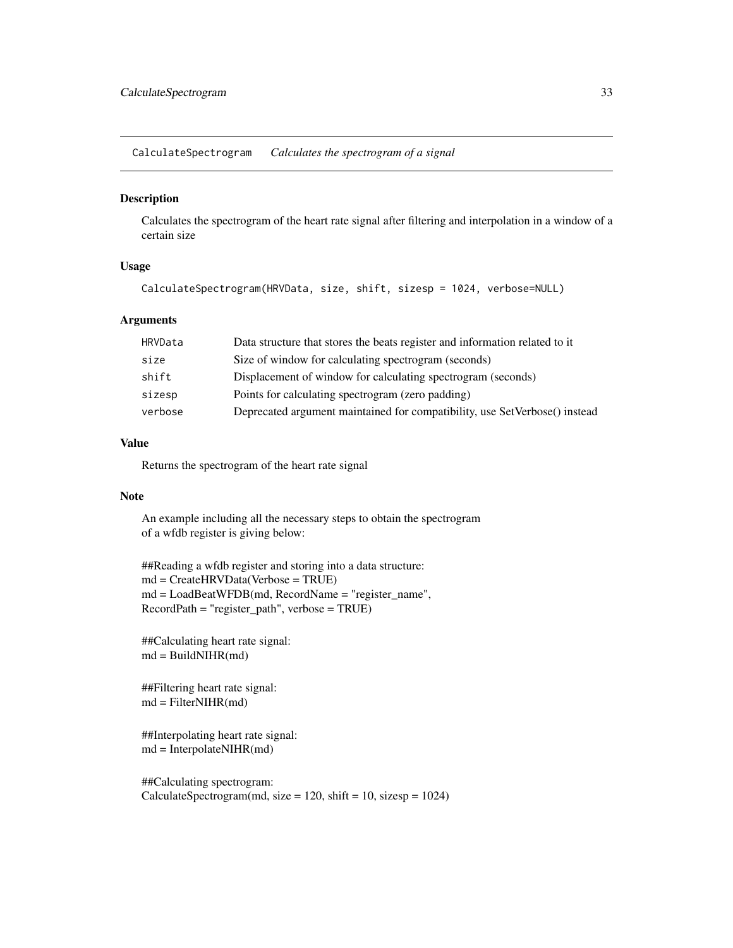<span id="page-32-0"></span>CalculateSpectrogram *Calculates the spectrogram of a signal*

#### Description

Calculates the spectrogram of the heart rate signal after filtering and interpolation in a window of a certain size

# Usage

```
CalculateSpectrogram(HRVData, size, shift, sizesp = 1024, verbose=NULL)
```
# Arguments

| HRVData | Data structure that stores the beats register and information related to it |
|---------|-----------------------------------------------------------------------------|
| size    | Size of window for calculating spectrogram (seconds)                        |
| shift   | Displacement of window for calculating spectrogram (seconds)                |
| sizesp  | Points for calculating spectrogram (zero padding)                           |
| verbose | Deprecated argument maintained for compatibility, use SetVerbose() instead  |

# Value

Returns the spectrogram of the heart rate signal

#### **Note**

An example including all the necessary steps to obtain the spectrogram of a wfdb register is giving below:

##Reading a wfdb register and storing into a data structure: md = CreateHRVData(Verbose = TRUE) md = LoadBeatWFDB(md, RecordName = "register\_name", RecordPath = "register\_path", verbose = TRUE)

```
##Calculating heart rate signal:
md = BuildNIHR(md)
```
##Filtering heart rate signal: md = FilterNIHR(md)

```
##Interpolating heart rate signal:
md = InterpolateNIHR(md)
```
##Calculating spectrogram:  $CalculateSpectrum(md, size = 120, shift = 10, sizesp = 1024)$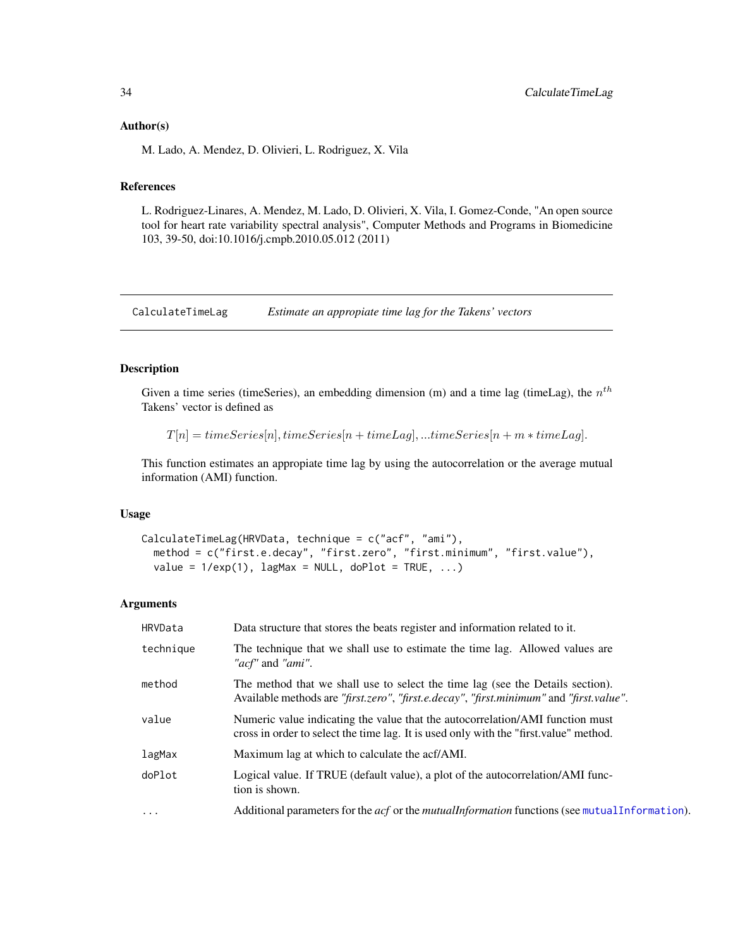#### <span id="page-33-0"></span>Author(s)

M. Lado, A. Mendez, D. Olivieri, L. Rodriguez, X. Vila

# References

L. Rodriguez-Linares, A. Mendez, M. Lado, D. Olivieri, X. Vila, I. Gomez-Conde, "An open source tool for heart rate variability spectral analysis", Computer Methods and Programs in Biomedicine 103, 39-50, doi:10.1016/j.cmpb.2010.05.012 (2011)

CalculateTimeLag *Estimate an appropiate time lag for the Takens' vectors*

# Description

Given a time series (timeSeries), an embedding dimension (m) and a time lag (timeLag), the  $n^{th}$ Takens' vector is defined as

 $T[n] = timeSeries[n], timeSeries[n + timeLag],...timeSeries[n + m * timeLag].$ 

This function estimates an appropiate time lag by using the autocorrelation or the average mutual information (AMI) function.

# Usage

```
CalculateTimeLag(HRVData, technique = c("acf", "ami"),
  method = c("first.e.decay", "first.zero", "first.minimum", "first.value"),
  value = 1/exp(1), lagMax = NULL, doPlot = TRUE, ...)
```
#### Arguments

| HRVData   | Data structure that stores the beats register and information related to it.                                                                                              |
|-----------|---------------------------------------------------------------------------------------------------------------------------------------------------------------------------|
| technique | The technique that we shall use to estimate the time lag. Allowed values are<br>" <i>acf</i> " and " <i>ami</i> ".                                                        |
| method    | The method that we shall use to select the time lag (see the Details section).<br>Available methods are "first.zero", "first.e.decay", "first.minimum" and "first.value". |
| value     | Numeric value indicating the value that the autocorrelation/AMI function must<br>cross in order to select the time lag. It is used only with the "first.value" method.    |
| lagMax    | Maximum lag at which to calculate the acf/AMI.                                                                                                                            |
| doPlot    | Logical value. If TRUE (default value), a plot of the autocorrelation/AMI func-<br>tion is shown.                                                                         |
| $\cdots$  | Additional parameters for the $acf$ or the <i>mutuall nformation</i> functions (see mutual Information).                                                                  |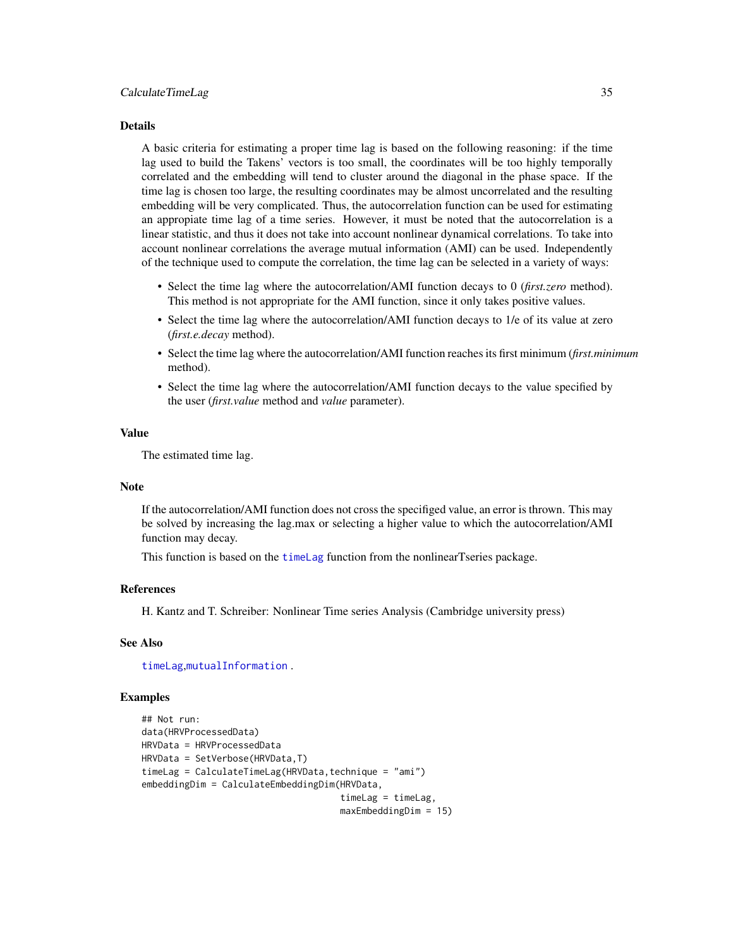#### Details

A basic criteria for estimating a proper time lag is based on the following reasoning: if the time lag used to build the Takens' vectors is too small, the coordinates will be too highly temporally correlated and the embedding will tend to cluster around the diagonal in the phase space. If the time lag is chosen too large, the resulting coordinates may be almost uncorrelated and the resulting embedding will be very complicated. Thus, the autocorrelation function can be used for estimating an appropiate time lag of a time series. However, it must be noted that the autocorrelation is a linear statistic, and thus it does not take into account nonlinear dynamical correlations. To take into account nonlinear correlations the average mutual information (AMI) can be used. Independently of the technique used to compute the correlation, the time lag can be selected in a variety of ways:

- Select the time lag where the autocorrelation/AMI function decays to 0 (*first.zero* method). This method is not appropriate for the AMI function, since it only takes positive values.
- Select the time lag where the autocorrelation/AMI function decays to 1/e of its value at zero (*first.e.decay* method).
- Select the time lag where the autocorrelation/AMI function reaches its first minimum (*first.minimum* method).
- Select the time lag where the autocorrelation/AMI function decays to the value specified by the user (*first.value* method and *value* parameter).

# Value

The estimated time lag.

# Note

If the autocorrelation/AMI function does not cross the specifiged value, an error is thrown. This may be solved by increasing the lag.max or selecting a higher value to which the autocorrelation/AMI function may decay.

This function is based on the [timeLag](#page-0-0) function from the nonlinearTseries package.

# References

H. Kantz and T. Schreiber: Nonlinear Time series Analysis (Cambridge university press)

# See Also

[timeLag](#page-0-0),[mutualInformation](#page-0-0) .

# Examples

```
## Not run:
data(HRVProcessedData)
HRVData = HRVProcessedData
HRVData = SetVerbose(HRVData,T)
timeLag = CalculateTimeLag(HRVData, technique = "ami")
embeddingDim = CalculateEmbeddingDim(HRVData,
                                     timeLag = timeLag,
                                     maxEmbeddingDim = 15)
```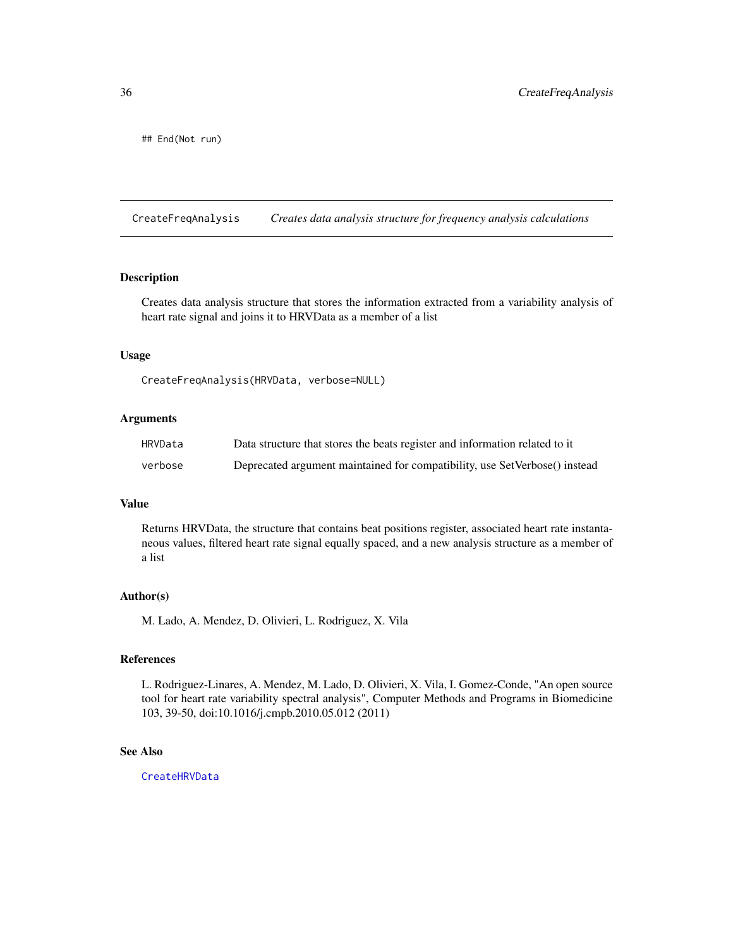<span id="page-35-0"></span>## End(Not run)

CreateFreqAnalysis *Creates data analysis structure for frequency analysis calculations*

# Description

Creates data analysis structure that stores the information extracted from a variability analysis of heart rate signal and joins it to HRVData as a member of a list

# Usage

CreateFreqAnalysis(HRVData, verbose=NULL)

#### Arguments

| HRVData | Data structure that stores the beats register and information related to it |
|---------|-----------------------------------------------------------------------------|
| verbose | Deprecated argument maintained for compatibility, use SetVerbose() instead  |

# Value

Returns HRVData, the structure that contains beat positions register, associated heart rate instantaneous values, filtered heart rate signal equally spaced, and a new analysis structure as a member of a list

#### Author(s)

M. Lado, A. Mendez, D. Olivieri, L. Rodriguez, X. Vila

# References

L. Rodriguez-Linares, A. Mendez, M. Lado, D. Olivieri, X. Vila, I. Gomez-Conde, "An open source tool for heart rate variability spectral analysis", Computer Methods and Programs in Biomedicine 103, 39-50, doi:10.1016/j.cmpb.2010.05.012 (2011)

# See Also

[CreateHRVData](#page-36-1)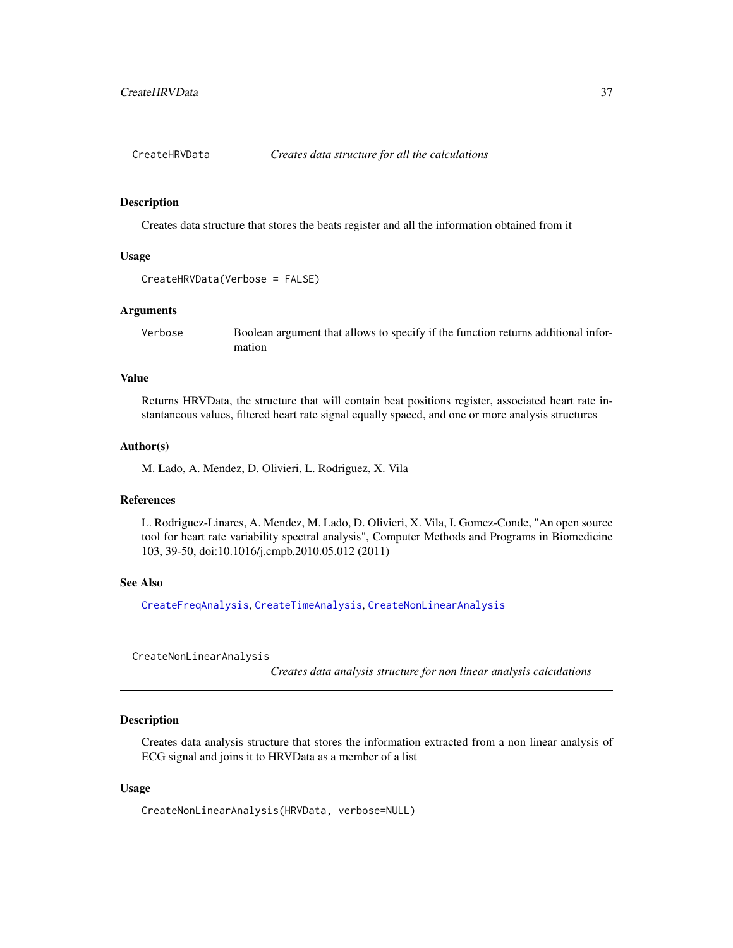<span id="page-36-1"></span>

#### Description

Creates data structure that stores the beats register and all the information obtained from it

### Usage

```
CreateHRVData(Verbose = FALSE)
```
### Arguments

Verbose Boolean argument that allows to specify if the function returns additional information

### Value

Returns HRVData, the structure that will contain beat positions register, associated heart rate instantaneous values, filtered heart rate signal equally spaced, and one or more analysis structures

#### Author(s)

M. Lado, A. Mendez, D. Olivieri, L. Rodriguez, X. Vila

### References

L. Rodriguez-Linares, A. Mendez, M. Lado, D. Olivieri, X. Vila, I. Gomez-Conde, "An open source tool for heart rate variability spectral analysis", Computer Methods and Programs in Biomedicine 103, 39-50, doi:10.1016/j.cmpb.2010.05.012 (2011)

#### See Also

[CreateFreqAnalysis](#page-35-0), [CreateTimeAnalysis](#page-37-0), [CreateNonLinearAnalysis](#page-36-0)

<span id="page-36-0"></span>CreateNonLinearAnalysis

*Creates data analysis structure for non linear analysis calculations*

#### **Description**

Creates data analysis structure that stores the information extracted from a non linear analysis of ECG signal and joins it to HRVData as a member of a list

## Usage

CreateNonLinearAnalysis(HRVData, verbose=NULL)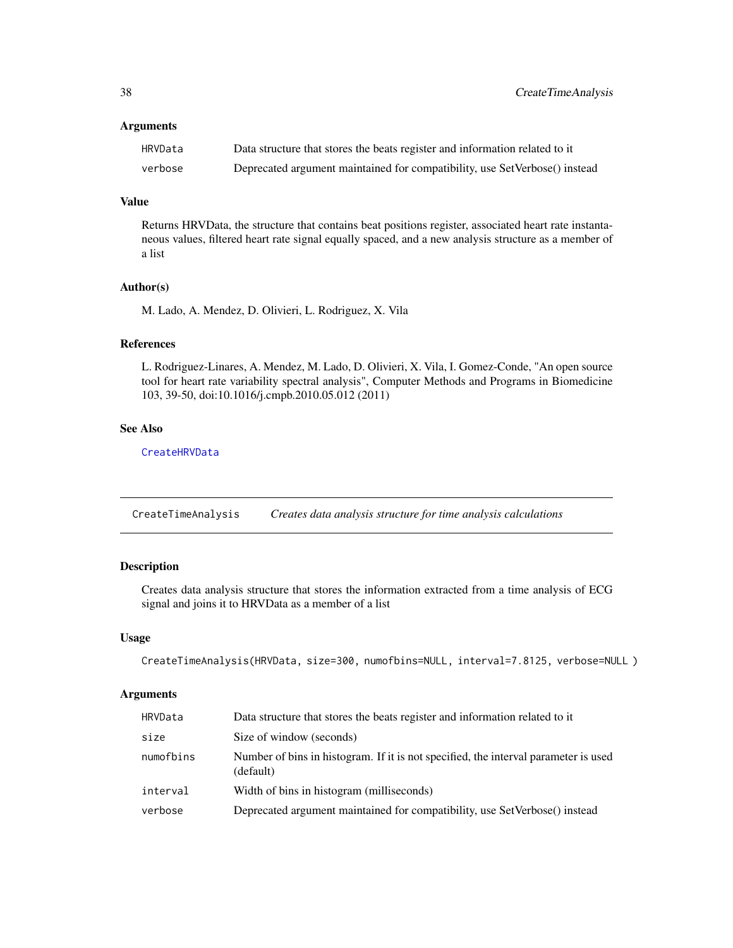### Arguments

| HRVData | Data structure that stores the beats register and information related to it |
|---------|-----------------------------------------------------------------------------|
| verbose | Deprecated argument maintained for compatibility, use SetVerbose() instead  |

### Value

Returns HRVData, the structure that contains beat positions register, associated heart rate instantaneous values, filtered heart rate signal equally spaced, and a new analysis structure as a member of a list

### Author(s)

M. Lado, A. Mendez, D. Olivieri, L. Rodriguez, X. Vila

## References

L. Rodriguez-Linares, A. Mendez, M. Lado, D. Olivieri, X. Vila, I. Gomez-Conde, "An open source tool for heart rate variability spectral analysis", Computer Methods and Programs in Biomedicine 103, 39-50, doi:10.1016/j.cmpb.2010.05.012 (2011)

## See Also

**[CreateHRVData](#page-36-1)** 

<span id="page-37-0"></span>CreateTimeAnalysis *Creates data analysis structure for time analysis calculations*

# Description

Creates data analysis structure that stores the information extracted from a time analysis of ECG signal and joins it to HRVData as a member of a list

### Usage

```
CreateTimeAnalysis(HRVData, size=300, numofbins=NULL, interval=7.8125, verbose=NULL )
```
## Arguments

| HRVData   | Data structure that stores the beats register and information related to it                      |
|-----------|--------------------------------------------------------------------------------------------------|
| size      | Size of window (seconds)                                                                         |
| numofbins | Number of bins in histogram. If it is not specified, the interval parameter is used<br>(default) |
| interval  | Width of bins in histogram (milliseconds)                                                        |
| verbose   | Deprecated argument maintained for compatibility, use SetVerbose() instead                       |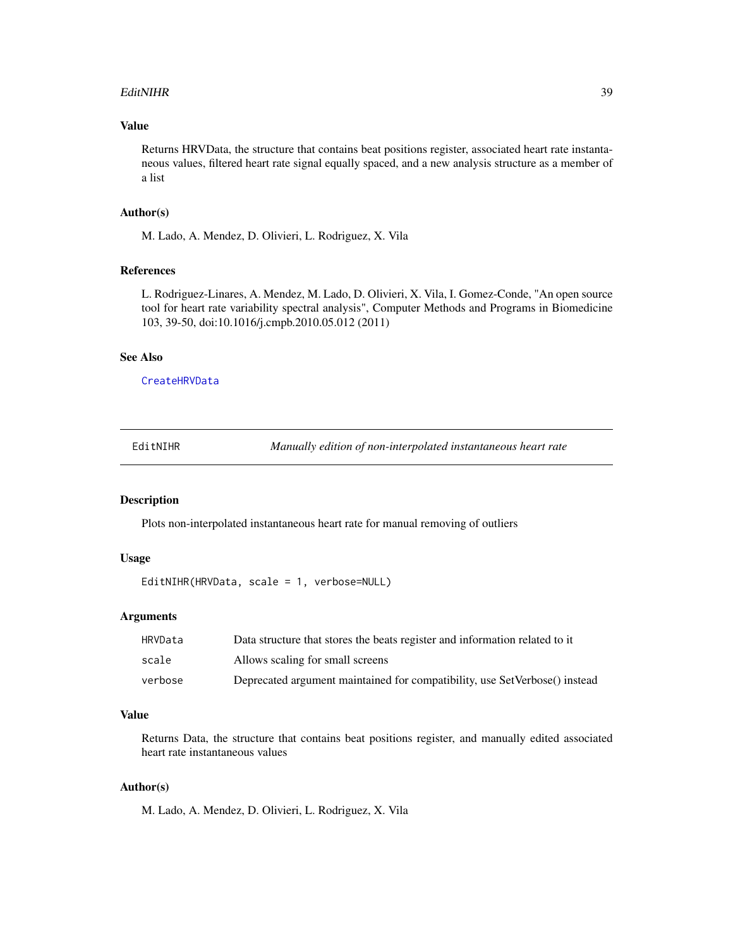#### EditNIHR 39

## Value

Returns HRVData, the structure that contains beat positions register, associated heart rate instantaneous values, filtered heart rate signal equally spaced, and a new analysis structure as a member of a list

## Author(s)

M. Lado, A. Mendez, D. Olivieri, L. Rodriguez, X. Vila

### References

L. Rodriguez-Linares, A. Mendez, M. Lado, D. Olivieri, X. Vila, I. Gomez-Conde, "An open source tool for heart rate variability spectral analysis", Computer Methods and Programs in Biomedicine 103, 39-50, doi:10.1016/j.cmpb.2010.05.012 (2011)

#### See Also

**[CreateHRVData](#page-36-1)** 

| EditNIHR |
|----------|
|----------|

Manually edition of non-interpolated instantaneous heart rate

# Description

Plots non-interpolated instantaneous heart rate for manual removing of outliers

# Usage

EditNIHR(HRVData, scale = 1, verbose=NULL)

### Arguments

| HRVData | Data structure that stores the beats register and information related to it |
|---------|-----------------------------------------------------------------------------|
| scale   | Allows scaling for small screens                                            |
| verbose | Deprecated argument maintained for compatibility, use SetVerbose() instead  |

### Value

Returns Data, the structure that contains beat positions register, and manually edited associated heart rate instantaneous values

## Author(s)

M. Lado, A. Mendez, D. Olivieri, L. Rodriguez, X. Vila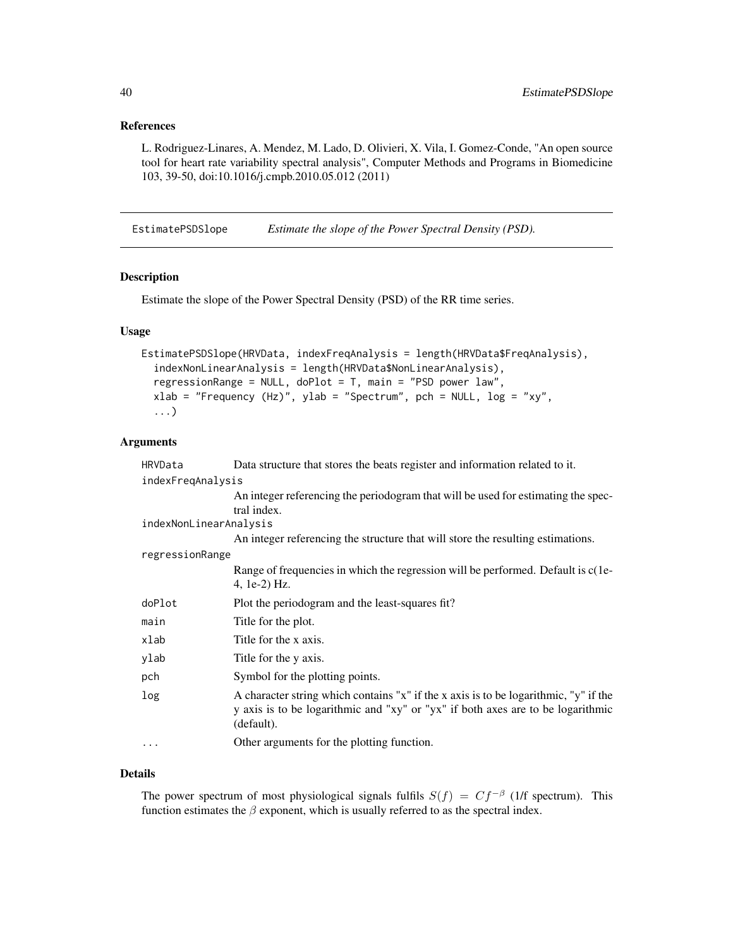### References

L. Rodriguez-Linares, A. Mendez, M. Lado, D. Olivieri, X. Vila, I. Gomez-Conde, "An open source tool for heart rate variability spectral analysis", Computer Methods and Programs in Biomedicine 103, 39-50, doi:10.1016/j.cmpb.2010.05.012 (2011)

EstimatePSDSlope *Estimate the slope of the Power Spectral Density (PSD).*

### Description

Estimate the slope of the Power Spectral Density (PSD) of the RR time series.

## Usage

```
EstimatePSDSlope(HRVData, indexFreqAnalysis = length(HRVData$FreqAnalysis),
  indexNonLinearAnalysis = length(HRVData$NonLinearAnalysis),
  regressionRange = NULL, doPlot = T, main = "PSD power law",
  xlab = "Frequency (Hz)", ylab = "Spectrum", pch = NULL, log = "xy",
  ...)
```
## Arguments

| HRVData                | Data structure that stores the beats register and information related to it.                                                                                                          |
|------------------------|---------------------------------------------------------------------------------------------------------------------------------------------------------------------------------------|
| indexFreqAnalysis      |                                                                                                                                                                                       |
|                        | An integer referencing the periodogram that will be used for estimating the spec-                                                                                                     |
|                        | tral index.                                                                                                                                                                           |
| indexNonLinearAnalysis |                                                                                                                                                                                       |
|                        | An integer referencing the structure that will store the resulting estimations.                                                                                                       |
| regressionRange        |                                                                                                                                                                                       |
|                        | Range of frequencies in which the regression will be performed. Default is c(1e-                                                                                                      |
|                        | 4, 1e-2) Hz.                                                                                                                                                                          |
| doPlot                 | Plot the periodogram and the least-squares fit?                                                                                                                                       |
| main                   | Title for the plot.                                                                                                                                                                   |
| xlab                   | Title for the x axis.                                                                                                                                                                 |
| ylab                   | Title for the y axis.                                                                                                                                                                 |
| pch                    | Symbol for the plotting points.                                                                                                                                                       |
| log                    | A character string which contains "x" if the x axis is to be logarithmic, "y" if the<br>y axis is to be logarithmic and "xy" or "yx" if both axes are to be logarithmic<br>(default). |
| $\cdots$               | Other arguments for the plotting function.                                                                                                                                            |

## Details

The power spectrum of most physiological signals fulfils  $S(f) = Cf^{-\beta}$  (1/f spectrum). This function estimates the  $\beta$  exponent, which is usually referred to as the spectral index.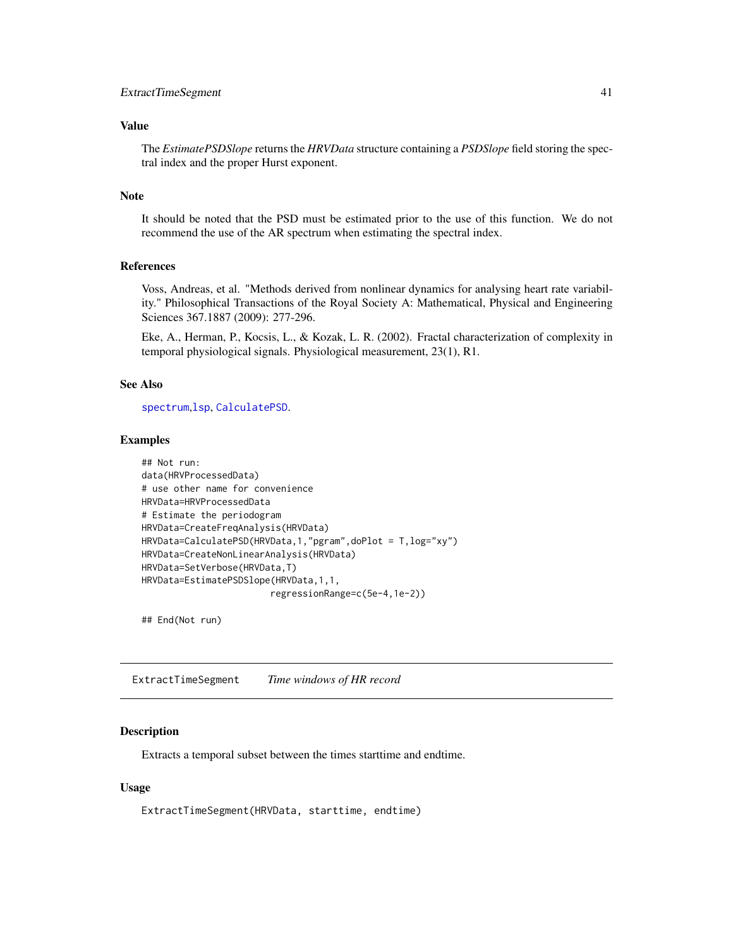## ExtractTimeSegment 41

## Value

The *EstimatePSDSlope* returns the *HRVData* structure containing a *PSDSlope* field storing the spectral index and the proper Hurst exponent.

## Note

It should be noted that the PSD must be estimated prior to the use of this function. We do not recommend the use of the AR spectrum when estimating the spectral index.

## References

Voss, Andreas, et al. "Methods derived from nonlinear dynamics for analysing heart rate variability." Philosophical Transactions of the Royal Society A: Mathematical, Physical and Engineering Sciences 367.1887 (2009): 277-296.

Eke, A., Herman, P., Kocsis, L., & Kozak, L. R. (2002). Fractal characterization of complexity in temporal physiological signals. Physiological measurement, 23(1), R1.

### See Also

[spectrum](#page-0-0),[lsp](#page-0-0), [CalculatePSD](#page-27-0).

## Examples

```
## Not run:
data(HRVProcessedData)
# use other name for convenience
HRVData=HRVProcessedData
# Estimate the periodogram
HRVData=CreateFreqAnalysis(HRVData)
HRVData=CalculatePSD(HRVData,1,"pgram",doPlot = T,log="xy")
HRVData=CreateNonLinearAnalysis(HRVData)
HRVData=SetVerbose(HRVData,T)
HRVData=EstimatePSDSlope(HRVData,1,1,
                        regressionRange=c(5e-4,1e-2))
```
## End(Not run)

ExtractTimeSegment *Time windows of HR record*

### Description

Extracts a temporal subset between the times starttime and endtime.

### Usage

ExtractTimeSegment(HRVData, starttime, endtime)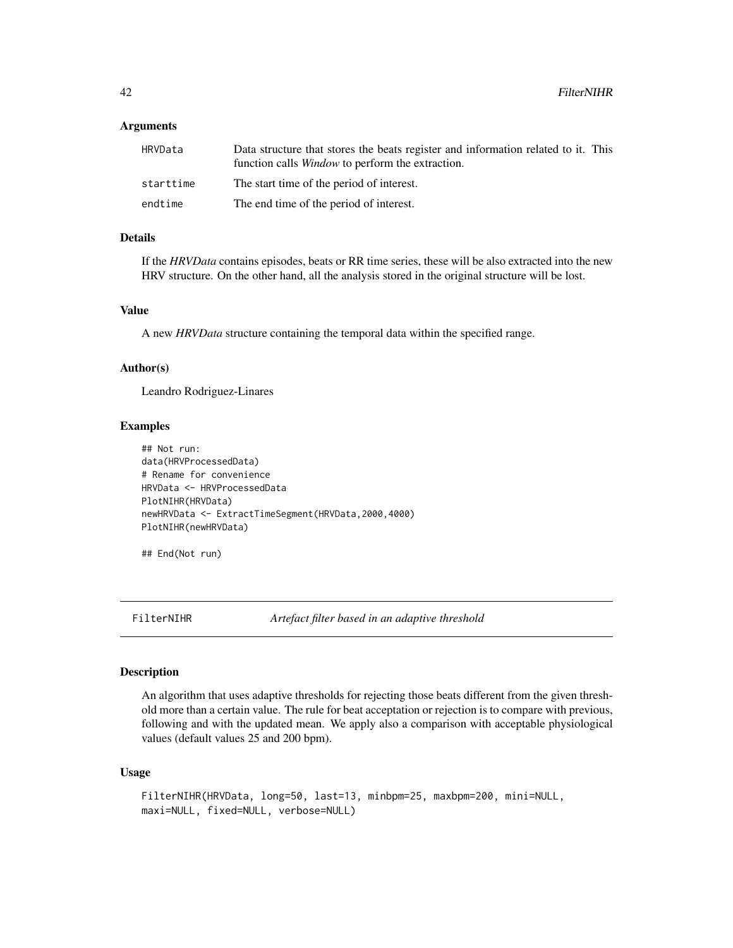### Arguments

| HRVData   | Data structure that stores the beats register and information related to it. This<br>function calls <i>Window</i> to perform the extraction. |
|-----------|----------------------------------------------------------------------------------------------------------------------------------------------|
| starttime | The start time of the period of interest.                                                                                                    |
| endtime   | The end time of the period of interest.                                                                                                      |

# Details

If the *HRVData* contains episodes, beats or RR time series, these will be also extracted into the new HRV structure. On the other hand, all the analysis stored in the original structure will be lost.

## Value

A new *HRVData* structure containing the temporal data within the specified range.

## Author(s)

Leandro Rodriguez-Linares

#### Examples

```
## Not run:
data(HRVProcessedData)
# Rename for convenience
HRVData <- HRVProcessedData
PlotNIHR(HRVData)
newHRVData <- ExtractTimeSegment(HRVData,2000,4000)
PlotNIHR(newHRVData)
```
## End(Not run)

FilterNIHR *Artefact filter based in an adaptive threshold*

## Description

An algorithm that uses adaptive thresholds for rejecting those beats different from the given threshold more than a certain value. The rule for beat acceptation or rejection is to compare with previous, following and with the updated mean. We apply also a comparison with acceptable physiological values (default values 25 and 200 bpm).

```
FilterNIHR(HRVData, long=50, last=13, minbpm=25, maxbpm=200, mini=NULL,
maxi=NULL, fixed=NULL, verbose=NULL)
```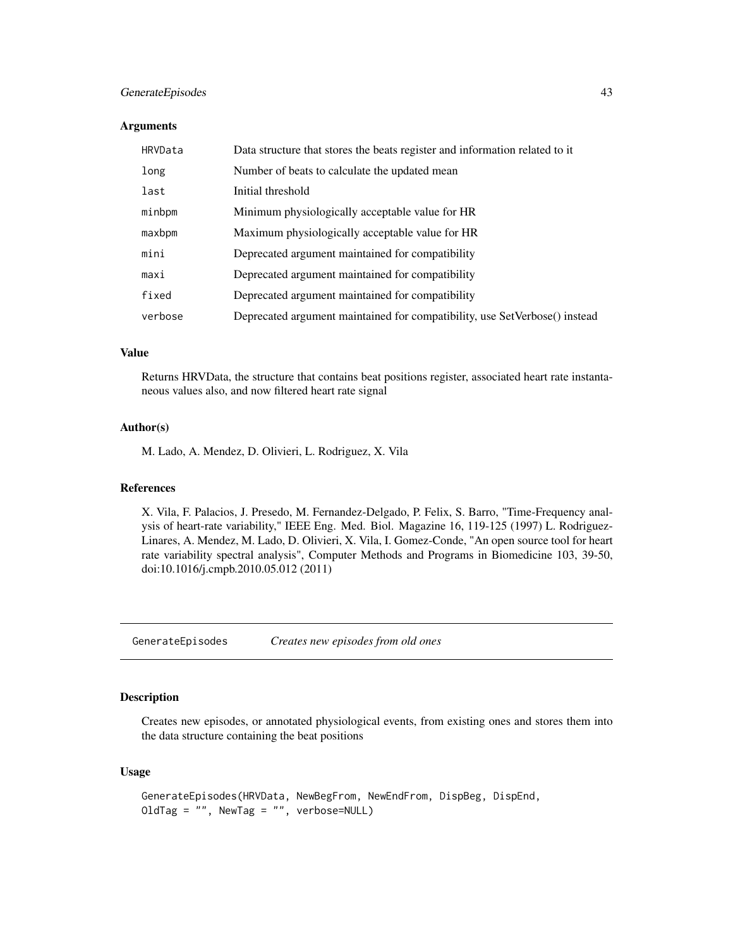## GenerateEpisodes 43

#### Arguments

| HRVData | Data structure that stores the beats register and information related to it |
|---------|-----------------------------------------------------------------------------|
| long    | Number of beats to calculate the updated mean                               |
| last    | Initial threshold                                                           |
| minbpm  | Minimum physiologically acceptable value for HR                             |
| maxbpm  | Maximum physiologically acceptable value for HR                             |
| mini    | Deprecated argument maintained for compatibility                            |
| maxi    | Deprecated argument maintained for compatibility                            |
| fixed   | Deprecated argument maintained for compatibility                            |
| verbose | Deprecated argument maintained for compatibility, use SetVerbose() instead  |

#### Value

Returns HRVData, the structure that contains beat positions register, associated heart rate instantaneous values also, and now filtered heart rate signal

## Author(s)

M. Lado, A. Mendez, D. Olivieri, L. Rodriguez, X. Vila

## References

X. Vila, F. Palacios, J. Presedo, M. Fernandez-Delgado, P. Felix, S. Barro, "Time-Frequency analysis of heart-rate variability," IEEE Eng. Med. Biol. Magazine 16, 119-125 (1997) L. Rodriguez-Linares, A. Mendez, M. Lado, D. Olivieri, X. Vila, I. Gomez-Conde, "An open source tool for heart rate variability spectral analysis", Computer Methods and Programs in Biomedicine 103, 39-50, doi:10.1016/j.cmpb.2010.05.012 (2011)

GenerateEpisodes *Creates new episodes from old ones*

## Description

Creates new episodes, or annotated physiological events, from existing ones and stores them into the data structure containing the beat positions

```
GenerateEpisodes(HRVData, NewBegFrom, NewEndFrom, DispBeg, DispEnd,
OldTag = ", NewTag = ", verbose=NULL)
```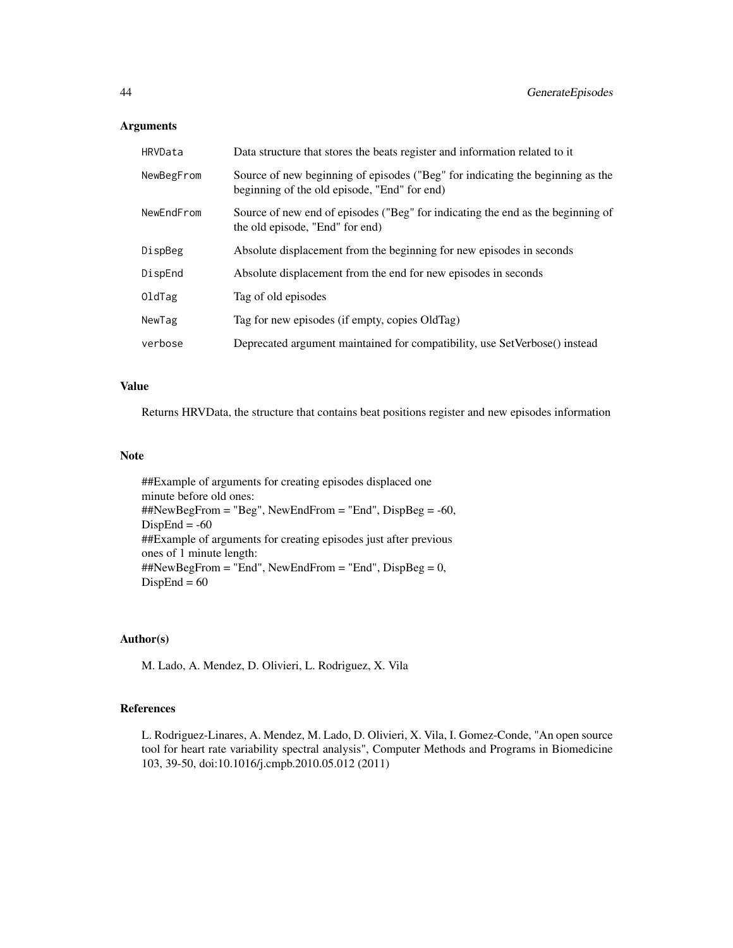### Arguments

| HRVData    | Data structure that stores the beats register and information related to it                                                    |
|------------|--------------------------------------------------------------------------------------------------------------------------------|
| NewBegFrom | Source of new beginning of episodes ("Beg" for indicating the beginning as the<br>beginning of the old episode, "End" for end) |
| NewEndFrom | Source of new end of episodes ("Beg" for indicating the end as the beginning of<br>the old episode, "End" for end)             |
| DispBeg    | Absolute displacement from the beginning for new episodes in seconds                                                           |
| DispEnd    | Absolute displacement from the end for new episodes in seconds                                                                 |
| OldTag     | Tag of old episodes                                                                                                            |
| NewTag     | Tag for new episodes (if empty, copies OldTag)                                                                                 |
| verbose    | Deprecated argument maintained for compatibility, use SetVerbose() instead                                                     |

## Value

Returns HRVData, the structure that contains beat positions register and new episodes information

## Note

##Example of arguments for creating episodes displaced one minute before old ones: ##NewBegFrom = "Beg", NewEndFrom = "End", DispBeg = -60,  $DispEnd = -60$ ##Example of arguments for creating episodes just after previous ones of 1 minute length: ##NewBegFrom = "End", NewEndFrom = "End", DispBeg = 0,  $DispEnd = 60$ 

# Author(s)

M. Lado, A. Mendez, D. Olivieri, L. Rodriguez, X. Vila

# References

L. Rodriguez-Linares, A. Mendez, M. Lado, D. Olivieri, X. Vila, I. Gomez-Conde, "An open source tool for heart rate variability spectral analysis", Computer Methods and Programs in Biomedicine 103, 39-50, doi:10.1016/j.cmpb.2010.05.012 (2011)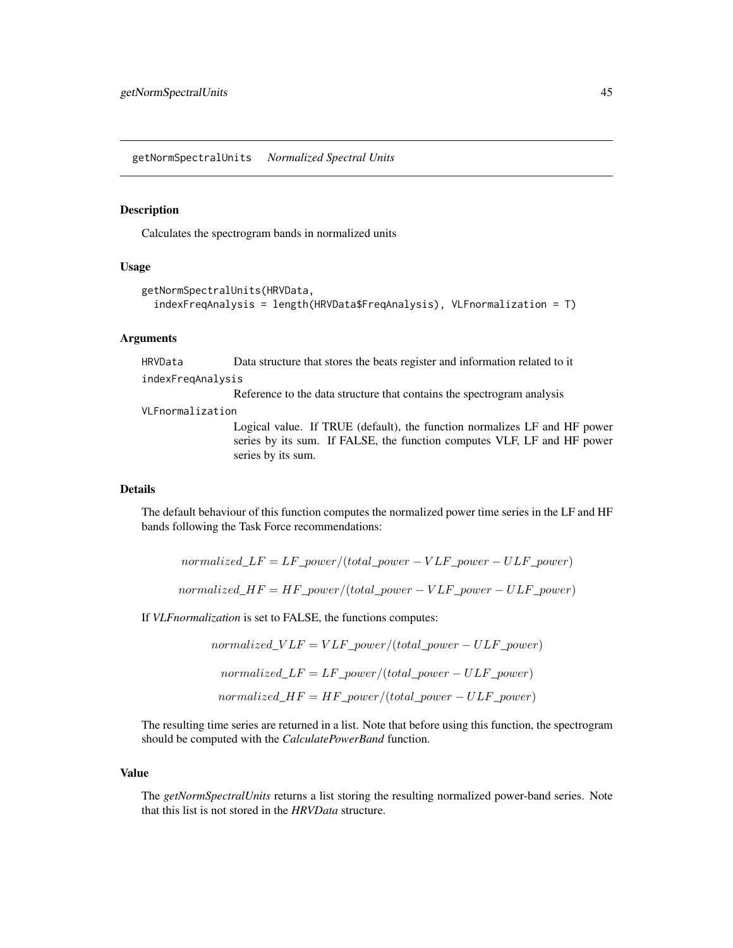getNormSpectralUnits *Normalized Spectral Units*

## Description

Calculates the spectrogram bands in normalized units

#### Usage

```
getNormSpectralUnits(HRVData,
  indexFreqAnalysis = length(HRVData$FreqAnalysis), VLFnormalization = T)
```
### **Arguments**

HRVData Data structure that stores the beats register and information related to it indexFreqAnalysis

Reference to the data structure that contains the spectrogram analysis

VLFnormalization

Logical value. If TRUE (default), the function normalizes LF and HF power series by its sum. If FALSE, the function computes VLF, LF and HF power series by its sum.

## Details

The default behaviour of this function computes the normalized power time series in the LF and HF bands following the Task Force recommendations:

 $normalized\_LF = LF\_power / (total\_power - VLF\_power - ULF\_power)$ 

 $normalized\_HF = HF\_power/(total\_power - VLF\_power - ULF\_power)$ 

If *VLFnormalization* is set to FALSE, the functions computes:

 $normalized\_VLF = VLF\_power/(total\_power - ULF\_power)$ normalized  $LF = LF$  power/(total\_power – ULF\_power)  $normalized\_HF = HF\_power/(total\_power - ULF\_power)$ 

The resulting time series are returned in a list. Note that before using this function, the spectrogram should be computed with the *CalculatePowerBand* function.

## Value

The *getNormSpectralUnits* returns a list storing the resulting normalized power-band series. Note that this list is not stored in the *HRVData* structure.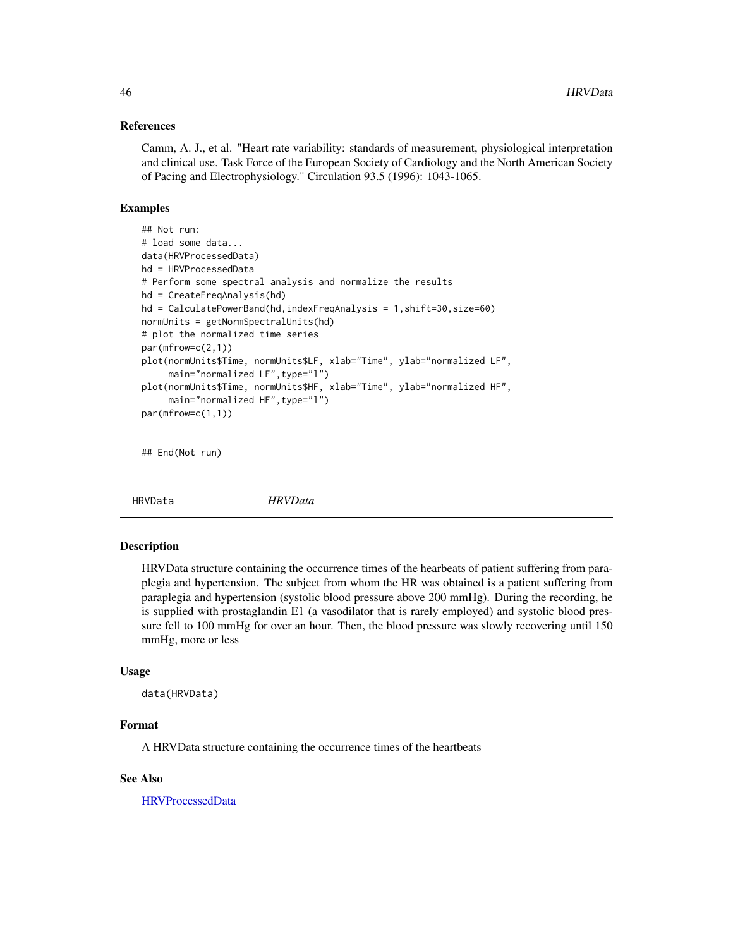### References

Camm, A. J., et al. "Heart rate variability: standards of measurement, physiological interpretation and clinical use. Task Force of the European Society of Cardiology and the North American Society of Pacing and Electrophysiology." Circulation 93.5 (1996): 1043-1065.

### Examples

```
## Not run:
# load some data...
data(HRVProcessedData)
hd = HRVProcessedData
# Perform some spectral analysis and normalize the results
hd = CreateFreqAnalysis(hd)
hd = CalculatePowerBand(hd,indexFreqAnalysis = 1,shift=30,size=60)
normUnits = getNormSpectralUnits(hd)
# plot the normalized time series
par(mfrow=c(2,1))
plot(normUnits$Time, normUnits$LF, xlab="Time", ylab="normalized LF",
     main="normalized LF",type="l")
plot(normUnits$Time, normUnits$HF, xlab="Time", ylab="normalized HF",
     main="normalized HF",type="l")
par(mfrow=c(1,1))
```
## End(Not run)

<span id="page-45-0"></span>HRVData *HRVData*

## Description

HRVData structure containing the occurrence times of the hearbeats of patient suffering from paraplegia and hypertension. The subject from whom the HR was obtained is a patient suffering from paraplegia and hypertension (systolic blood pressure above 200 mmHg). During the recording, he is supplied with prostaglandin E1 (a vasodilator that is rarely employed) and systolic blood pressure fell to 100 mmHg for over an hour. Then, the blood pressure was slowly recovering until 150 mmHg, more or less

#### Usage

data(HRVData)

### Format

A HRVData structure containing the occurrence times of the heartbeats

### See Also

[HRVProcessedData](#page-46-0)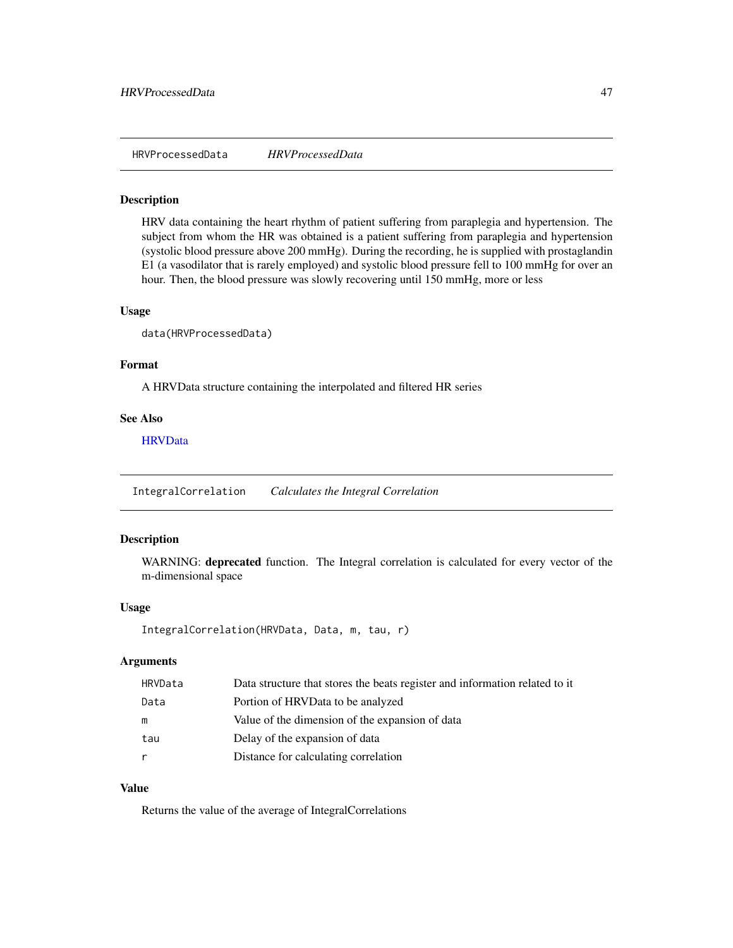<span id="page-46-0"></span>HRVProcessedData *HRVProcessedData*

#### Description

HRV data containing the heart rhythm of patient suffering from paraplegia and hypertension. The subject from whom the HR was obtained is a patient suffering from paraplegia and hypertension (systolic blood pressure above 200 mmHg). During the recording, he is supplied with prostaglandin E1 (a vasodilator that is rarely employed) and systolic blood pressure fell to 100 mmHg for over an hour. Then, the blood pressure was slowly recovering until 150 mmHg, more or less

#### Usage

data(HRVProcessedData)

## Format

A HRVData structure containing the interpolated and filtered HR series

#### See Also

**[HRVData](#page-45-0)** 

IntegralCorrelation *Calculates the Integral Correlation*

## Description

WARNING: deprecated function. The Integral correlation is calculated for every vector of the m-dimensional space

### Usage

```
IntegralCorrelation(HRVData, Data, m, tau, r)
```
## Arguments

| HRVData | Data structure that stores the beats register and information related to it |
|---------|-----------------------------------------------------------------------------|
| Data    | Portion of HRVData to be analyzed                                           |
| m       | Value of the dimension of the expansion of data                             |
| tau     | Delay of the expansion of data                                              |
|         | Distance for calculating correlation                                        |

## Value

Returns the value of the average of IntegralCorrelations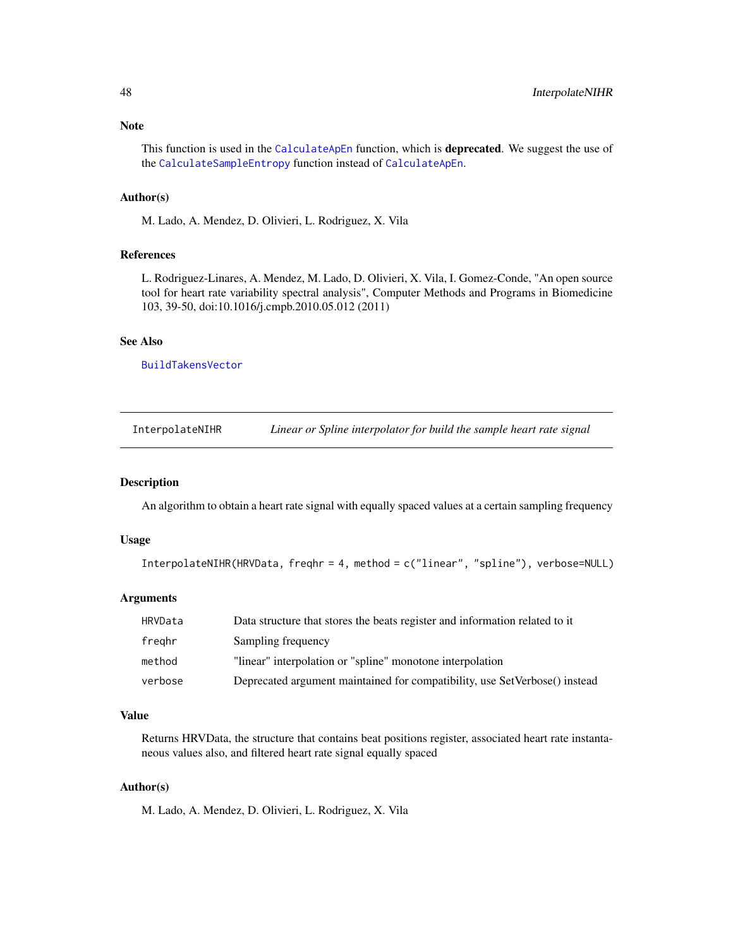## Note

This function is used in the [CalculateApEn](#page-11-0) function, which is **deprecated**. We suggest the use of the [CalculateSampleEntropy](#page-30-0) function instead of [CalculateApEn](#page-11-0).

## Author(s)

M. Lado, A. Mendez, D. Olivieri, L. Rodriguez, X. Vila

### References

L. Rodriguez-Linares, A. Mendez, M. Lado, D. Olivieri, X. Vila, I. Gomez-Conde, "An open source tool for heart rate variability spectral analysis", Computer Methods and Programs in Biomedicine 103, 39-50, doi:10.1016/j.cmpb.2010.05.012 (2011)

## See Also

[BuildTakensVector](#page-10-0)

InterpolateNIHR *Linear or Spline interpolator for build the sample heart rate signal*

#### Description

An algorithm to obtain a heart rate signal with equally spaced values at a certain sampling frequency

### Usage

```
InterpolateNIHR(HRVData, freqhr = 4, method = c("linear", "spline"), verbose=NULL)
```
## Arguments

| HRVData | Data structure that stores the beats register and information related to it |
|---------|-----------------------------------------------------------------------------|
| freghr  | Sampling frequency                                                          |
| method  | "linear" interpolation or "spline" monotone interpolation                   |
| verbose | Deprecated argument maintained for compatibility, use SetVerbose() instead  |

# Value

Returns HRVData, the structure that contains beat positions register, associated heart rate instantaneous values also, and filtered heart rate signal equally spaced

### Author(s)

M. Lado, A. Mendez, D. Olivieri, L. Rodriguez, X. Vila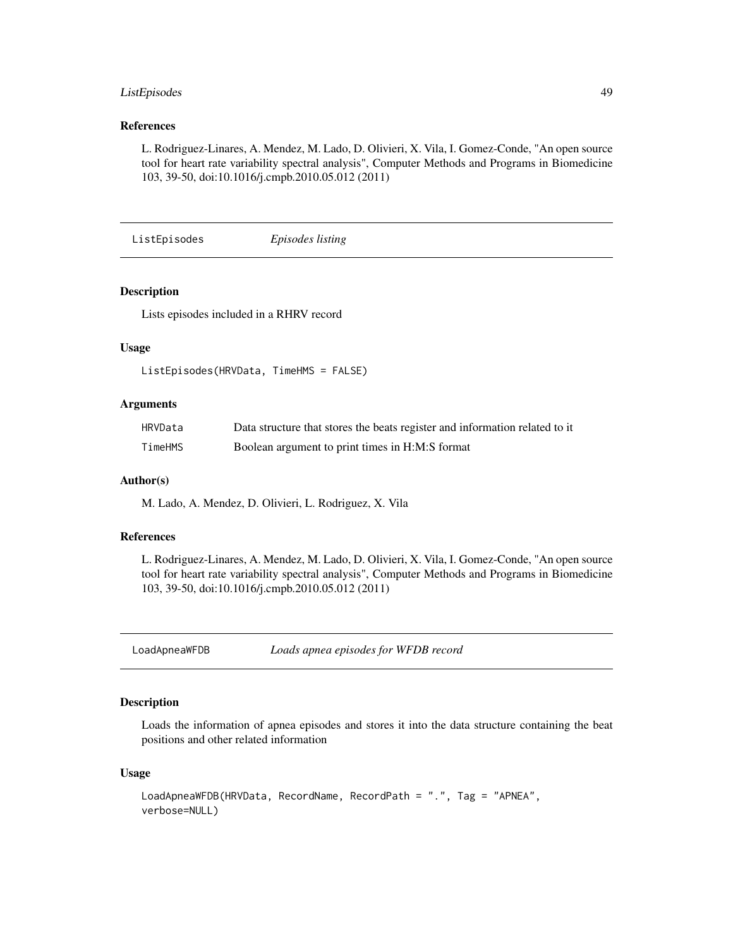## ListEpisodes 49

## References

L. Rodriguez-Linares, A. Mendez, M. Lado, D. Olivieri, X. Vila, I. Gomez-Conde, "An open source tool for heart rate variability spectral analysis", Computer Methods and Programs in Biomedicine 103, 39-50, doi:10.1016/j.cmpb.2010.05.012 (2011)

<span id="page-48-0"></span>ListEpisodes *Episodes listing*

## Description

Lists episodes included in a RHRV record

### Usage

```
ListEpisodes(HRVData, TimeHMS = FALSE)
```
### Arguments

| HRVData | Data structure that stores the beats register and information related to it |
|---------|-----------------------------------------------------------------------------|
| TimeHMS | Boolean argument to print times in H:M:S format                             |

### Author(s)

M. Lado, A. Mendez, D. Olivieri, L. Rodriguez, X. Vila

### References

L. Rodriguez-Linares, A. Mendez, M. Lado, D. Olivieri, X. Vila, I. Gomez-Conde, "An open source tool for heart rate variability spectral analysis", Computer Methods and Programs in Biomedicine 103, 39-50, doi:10.1016/j.cmpb.2010.05.012 (2011)

LoadApneaWFDB *Loads apnea episodes for WFDB record*

### Description

Loads the information of apnea episodes and stores it into the data structure containing the beat positions and other related information

```
LoadApneaWFDB(HRVData, RecordName, RecordPath = ".", Tag = "APNEA",
verbose=NULL)
```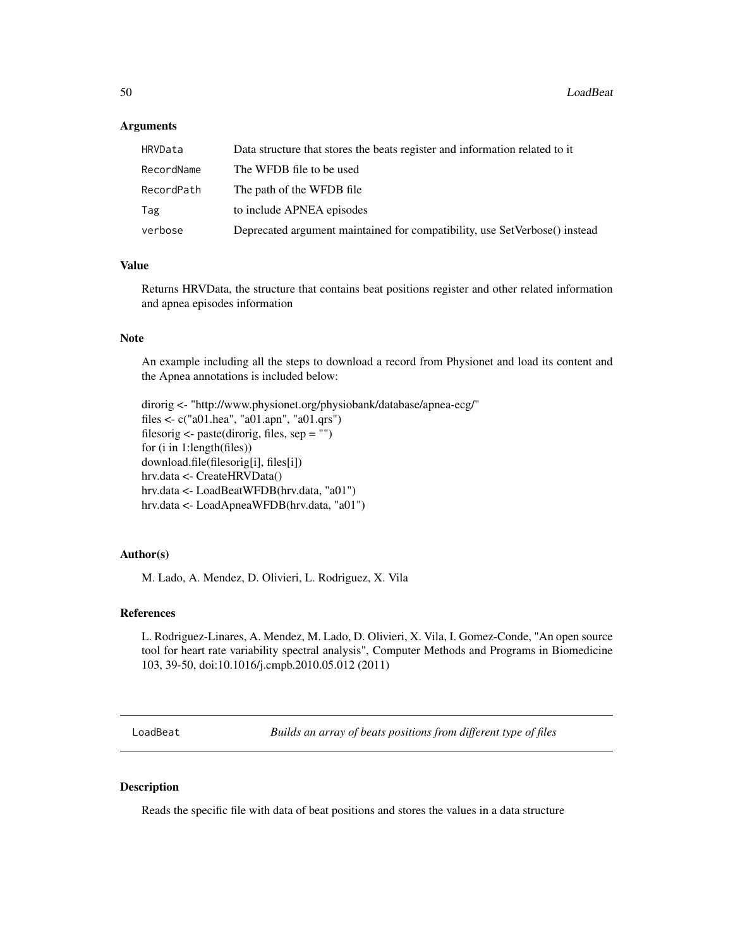### Arguments

| HRVData    | Data structure that stores the beats register and information related to it |
|------------|-----------------------------------------------------------------------------|
| RecordName | The WFDB file to be used                                                    |
| RecordPath | The path of the WFDB file                                                   |
| Tag        | to include APNEA episodes                                                   |
| verbose    | Deprecated argument maintained for compatibility, use SetVerbose() instead  |

### Value

Returns HRVData, the structure that contains beat positions register and other related information and apnea episodes information

### **Note**

An example including all the steps to download a record from Physionet and load its content and the Apnea annotations is included below:

dirorig <- "http://www.physionet.org/physiobank/database/apnea-ecg/" files <- c("a01.hea", "a01.apn", "a01.qrs") filesorig <- paste(dirorig, files, sep = "") for (i in 1:length(files)) download.file(filesorig[i], files[i]) hrv.data <- CreateHRVData() hrv.data <- LoadBeatWFDB(hrv.data, "a01") hrv.data <- LoadApneaWFDB(hrv.data, "a01")

### Author(s)

M. Lado, A. Mendez, D. Olivieri, L. Rodriguez, X. Vila

#### References

L. Rodriguez-Linares, A. Mendez, M. Lado, D. Olivieri, X. Vila, I. Gomez-Conde, "An open source tool for heart rate variability spectral analysis", Computer Methods and Programs in Biomedicine 103, 39-50, doi:10.1016/j.cmpb.2010.05.012 (2011)

LoadBeat *Builds an array of beats positions from different type of files*

## Description

Reads the specific file with data of beat positions and stores the values in a data structure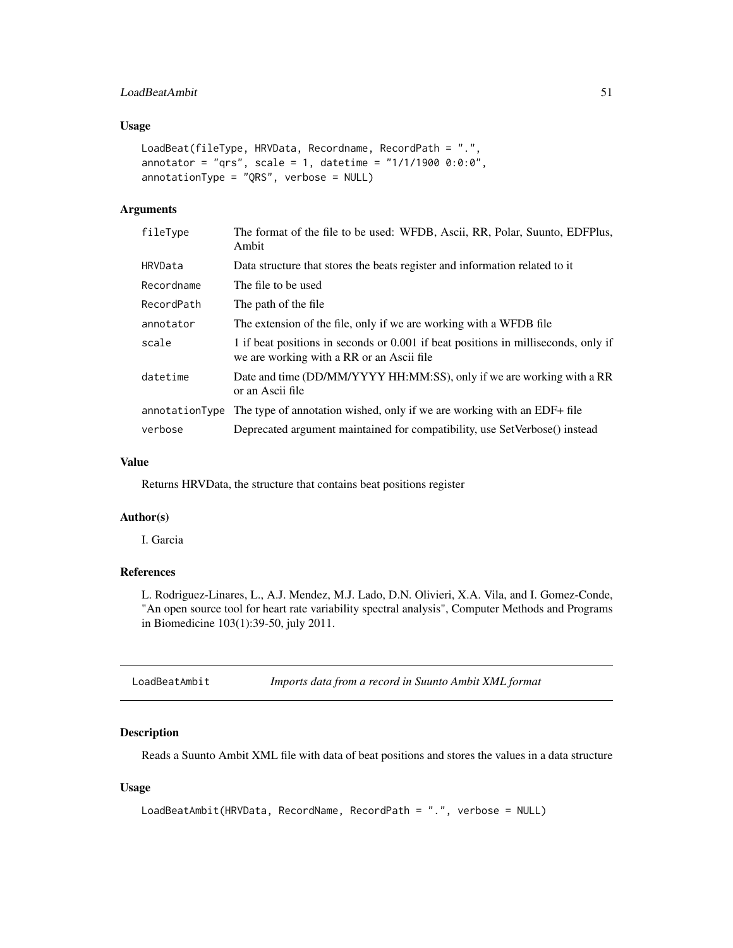## LoadBeatAmbit 51

## Usage

```
LoadBeat(fileType, HRVData, Recordname, RecordPath = ".",
annotator = "qrs", scale = 1, datetime = "1/1/1900 0:0:0",
annotationType = "QRS", verbose = NULL)
```
## Arguments

| fileType       | The format of the file to be used: WFDB, Ascii, RR, Polar, Suunto, EDFPlus,<br>Ambit                                            |
|----------------|---------------------------------------------------------------------------------------------------------------------------------|
| HRVData        | Data structure that stores the beats register and information related to it                                                     |
| Recordname     | The file to be used                                                                                                             |
| RecordPath     | The path of the file.                                                                                                           |
| annotator      | The extension of the file, only if we are working with a WFDB file                                                              |
| scale          | 1 if beat positions in seconds or 0.001 if beat positions in milliseconds, only if<br>we are working with a RR or an Ascii file |
| datetime       | Date and time (DD/MM/YYYY HH:MM:SS), only if we are working with a RR<br>or an Ascii file                                       |
| annotationType | The type of annotation wished, only if we are working with an EDF+ file                                                         |
| verbose        | Deprecated argument maintained for compatibility, use SetVerbose() instead                                                      |

## Value

Returns HRVData, the structure that contains beat positions register

## Author(s)

I. Garcia

## References

L. Rodriguez-Linares, L., A.J. Mendez, M.J. Lado, D.N. Olivieri, X.A. Vila, and I. Gomez-Conde, "An open source tool for heart rate variability spectral analysis", Computer Methods and Programs in Biomedicine 103(1):39-50, july 2011.

LoadBeatAmbit *Imports data from a record in Suunto Ambit XML format*

### Description

Reads a Suunto Ambit XML file with data of beat positions and stores the values in a data structure

```
LoadBeatAmbit(HRVData, RecordName, RecordPath = ".", verbose = NULL)
```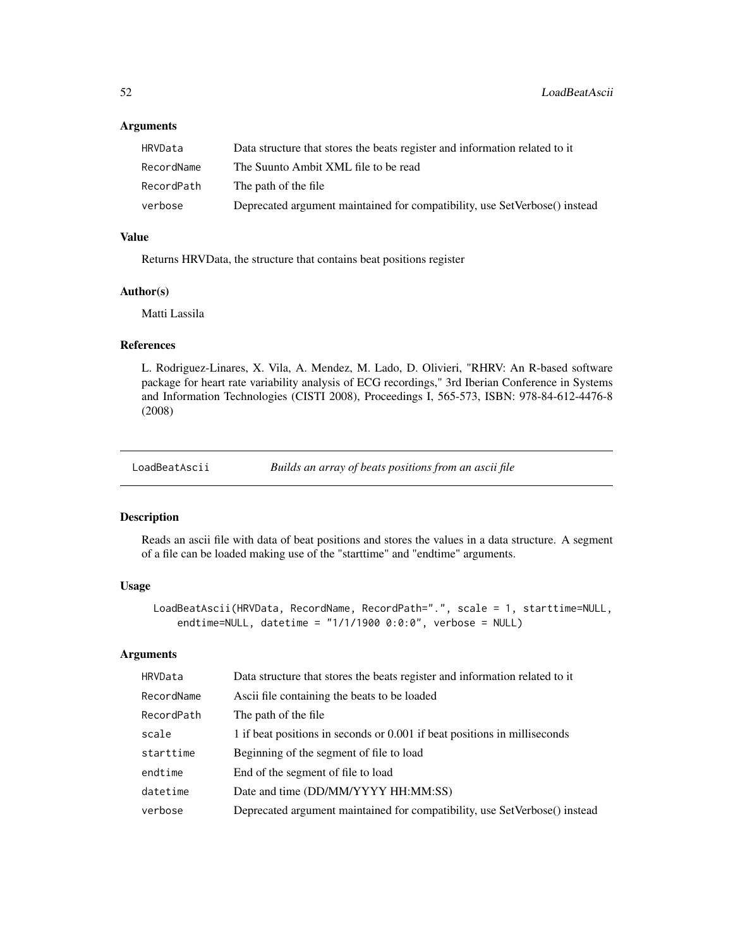## Arguments

| HRVData    | Data structure that stores the beats register and information related to it |
|------------|-----------------------------------------------------------------------------|
| RecordName | The Suunto Ambit XML file to be read                                        |
| RecordPath | The path of the file                                                        |
| verbose    | Deprecated argument maintained for compatibility, use SetVerbose() instead  |

## Value

Returns HRVData, the structure that contains beat positions register

## Author(s)

Matti Lassila

# References

L. Rodriguez-Linares, X. Vila, A. Mendez, M. Lado, D. Olivieri, "RHRV: An R-based software package for heart rate variability analysis of ECG recordings," 3rd Iberian Conference in Systems and Information Technologies (CISTI 2008), Proceedings I, 565-573, ISBN: 978-84-612-4476-8 (2008)

LoadBeatAscii *Builds an array of beats positions from an ascii file*

#### Description

Reads an ascii file with data of beat positions and stores the values in a data structure. A segment of a file can be loaded making use of the "starttime" and "endtime" arguments.

## Usage

```
LoadBeatAscii(HRVData, RecordName, RecordPath=".", scale = 1, starttime=NULL,
    endtime=NULL, datetime = "1/1/1900 0:0:0", verbose = NULL)
```
#### Arguments

| HRVData    | Data structure that stores the beats register and information related to it |
|------------|-----------------------------------------------------------------------------|
| RecordName | Ascii file containing the beats to be loaded                                |
| RecordPath | The path of the file.                                                       |
| scale      | 1 if beat positions in seconds or 0.001 if beat positions in milliseconds   |
| starttime  | Beginning of the segment of file to load                                    |
| endtime    | End of the segment of file to load                                          |
| datetime   | Date and time (DD/MM/YYYY HH:MM:SS)                                         |
| verbose    | Deprecated argument maintained for compatibility, use SetVerbose() instead  |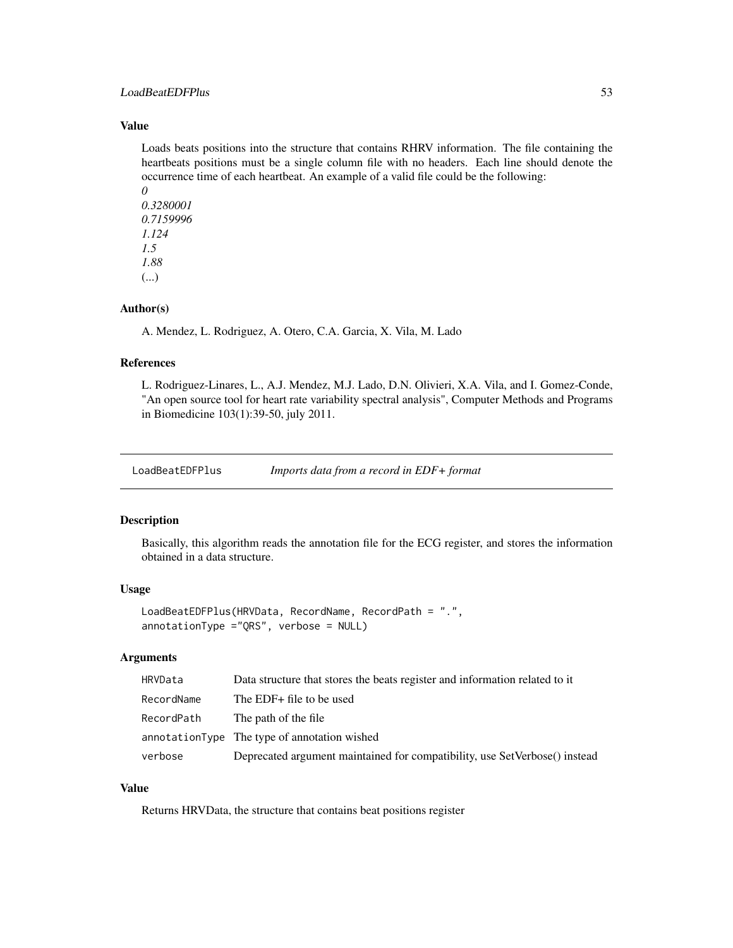## LoadBeatEDFPlus 53

## Value

Loads beats positions into the structure that contains RHRV information. The file containing the heartbeats positions must be a single column file with no headers. Each line should denote the occurrence time of each heartbeat. An example of a valid file could be the following:

*0 0.3280001 0.7159996 1.124 1.5 1.88* (...)

### Author(s)

A. Mendez, L. Rodriguez, A. Otero, C.A. Garcia, X. Vila, M. Lado

### References

L. Rodriguez-Linares, L., A.J. Mendez, M.J. Lado, D.N. Olivieri, X.A. Vila, and I. Gomez-Conde, "An open source tool for heart rate variability spectral analysis", Computer Methods and Programs in Biomedicine 103(1):39-50, july 2011.

LoadBeatEDFPlus *Imports data from a record in EDF+ format*

### Description

Basically, this algorithm reads the annotation file for the ECG register, and stores the information obtained in a data structure.

#### Usage

```
LoadBeatEDFPlus(HRVData, RecordName, RecordPath = ".",
annotationType ="QRS", verbose = NULL)
```
## Arguments

| HRVData    | Data structure that stores the beats register and information related to it |
|------------|-----------------------------------------------------------------------------|
| RecordName | The EDF+ file to be used                                                    |
| RecordPath | The path of the file                                                        |
|            | annotationType The type of annotation wished                                |
| verbose    | Deprecated argument maintained for compatibility, use SetVerbose() instead  |

# Value

Returns HRVData, the structure that contains beat positions register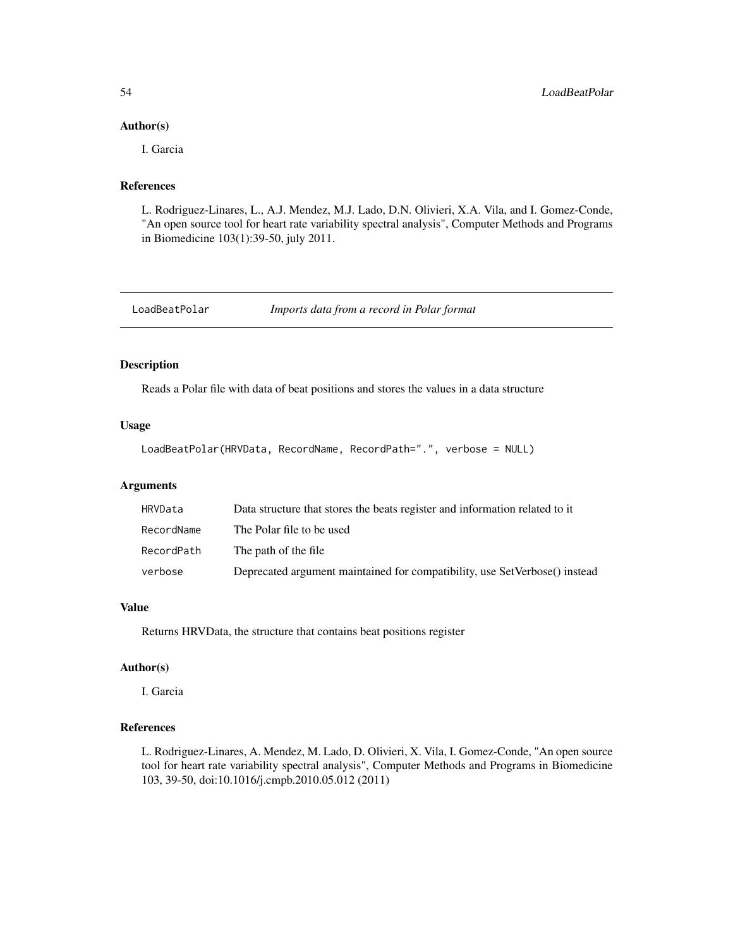#### Author(s)

I. Garcia

# References

L. Rodriguez-Linares, L., A.J. Mendez, M.J. Lado, D.N. Olivieri, X.A. Vila, and I. Gomez-Conde, "An open source tool for heart rate variability spectral analysis", Computer Methods and Programs in Biomedicine 103(1):39-50, july 2011.

LoadBeatPolar *Imports data from a record in Polar format*

## Description

Reads a Polar file with data of beat positions and stores the values in a data structure

#### Usage

```
LoadBeatPolar(HRVData, RecordName, RecordPath=".", verbose = NULL)
```
### Arguments

| HRVData    | Data structure that stores the beats register and information related to it |
|------------|-----------------------------------------------------------------------------|
| RecordName | The Polar file to be used                                                   |
| RecordPath | The path of the file                                                        |
| verbose    | Deprecated argument maintained for compatibility, use SetVerbose() instead  |

## Value

Returns HRVData, the structure that contains beat positions register

# Author(s)

I. Garcia

# References

L. Rodriguez-Linares, A. Mendez, M. Lado, D. Olivieri, X. Vila, I. Gomez-Conde, "An open source tool for heart rate variability spectral analysis", Computer Methods and Programs in Biomedicine 103, 39-50, doi:10.1016/j.cmpb.2010.05.012 (2011)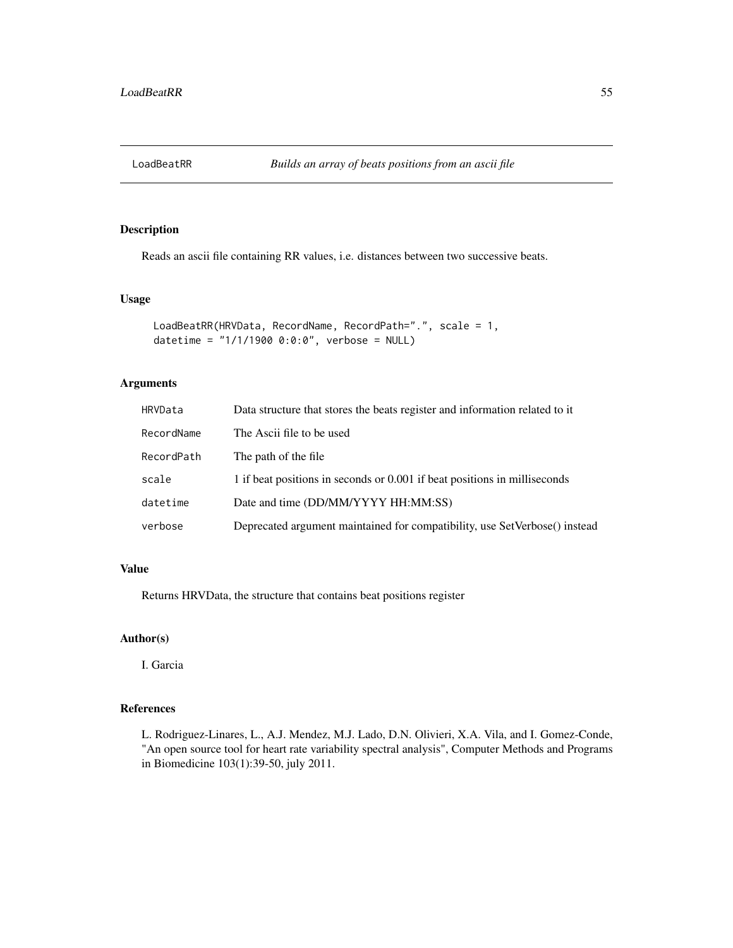## Description

Reads an ascii file containing RR values, i.e. distances between two successive beats.

#### Usage

```
LoadBeatRR(HRVData, RecordName, RecordPath=".", scale = 1,
datetime = "1/1/1900 0:0:0", verbose = NULL)
```
# Arguments

| HRVData    | Data structure that stores the beats register and information related to it |
|------------|-----------------------------------------------------------------------------|
| RecordName | The Ascii file to be used                                                   |
| RecordPath | The path of the file.                                                       |
| scale      | 1 if beat positions in seconds or 0.001 if beat positions in milliseconds   |
| datetime   | Date and time (DD/MM/YYYY HH:MM:SS)                                         |
| verbose    | Deprecated argument maintained for compatibility, use SetVerbose() instead  |

## Value

Returns HRVData, the structure that contains beat positions register

## Author(s)

I. Garcia

# References

L. Rodriguez-Linares, L., A.J. Mendez, M.J. Lado, D.N. Olivieri, X.A. Vila, and I. Gomez-Conde, "An open source tool for heart rate variability spectral analysis", Computer Methods and Programs in Biomedicine 103(1):39-50, july 2011.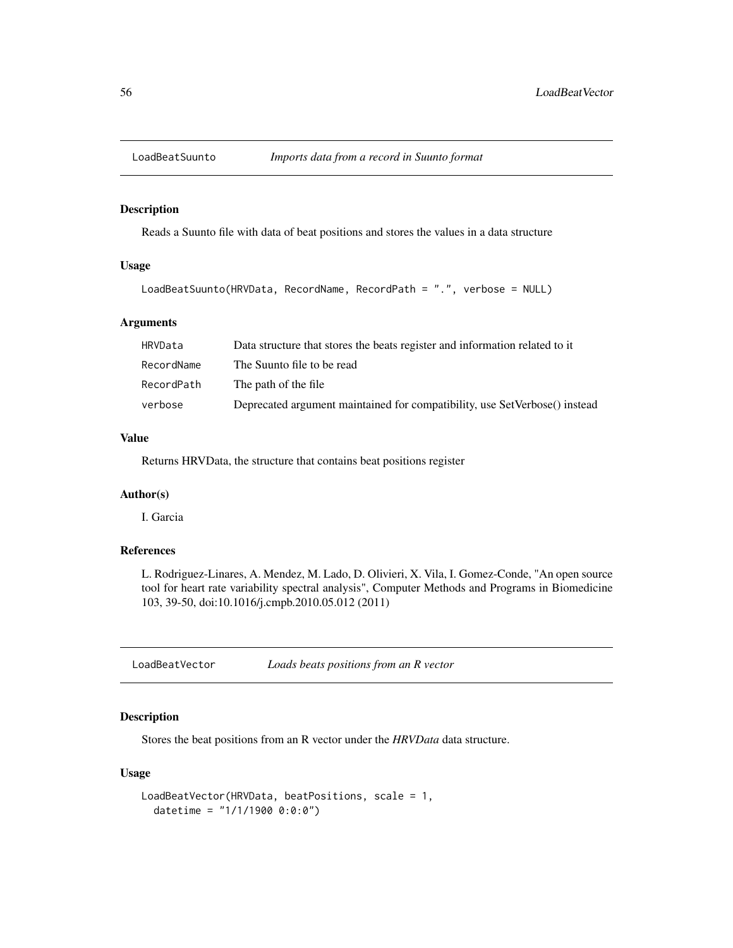## Description

Reads a Suunto file with data of beat positions and stores the values in a data structure

## Usage

```
LoadBeatSuunto(HRVData, RecordName, RecordPath = ".", verbose = NULL)
```
## Arguments

| HRVData    | Data structure that stores the beats register and information related to it |
|------------|-----------------------------------------------------------------------------|
| RecordName | The Suunto file to be read                                                  |
| RecordPath | The path of the file                                                        |
| verbose    | Deprecated argument maintained for compatibility, use SetVerbose() instead  |

## Value

Returns HRVData, the structure that contains beat positions register

## Author(s)

I. Garcia

# References

L. Rodriguez-Linares, A. Mendez, M. Lado, D. Olivieri, X. Vila, I. Gomez-Conde, "An open source tool for heart rate variability spectral analysis", Computer Methods and Programs in Biomedicine 103, 39-50, doi:10.1016/j.cmpb.2010.05.012 (2011)

LoadBeatVector *Loads beats positions from an R vector*

## Description

Stores the beat positions from an R vector under the *HRVData* data structure.

```
LoadBeatVector(HRVData, beatPositions, scale = 1,
  datetime = "1/1/1900 0:0:0")
```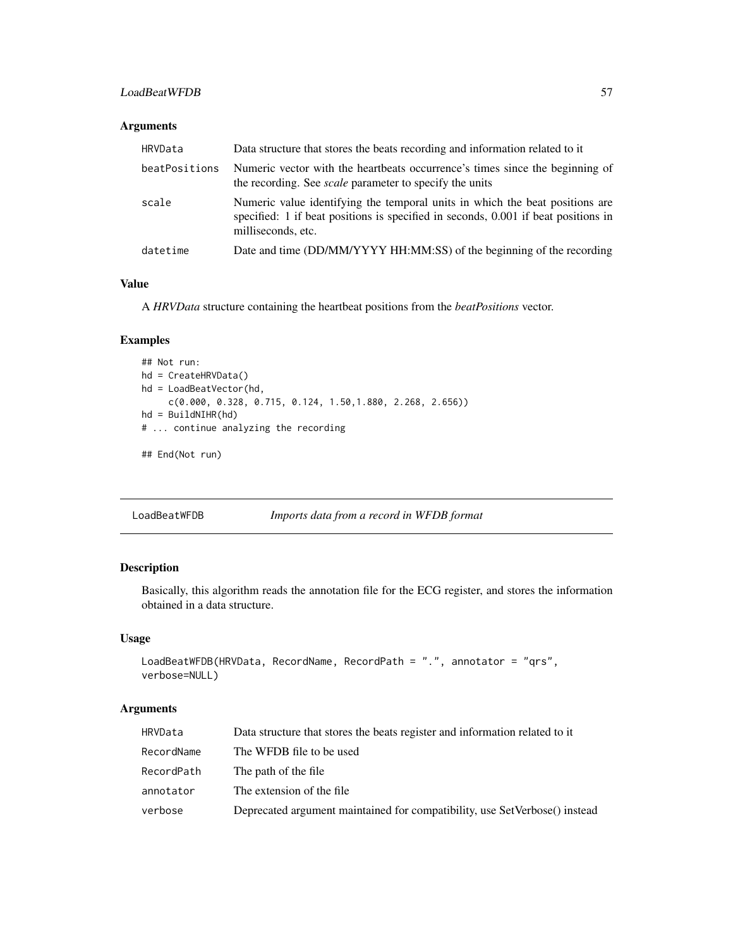## LoadBeatWFDB 57

## Arguments

| HRVData       | Data structure that stores the beats recording and information related to it                                                                                                             |
|---------------|------------------------------------------------------------------------------------------------------------------------------------------------------------------------------------------|
| beatPositions | Numeric vector with the heartbeats occurrence's times since the beginning of<br>the recording. See <i>scale</i> parameter to specify the units                                           |
| scale         | Numeric value identifying the temporal units in which the beat positions are<br>specified: 1 if beat positions is specified in seconds, 0.001 if beat positions in<br>milliseconds, etc. |
| datetime      | Date and time (DD/MM/YYYY HH:MM:SS) of the beginning of the recording                                                                                                                    |

## Value

A *HRVData* structure containing the heartbeat positions from the *beatPositions* vector.

## Examples

```
## Not run:
hd = CreateHRVData()
hd = LoadBeatVector(hd,
     c(0.000, 0.328, 0.715, 0.124, 1.50,1.880, 2.268, 2.656))
hd = BuildNIHR(hd)
# ... continue analyzing the recording
```
## End(Not run)

LoadBeatWFDB *Imports data from a record in WFDB format*

## Description

Basically, this algorithm reads the annotation file for the ECG register, and stores the information obtained in a data structure.

## Usage

```
LoadBeatWFDB(HRVData, RecordName, RecordPath = ".", annotator = "qrs",
verbose=NULL)
```
## Arguments

| HRVData    | Data structure that stores the beats register and information related to it |
|------------|-----------------------------------------------------------------------------|
| RecordName | The WFDB file to be used                                                    |
| RecordPath | The path of the file                                                        |
| annotator  | The extension of the file.                                                  |
| verbose    | Deprecated argument maintained for compatibility, use SetVerbose() instead  |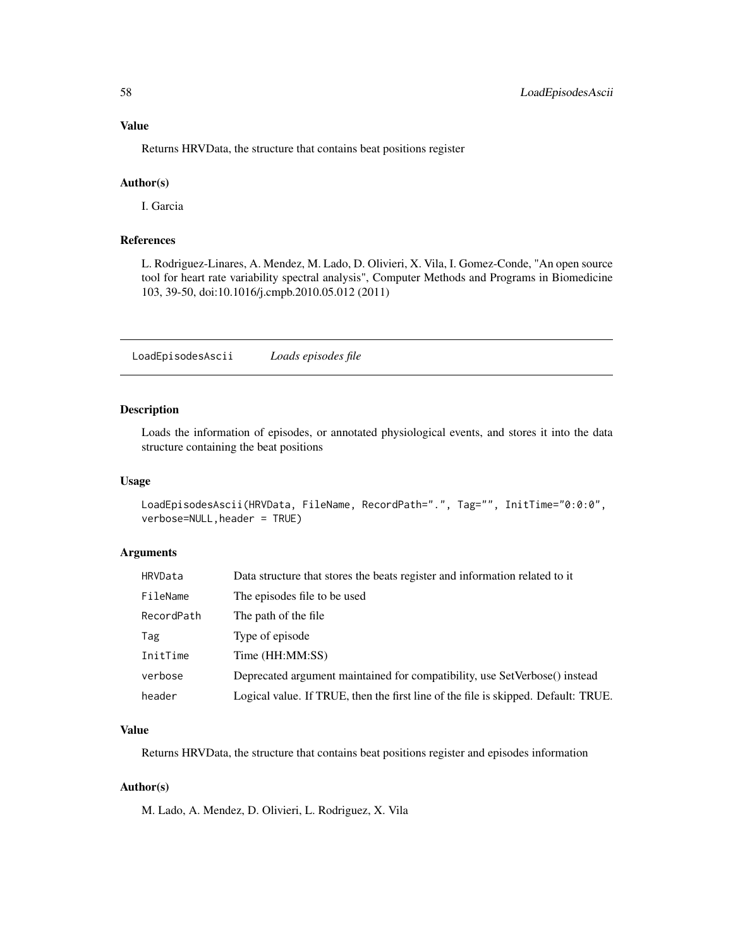Returns HRVData, the structure that contains beat positions register

### Author(s)

I. Garcia

### References

L. Rodriguez-Linares, A. Mendez, M. Lado, D. Olivieri, X. Vila, I. Gomez-Conde, "An open source tool for heart rate variability spectral analysis", Computer Methods and Programs in Biomedicine 103, 39-50, doi:10.1016/j.cmpb.2010.05.012 (2011)

LoadEpisodesAscii *Loads episodes file*

#### Description

Loads the information of episodes, or annotated physiological events, and stores it into the data structure containing the beat positions

## Usage

```
LoadEpisodesAscii(HRVData, FileName, RecordPath=".", Tag="", InitTime="0:0:0",
verbose=NULL,header = TRUE)
```
## Arguments

| HRVData    | Data structure that stores the beats register and information related to it        |
|------------|------------------------------------------------------------------------------------|
| FileName   | The episodes file to be used                                                       |
| RecordPath | The path of the file.                                                              |
| Tag        | Type of episode                                                                    |
| InitTime   | Time (HH:MM:SS)                                                                    |
| verbose    | Deprecated argument maintained for compatibility, use SetVerbose() instead         |
| header     | Logical value. If TRUE, then the first line of the file is skipped. Default: TRUE. |

## Value

Returns HRVData, the structure that contains beat positions register and episodes information

#### Author(s)

M. Lado, A. Mendez, D. Olivieri, L. Rodriguez, X. Vila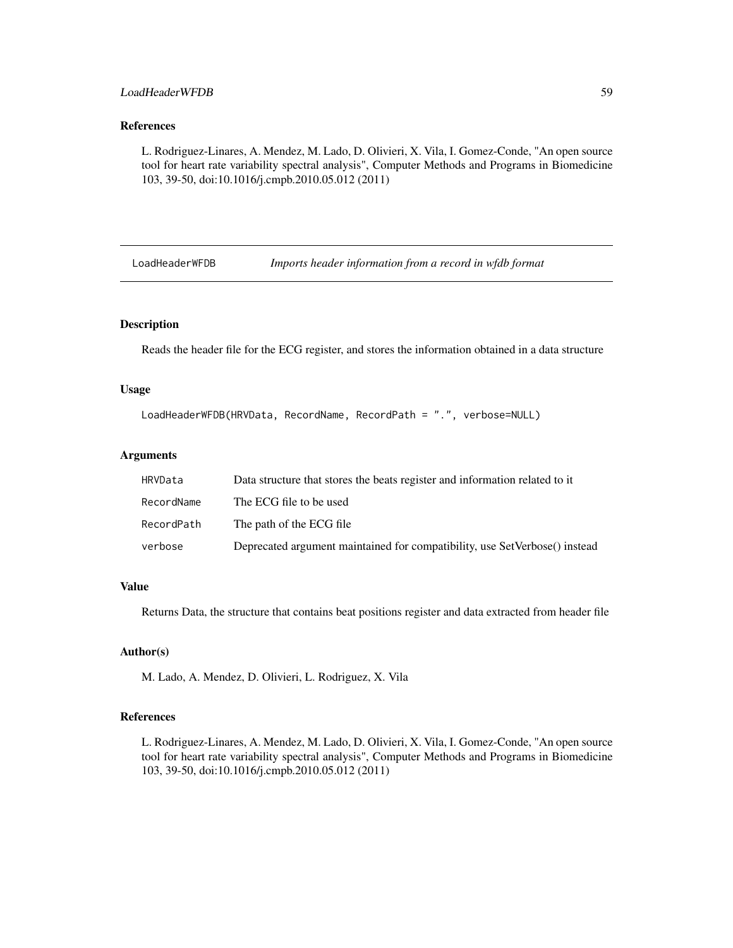## LoadHeaderWFDB 59

## References

L. Rodriguez-Linares, A. Mendez, M. Lado, D. Olivieri, X. Vila, I. Gomez-Conde, "An open source tool for heart rate variability spectral analysis", Computer Methods and Programs in Biomedicine 103, 39-50, doi:10.1016/j.cmpb.2010.05.012 (2011)

LoadHeaderWFDB *Imports header information from a record in wfdb format*

### Description

Reads the header file for the ECG register, and stores the information obtained in a data structure

## Usage

```
LoadHeaderWFDB(HRVData, RecordName, RecordPath = ".", verbose=NULL)
```
### Arguments

| HRVData    | Data structure that stores the beats register and information related to it |
|------------|-----------------------------------------------------------------------------|
| RecordName | The ECG file to be used                                                     |
| RecordPath | The path of the ECG file                                                    |
| verbose    | Deprecated argument maintained for compatibility, use SetVerbose() instead  |

## Value

Returns Data, the structure that contains beat positions register and data extracted from header file

## Author(s)

M. Lado, A. Mendez, D. Olivieri, L. Rodriguez, X. Vila

#### References

L. Rodriguez-Linares, A. Mendez, M. Lado, D. Olivieri, X. Vila, I. Gomez-Conde, "An open source tool for heart rate variability spectral analysis", Computer Methods and Programs in Biomedicine 103, 39-50, doi:10.1016/j.cmpb.2010.05.012 (2011)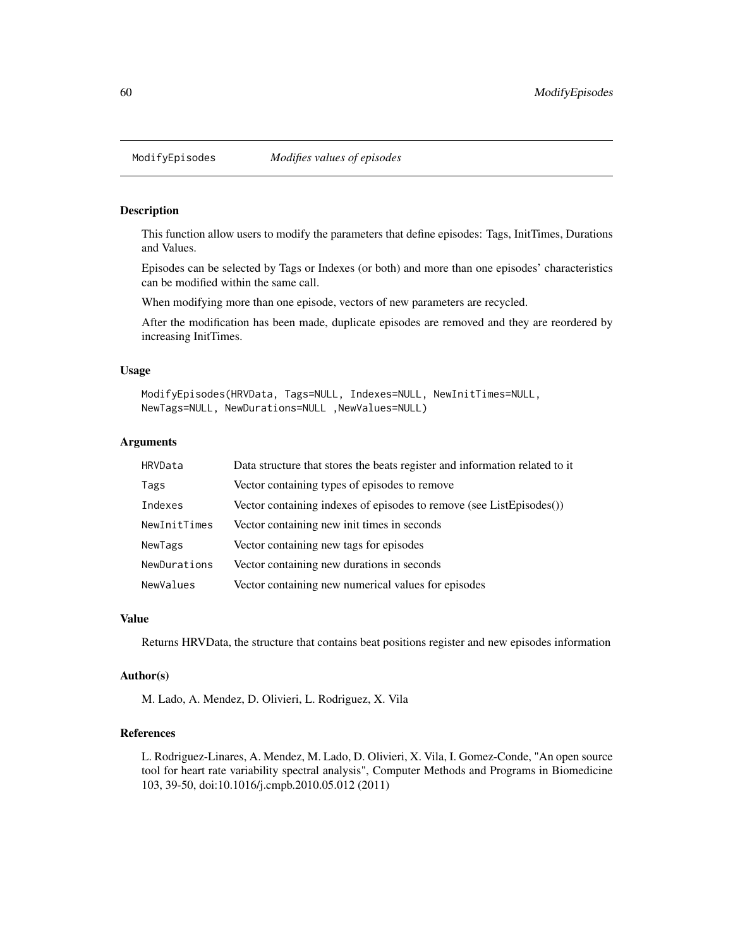## Description

This function allow users to modify the parameters that define episodes: Tags, InitTimes, Durations and Values.

Episodes can be selected by Tags or Indexes (or both) and more than one episodes' characteristics can be modified within the same call.

When modifying more than one episode, vectors of new parameters are recycled.

After the modification has been made, duplicate episodes are removed and they are reordered by increasing InitTimes.

### Usage

```
ModifyEpisodes(HRVData, Tags=NULL, Indexes=NULL, NewInitTimes=NULL,
NewTags=NULL, NewDurations=NULL ,NewValues=NULL)
```
#### Arguments

| HRVData      | Data structure that stores the beats register and information related to it |
|--------------|-----------------------------------------------------------------------------|
| Tags         | Vector containing types of episodes to remove                               |
| Indexes      | Vector containing indexes of episodes to remove (see ListEpisodes())        |
| NewInitTimes | Vector containing new init times in seconds                                 |
| NewTags      | Vector containing new tags for episodes                                     |
| NewDurations | Vector containing new durations in seconds                                  |
| NewValues    | Vector containing new numerical values for episodes                         |

#### Value

Returns HRVData, the structure that contains beat positions register and new episodes information

#### Author(s)

M. Lado, A. Mendez, D. Olivieri, L. Rodriguez, X. Vila

#### References

L. Rodriguez-Linares, A. Mendez, M. Lado, D. Olivieri, X. Vila, I. Gomez-Conde, "An open source tool for heart rate variability spectral analysis", Computer Methods and Programs in Biomedicine 103, 39-50, doi:10.1016/j.cmpb.2010.05.012 (2011)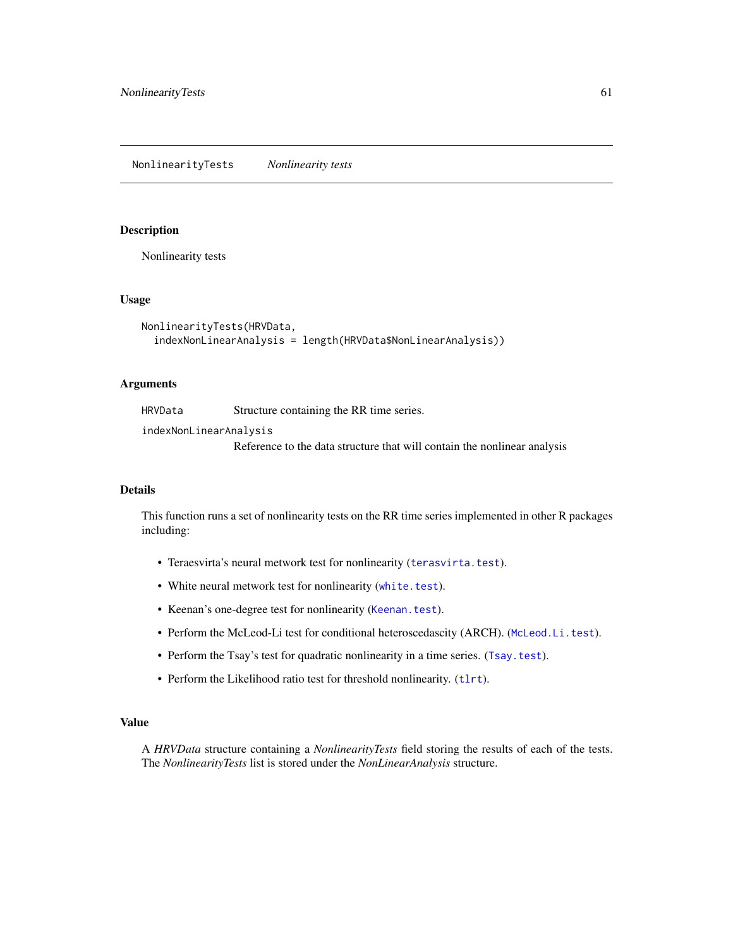NonlinearityTests *Nonlinearity tests*

## Description

Nonlinearity tests

#### Usage

```
NonlinearityTests(HRVData,
  indexNonLinearAnalysis = length(HRVData$NonLinearAnalysis))
```
#### Arguments

HRVData Structure containing the RR time series.

indexNonLinearAnalysis

Reference to the data structure that will contain the nonlinear analysis

### Details

This function runs a set of nonlinearity tests on the RR time series implemented in other R packages including:

- Teraesvirta's neural metwork test for nonlinearity ([terasvirta.test](#page-0-0)).
- White neural metwork test for nonlinearity ([white.test](#page-0-0)).
- Keenan's one-degree test for nonlinearity ([Keenan.test](#page-0-0)).
- Perform the McLeod-Li test for conditional heteroscedascity (ARCH). ([McLeod.Li.test](#page-0-0)).
- Perform the Tsay's test for quadratic nonlinearity in a time series. ([Tsay.test](#page-0-0)).
- Perform the Likelihood ratio test for threshold nonlinearity. ([tlrt](#page-0-0)).

#### Value

A *HRVData* structure containing a *NonlinearityTests* field storing the results of each of the tests. The *NonlinearityTests* list is stored under the *NonLinearAnalysis* structure.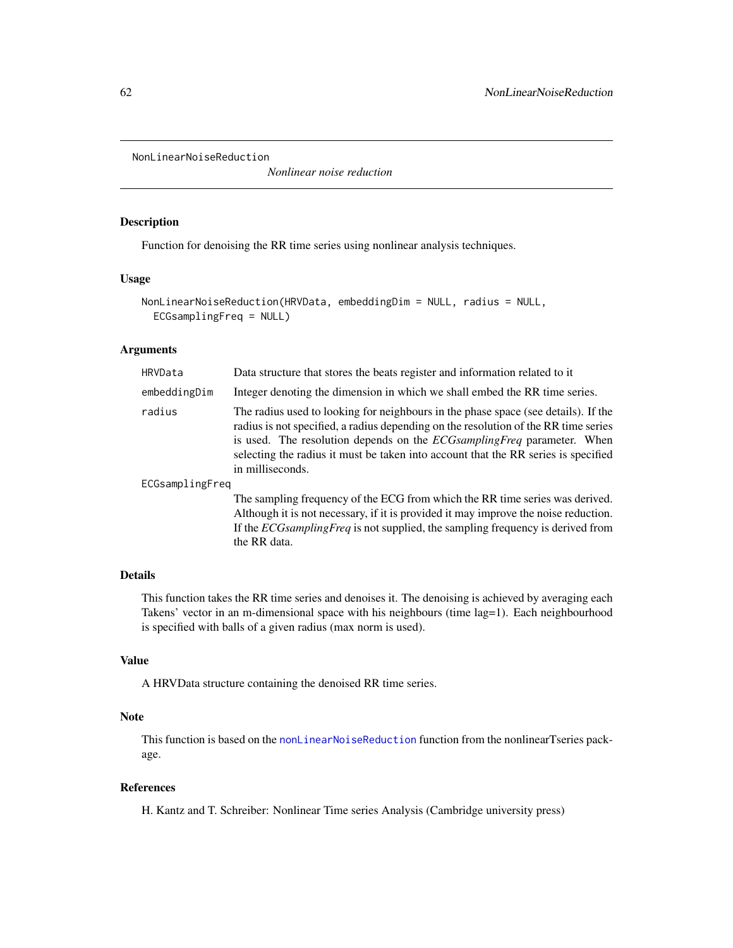```
NonLinearNoiseReduction
```
*Nonlinear noise reduction*

#### Description

Function for denoising the RR time series using nonlinear analysis techniques.

### Usage

```
NonLinearNoiseReduction(HRVData, embeddingDim = NULL, radius = NULL,
 ECGsamplingFreq = NULL)
```
# Arguments

| HRVData         | Data structure that stores the beats register and information related to it                                                                                                                                                                                                                                                                                          |
|-----------------|----------------------------------------------------------------------------------------------------------------------------------------------------------------------------------------------------------------------------------------------------------------------------------------------------------------------------------------------------------------------|
| embeddingDim    | Integer denoting the dimension in which we shall embed the RR time series.                                                                                                                                                                                                                                                                                           |
| radius          | The radius used to looking for neighbours in the phase space (see details). If the<br>radius is not specified, a radius depending on the resolution of the RR time series<br>is used. The resolution depends on the <i>ECGsamplingFreq</i> parameter. When<br>selecting the radius it must be taken into account that the RR series is specified<br>in milliseconds. |
| ECGsamplingFreq |                                                                                                                                                                                                                                                                                                                                                                      |
|                 | The sampling frequency of the ECG from which the RR time series was derived.<br>Although it is not necessary, if it is provided it may improve the noise reduction.                                                                                                                                                                                                  |

Details

This function takes the RR time series and denoises it. The denoising is achieved by averaging each Takens' vector in an m-dimensional space with his neighbours (time lag=1). Each neighbourhood is specified with balls of a given radius (max norm is used).

If the *ECGsamplingFreq* is not supplied, the sampling frequency is derived from

### Value

A HRVData structure containing the denoised RR time series.

the RR data.

## Note

This function is based on the [nonLinearNoiseReduction](#page-0-0) function from the nonlinearTseries package.

## References

H. Kantz and T. Schreiber: Nonlinear Time series Analysis (Cambridge university press)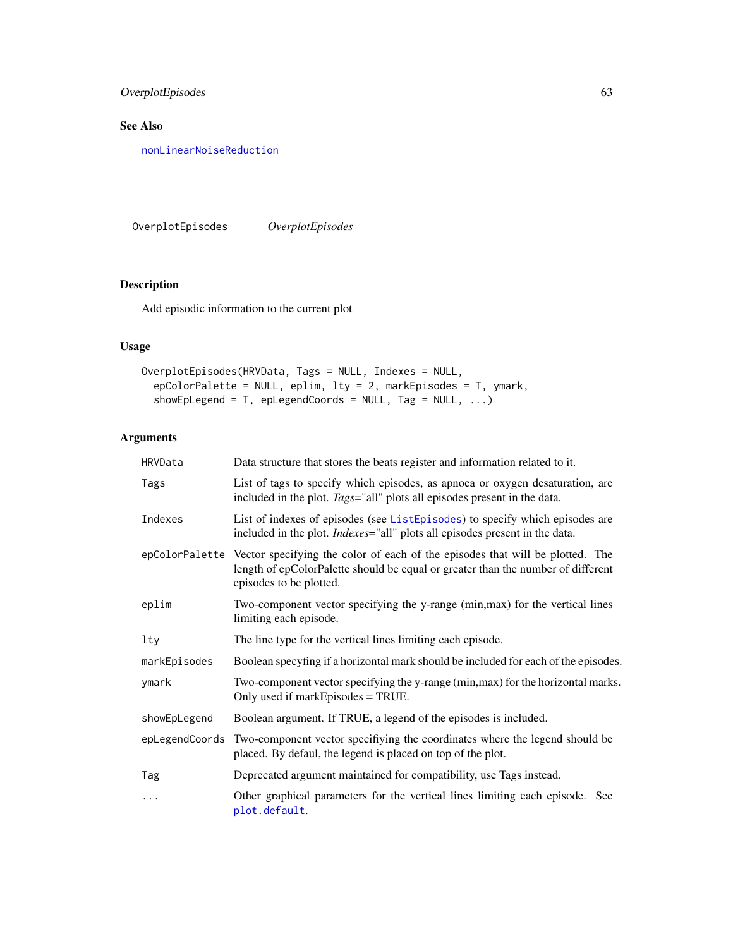# OverplotEpisodes 63

# See Also

[nonLinearNoiseReduction](#page-0-0)

OverplotEpisodes *OverplotEpisodes*

# Description

Add episodic information to the current plot

# Usage

```
OverplotEpisodes(HRVData, Tags = NULL, Indexes = NULL,
 epColorPalette = NULL, eplim, lty = 2, markEpisodes = T, ymark,
 showEpLegend = T, epLegendCoords = NULL, Tag = NULL, ...)
```
# Arguments

| HRVData        | Data structure that stores the beats register and information related to it.                                                                                                                                |
|----------------|-------------------------------------------------------------------------------------------------------------------------------------------------------------------------------------------------------------|
| Tags           | List of tags to specify which episodes, as apnoea or oxygen desaturation, are<br>included in the plot. Tags="all" plots all episodes present in the data.                                                   |
| Indexes        | List of indexes of episodes (see ListEpisodes) to specify which episodes are<br>included in the plot. Indexes="all" plots all episodes present in the data.                                                 |
|                | epColorPalette Vector specifying the color of each of the episodes that will be plotted. The<br>length of epColorPalette should be equal or greater than the number of different<br>episodes to be plotted. |
| eplim          | Two-component vector specifying the y-range (min, max) for the vertical lines<br>limiting each episode.                                                                                                     |
| $1$ ty         | The line type for the vertical lines limiting each episode.                                                                                                                                                 |
| markEpisodes   | Boolean specyfing if a horizontal mark should be included for each of the episodes.                                                                                                                         |
| ymark          | Two-component vector specifying the y-range (min, max) for the horizontal marks.<br>Only used if markEpisodes = TRUE.                                                                                       |
| showEpLegend   | Boolean argument. If TRUE, a legend of the episodes is included.                                                                                                                                            |
| epLegendCoords | Two-component vector specifiying the coordinates where the legend should be<br>placed. By defaul, the legend is placed on top of the plot.                                                                  |
| Tag            | Deprecated argument maintained for compatibility, use Tags instead.                                                                                                                                         |
| .              | Other graphical parameters for the vertical lines limiting each episode. See<br>plot.default.                                                                                                               |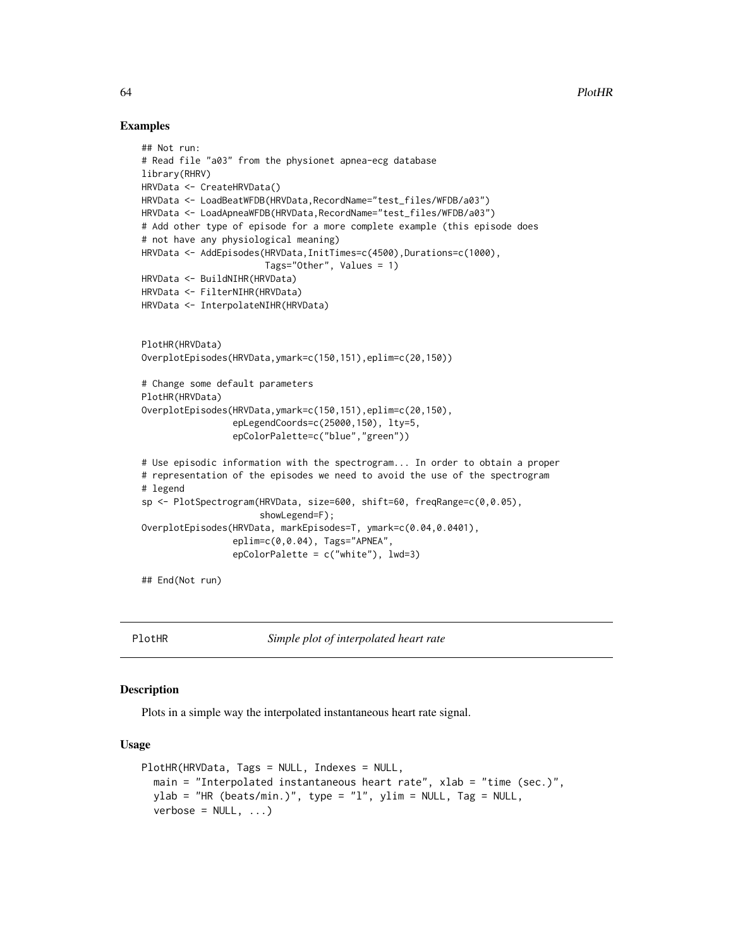### Examples

```
## Not run:
# Read file "a03" from the physionet apnea-ecg database
library(RHRV)
HRVData <- CreateHRVData()
HRVData <- LoadBeatWFDB(HRVData,RecordName="test_files/WFDB/a03")
HRVData <- LoadApneaWFDB(HRVData, RecordName="test_files/WFDB/a03")
# Add other type of episode for a more complete example (this episode does
# not have any physiological meaning)
HRVData <- AddEpisodes(HRVData,InitTimes=c(4500),Durations=c(1000),
                       Tags="Other", Values = 1)
HRVData <- BuildNIHR(HRVData)
HRVData <- FilterNIHR(HRVData)
HRVData <- InterpolateNIHR(HRVData)
PlotHR(HRVData)
OverplotEpisodes(HRVData,ymark=c(150,151),eplim=c(20,150))
# Change some default parameters
PlotHR(HRVData)
OverplotEpisodes(HRVData,ymark=c(150,151),eplim=c(20,150),
                 epLegendCoords=c(25000,150), lty=5,
                 epColorPalette=c("blue","green"))
# Use episodic information with the spectrogram... In order to obtain a proper
# representation of the episodes we need to avoid the use of the spectrogram
# legend
sp <- PlotSpectrogram(HRVData, size=600, shift=60, freqRange=c(0,0.05),
                      showLegend=F);
OverplotEpisodes(HRVData, markEpisodes=T, ymark=c(0.04,0.0401),
                 eplim=c(0,0.04), Tags="APNEA",
                 epColorPalette = c("white"), lwd=3)
```
## End(Not run)

PlotHR *Simple plot of interpolated heart rate*

## **Description**

Plots in a simple way the interpolated instantaneous heart rate signal.

```
PlotHR(HRVData, Tags = NULL, Indexes = NULL,
 main = "Interpolated instantaneous heart rate", xlab = "time (sec.)",
 ylab = "HR (beats/min.)", type = "l", ylim = NULL, Tag = NULL,
 verbose = NULL, ...)
```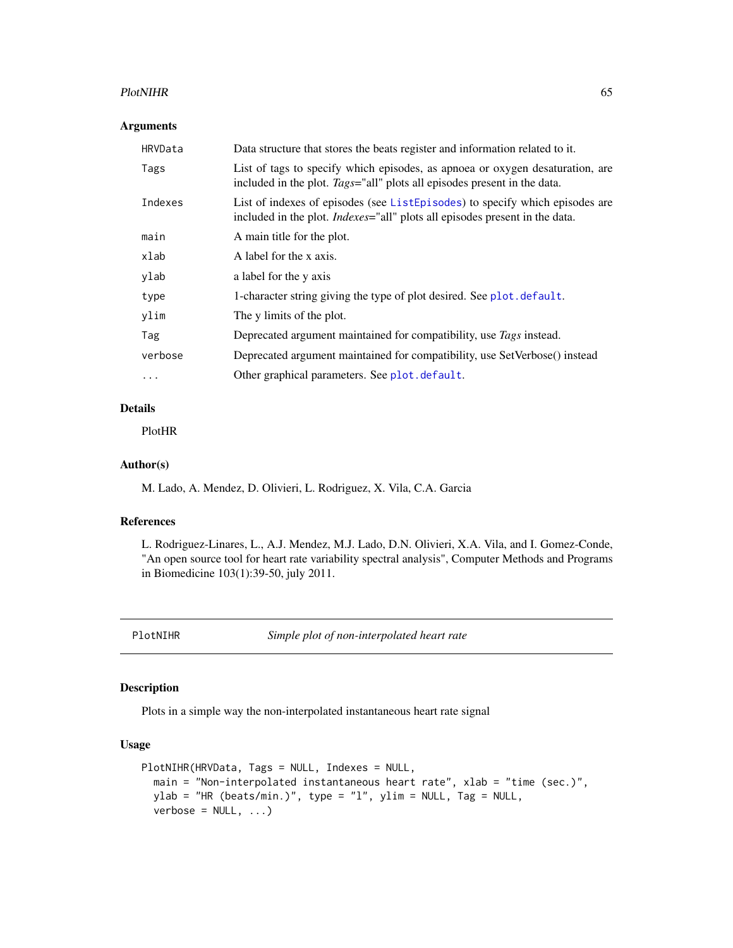#### PlotNIHR 65

## Arguments

| HRVData  | Data structure that stores the beats register and information related to it.                                                                                        |
|----------|---------------------------------------------------------------------------------------------------------------------------------------------------------------------|
| Tags     | List of tags to specify which episodes, as apnoea or oxygen desaturation, are<br>included in the plot. Tags="all" plots all episodes present in the data.           |
| Indexes  | List of indexes of episodes (see ListEpisodes) to specify which episodes are<br>included in the plot. <i>Indexes</i> ="all" plots all episodes present in the data. |
| main     | A main title for the plot.                                                                                                                                          |
| xlab     | A label for the x axis.                                                                                                                                             |
| ylab     | a label for the y axis                                                                                                                                              |
| type     | 1-character string giving the type of plot desired. See plot . default.                                                                                             |
| ylim     | The y limits of the plot.                                                                                                                                           |
| Tag      | Deprecated argument maintained for compatibility, use Tags instead.                                                                                                 |
| verbose  | Deprecated argument maintained for compatibility, use SetVerbose() instead                                                                                          |
| $\cdots$ | Other graphical parameters. See plot.default.                                                                                                                       |

## Details

PlotHR

# Author(s)

M. Lado, A. Mendez, D. Olivieri, L. Rodriguez, X. Vila, C.A. Garcia

### References

L. Rodriguez-Linares, L., A.J. Mendez, M.J. Lado, D.N. Olivieri, X.A. Vila, and I. Gomez-Conde, "An open source tool for heart rate variability spectral analysis", Computer Methods and Programs in Biomedicine 103(1):39-50, july 2011.

PlotNIHR *Simple plot of non-interpolated heart rate*

## Description

Plots in a simple way the non-interpolated instantaneous heart rate signal

```
PlotNIHR(HRVData, Tags = NULL, Indexes = NULL,
 main = "Non-interpolated instantaneous heart rate", xlab = "time (sec.)",
 ylab = "HR (beats/min.)", type = "l", ylim = NULL, Tag = NULL,
 verbose = NULL, ...
```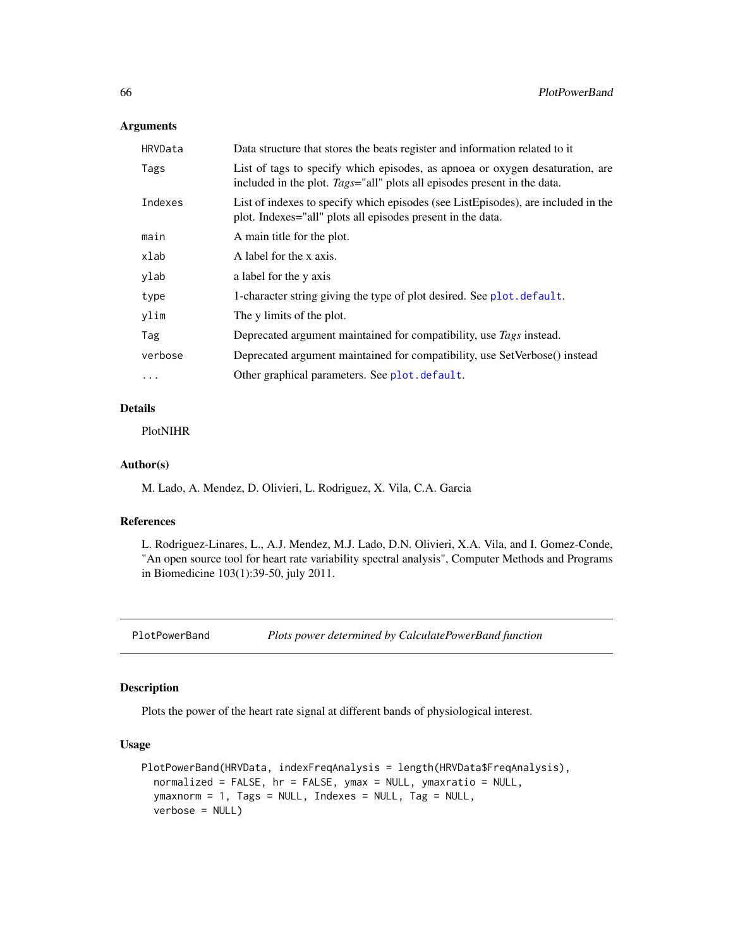## Arguments

| HRVData  | Data structure that stores the beats register and information related to it                                                                               |
|----------|-----------------------------------------------------------------------------------------------------------------------------------------------------------|
| Tags     | List of tags to specify which episodes, as appoea or oxygen desaturation, are<br>included in the plot. Tags="all" plots all episodes present in the data. |
| Indexes  | List of indexes to specify which episodes (see ListEpisodes), are included in the<br>plot. Indexes="all" plots all episodes present in the data.          |
| main     | A main title for the plot.                                                                                                                                |
| xlab     | A label for the x axis.                                                                                                                                   |
| ylab     | a label for the y axis                                                                                                                                    |
| type     | 1-character string giving the type of plot desired. See plot . default.                                                                                   |
| ylim     | The y limits of the plot.                                                                                                                                 |
| Tag      | Deprecated argument maintained for compatibility, use Tags instead.                                                                                       |
| verbose  | Deprecated argument maintained for compatibility, use SetVerbose() instead                                                                                |
| $\cdots$ | Other graphical parameters. See plot.default.                                                                                                             |

## Details

PlotNIHR

### Author(s)

M. Lado, A. Mendez, D. Olivieri, L. Rodriguez, X. Vila, C.A. Garcia

### References

L. Rodriguez-Linares, L., A.J. Mendez, M.J. Lado, D.N. Olivieri, X.A. Vila, and I. Gomez-Conde, "An open source tool for heart rate variability spectral analysis", Computer Methods and Programs in Biomedicine 103(1):39-50, july 2011.

PlotPowerBand *Plots power determined by CalculatePowerBand function*

### Description

Plots the power of the heart rate signal at different bands of physiological interest.

```
PlotPowerBand(HRVData, indexFreqAnalysis = length(HRVData$FreqAnalysis),
  normalized = FALSE, hr = FALSE, ymax = NULL, ymaxratio = NULL,
  ymaxnorm = 1, Tags = NULL, Indexes = NULL, Tag = NULL,
  verbose = NULL)
```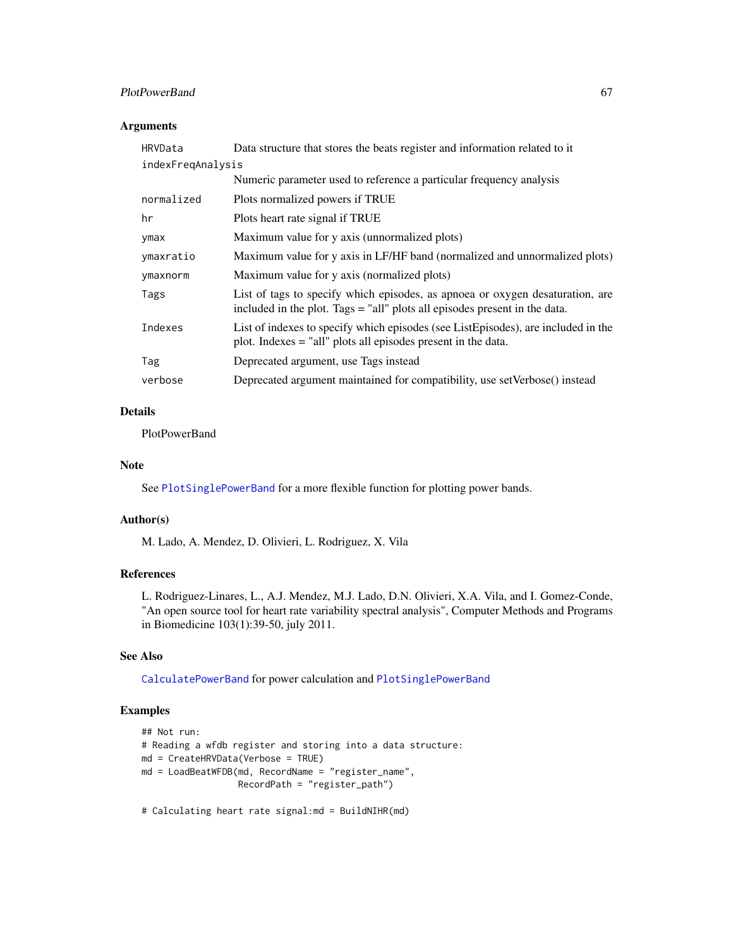## PlotPowerBand 67

## Arguments

| HRVData           | Data structure that stores the beats register and information related to it                                                                                 |
|-------------------|-------------------------------------------------------------------------------------------------------------------------------------------------------------|
| indexFreqAnalysis |                                                                                                                                                             |
|                   | Numeric parameter used to reference a particular frequency analysis                                                                                         |
| normalized        | Plots normalized powers if TRUE                                                                                                                             |
| hr                | Plots heart rate signal if TRUE                                                                                                                             |
| ymax              | Maximum value for y axis (unnormalized plots)                                                                                                               |
| ymaxratio         | Maximum value for y axis in LF/HF band (normalized and unnormalized plots)                                                                                  |
| ymaxnorm          | Maximum value for y axis (normalized plots)                                                                                                                 |
| Tags              | List of tags to specify which episodes, as apnoea or oxygen desaturation, are<br>included in the plot. Tags = "all" plots all episodes present in the data. |
| Indexes           | List of indexes to specify which episodes (see ListEpisodes), are included in the<br>plot. Indexes = "all" plots all episodes present in the data.          |
| Tag               | Deprecated argument, use Tags instead                                                                                                                       |
| verbose           | Deprecated argument maintained for compatibility, use setVerbose() instead                                                                                  |

## Details

PlotPowerBand

### Note

See [PlotSinglePowerBand](#page-69-0) for a more flexible function for plotting power bands.

## Author(s)

M. Lado, A. Mendez, D. Olivieri, L. Rodriguez, X. Vila

## References

L. Rodriguez-Linares, L., A.J. Mendez, M.J. Lado, D.N. Olivieri, X.A. Vila, and I. Gomez-Conde, "An open source tool for heart rate variability spectral analysis", Computer Methods and Programs in Biomedicine 103(1):39-50, july 2011.

## See Also

[CalculatePowerBand](#page-25-0) for power calculation and [PlotSinglePowerBand](#page-69-0)

# Examples

```
## Not run:
# Reading a wfdb register and storing into a data structure:
md = CreateHRVData(Verbose = TRUE)
md = LoadBeatWFDB(md, RecordName = "register_name",
                 RecordPath = "register_path")
```
# Calculating heart rate signal:md = BuildNIHR(md)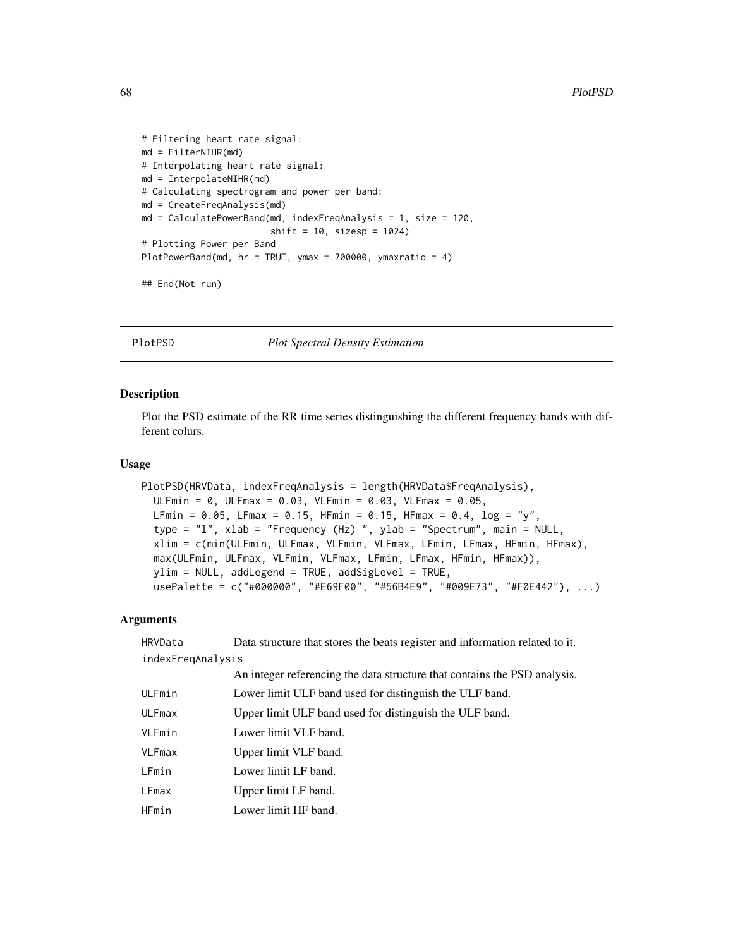```
# Filtering heart rate signal:
md = FilterNIHR(md)
# Interpolating heart rate signal:
md = InterpolateNIHR(md)
# Calculating spectrogram and power per band:
md = CreateFreqAnalysis(md)
md = CalculatePowerBand(md, indexFreqAnalysis = 1, size = 120,
                        shift = 10, sizesp = 1024)# Plotting Power per Band
PlotPowerBand(md, hr = TRUE, ymax = 700000, ymaxratio = 4)
## End(Not run)
```
PlotPSD *Plot Spectral Density Estimation*

## Description

Plot the PSD estimate of the RR time series distinguishing the different frequency bands with different colurs.

### Usage

```
PlotPSD(HRVData, indexFreqAnalysis = length(HRVData$FreqAnalysis),
  ULFmin = 0, ULFmax = 0.03, VLFmin = 0.03, VLFmax = 0.05,
  LFmin = 0.05, LFmax = 0.15, HFmin = 0.15, HFmax = 0.4, log = "y",type = "l", xlab = "Frequency (Hz) ", ylab = "Spectrum", main = NULL,
  xlim = c(min(ULFmin, ULFmax, VLFmin, VLFmax, LFmin, LFmax, HFmin, HFmax),
 max(ULFmin, ULFmax, VLFmin, VLFmax, LFmin, LFmax, HFmin, HFmax)),
 ylim = NULL, addLegend = TRUE, addSigLevel = TRUE,
  usePalette = c("#000000", "#E69F00", "#56B4E9", "#009E73", "#F0E442"), ...)
```
### Arguments

| HRVData           | Data structure that stores the beats register and information related to it. |
|-------------------|------------------------------------------------------------------------------|
| indexFregAnalysis |                                                                              |
|                   | An integer referencing the data structure that contains the PSD analysis.    |
| ULFmin            | Lower limit ULF band used for distinguish the ULF band.                      |
| ULFmax            | Upper limit ULF band used for distinguish the ULF band.                      |
| VLFmin            | Lower limit VLF band.                                                        |
| VLFmax            | Upper limit VLF band.                                                        |
| LFmin             | Lower limit LF band.                                                         |
| <b>LFmax</b>      | Upper limit LF band.                                                         |
| HFmin             | Lower limit HF band.                                                         |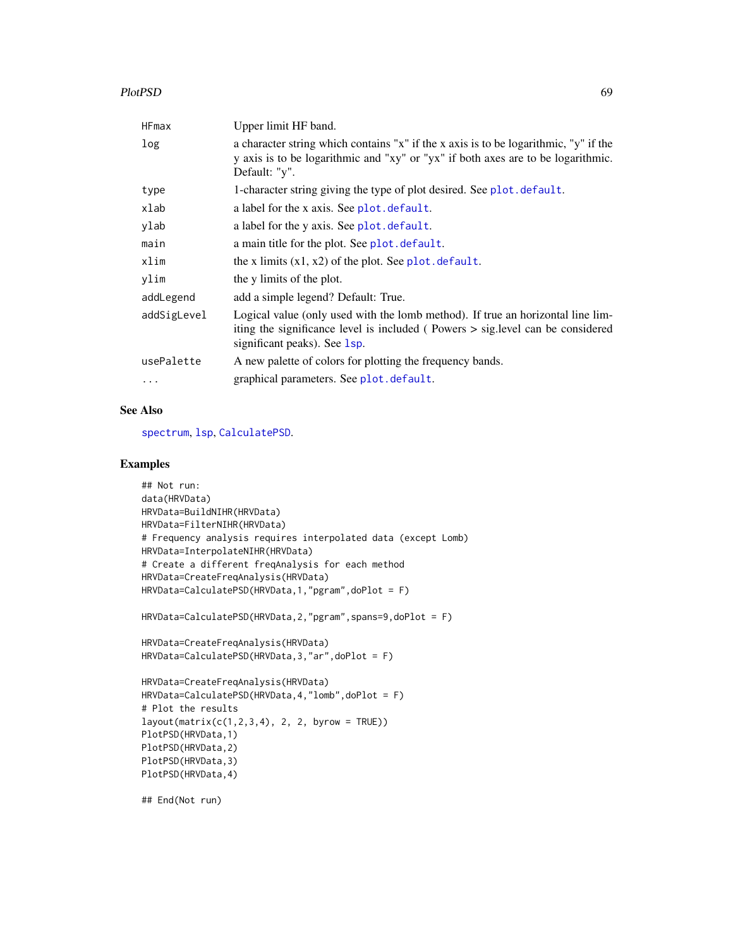### PlotPSD 69

| HFmax       | Upper limit HF band.                                                                                                                                                                              |
|-------------|---------------------------------------------------------------------------------------------------------------------------------------------------------------------------------------------------|
| log         | a character string which contains "x" if the x axis is to be logarithmic, "y" if the<br>y axis is to be logarithmic and "xy" or "yx" if both axes are to be logarithmic.<br>Default: "y".         |
| type        | 1-character string giving the type of plot desired. See plot.default.                                                                                                                             |
| xlab        | a label for the x axis. See plot. default.                                                                                                                                                        |
| ylab        | a label for the y axis. See plot. default.                                                                                                                                                        |
| main        | a main title for the plot. See plot. default.                                                                                                                                                     |
| xlim        | the x limits $(x1, x2)$ of the plot. See plot. default.                                                                                                                                           |
| ylim        | the y limits of the plot.                                                                                                                                                                         |
| addLegend   | add a simple legend? Default: True.                                                                                                                                                               |
| addSigLevel | Logical value (only used with the lomb method). If true an horizontal line lim-<br>iting the significance level is included (Powers > sig.level can be considered<br>significant peaks). See 1sp. |
| usePalette  | A new palette of colors for plotting the frequency bands.                                                                                                                                         |
| $\cdots$    | graphical parameters. See plot. default.                                                                                                                                                          |

# See Also

[spectrum](#page-0-0), [lsp](#page-0-0), [CalculatePSD](#page-27-0).

## Examples

```
## Not run:
data(HRVData)
HRVData=BuildNIHR(HRVData)
HRVData=FilterNIHR(HRVData)
# Frequency analysis requires interpolated data (except Lomb)
HRVData=InterpolateNIHR(HRVData)
# Create a different freqAnalysis for each method
HRVData=CreateFreqAnalysis(HRVData)
HRVData=CalculatePSD(HRVData,1,"pgram",doPlot = F)
HRVData=CalculatePSD(HRVData,2,"pgram",spans=9,doPlot = F)
HRVData=CreateFreqAnalysis(HRVData)
HRVData=CalculatePSD(HRVData,3,"ar",doPlot = F)
HRVData=CreateFreqAnalysis(HRVData)
HRVData=CalculatePSD(HRVData,4,"lomb",doPlot = F)
# Plot the results
layout(matrix(c(1,2,3,4), 2, 2, byrow = TRUE))
PlotPSD(HRVData,1)
PlotPSD(HRVData,2)
PlotPSD(HRVData,3)
PlotPSD(HRVData,4)
```
## End(Not run)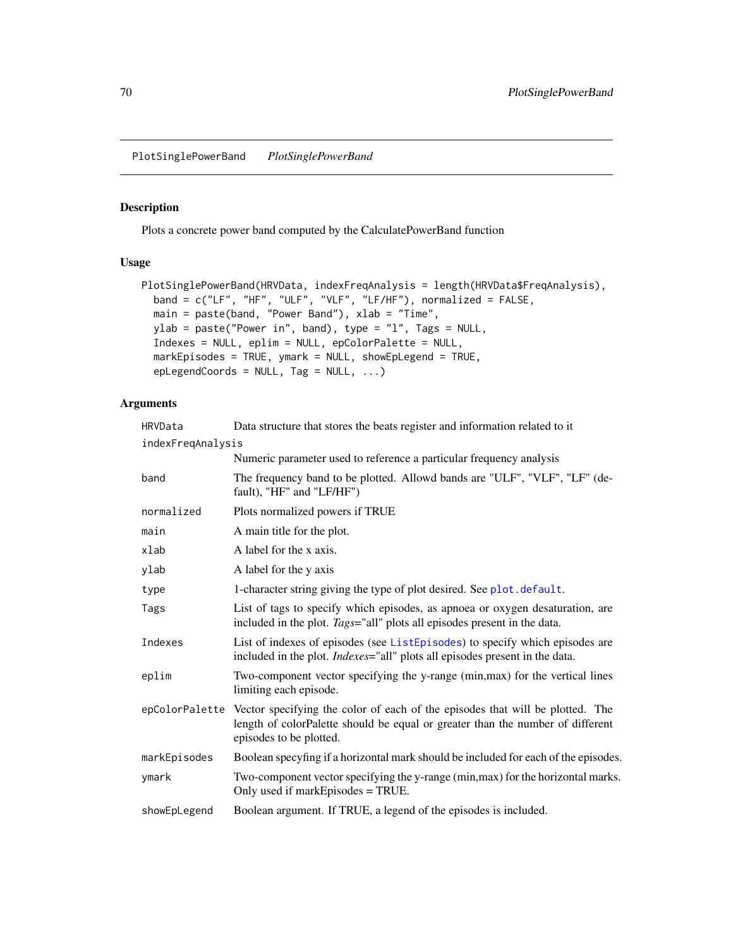<span id="page-69-0"></span>PlotSinglePowerBand *PlotSinglePowerBand*

## Description

Plots a concrete power band computed by the CalculatePowerBand function

## Usage

```
PlotSinglePowerBand(HRVData, indexFreqAnalysis = length(HRVData$FreqAnalysis),
 band = c("LF", "HF", "ULF", "VLF", "LF/HF"), normalized = FALSE,
 main = paste(band, "Power Band"), xlab = "Time",
 ylab = paste("Power in", band), type = "l", Tags = NULL,
  Indexes = NULL, eplim = NULL, epColorPalette = NULL,
 markEpisodes = TRUE, ymark = NULL, showEpLegend = TRUE,
 epLegendCoords = NULL, Tag = NULL, ...)
```
## Arguments

| HRVData           | Data structure that stores the beats register and information related to it                                                                                                                               |
|-------------------|-----------------------------------------------------------------------------------------------------------------------------------------------------------------------------------------------------------|
| indexFreqAnalysis |                                                                                                                                                                                                           |
|                   | Numeric parameter used to reference a particular frequency analysis                                                                                                                                       |
| band              | The frequency band to be plotted. Allowd bands are "ULF", "VLF", "LF" (de-<br>fault), "HF" and "LF/HF")                                                                                                   |
| normalized        | Plots normalized powers if TRUE                                                                                                                                                                           |
| main              | A main title for the plot.                                                                                                                                                                                |
| xlab              | A label for the x axis.                                                                                                                                                                                   |
| ylab              | A label for the y axis                                                                                                                                                                                    |
| type              | 1-character string giving the type of plot desired. See plot. default.                                                                                                                                    |
| Tags              | List of tags to specify which episodes, as apnoea or oxygen desaturation, are<br>included in the plot. Tags="all" plots all episodes present in the data.                                                 |
| Indexes           | List of indexes of episodes (see ListEpisodes) to specify which episodes are<br>included in the plot. <i>Indexes</i> ="all" plots all episodes present in the data.                                       |
| eplim             | Two-component vector specifying the y-range (min, max) for the vertical lines<br>limiting each episode.                                                                                                   |
|                   | epColorPalette Vector specifying the color of each of the episodes that will be plotted. The<br>length of colorPalette should be equal or greater than the number of different<br>episodes to be plotted. |
| markEpisodes      | Boolean specyfing if a horizontal mark should be included for each of the episodes.                                                                                                                       |
| ymark             | Two-component vector specifying the y-range (min, max) for the horizontal marks.<br>Only used if markEpisodes = TRUE.                                                                                     |
| showEpLegend      | Boolean argument. If TRUE, a legend of the episodes is included.                                                                                                                                          |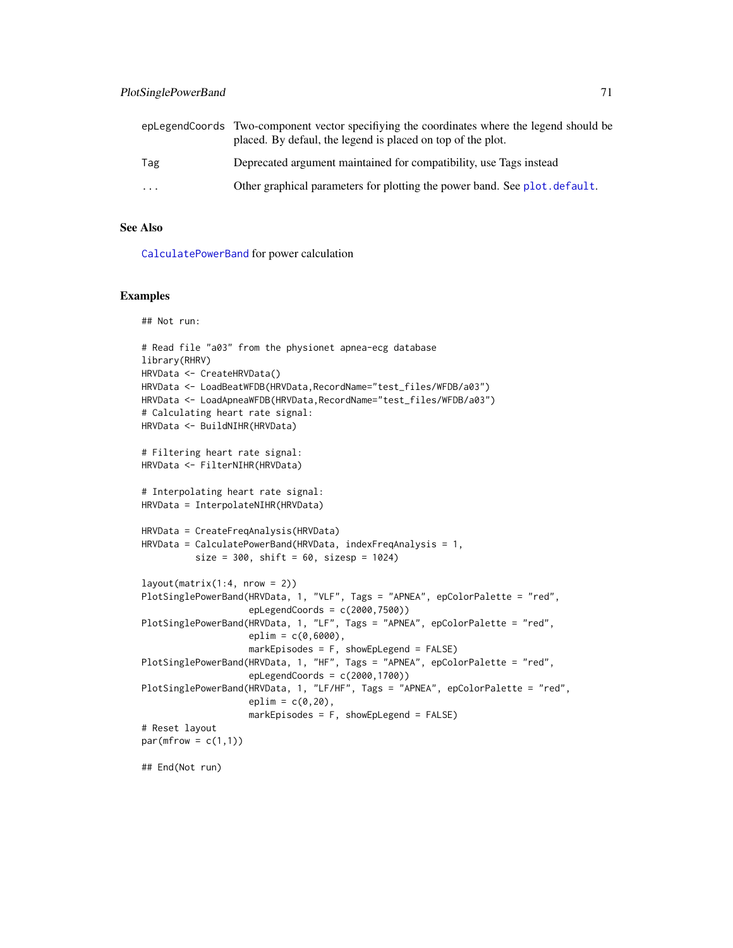|           | epLegendCoords Two-component vector specifiying the coordinates where the legend should be<br>placed. By defaul, the legend is placed on top of the plot. |
|-----------|-----------------------------------------------------------------------------------------------------------------------------------------------------------|
| Tag       | Deprecated argument maintained for compatibility, use Tags instead                                                                                        |
| $\ddotsc$ | Other graphical parameters for plotting the power band. See plot, default.                                                                                |

### See Also

[CalculatePowerBand](#page-25-0) for power calculation

## Examples

```
## Not run:
# Read file "a03" from the physionet apnea-ecg database
library(RHRV)
HRVData <- CreateHRVData()
HRVData <- LoadBeatWFDB(HRVData,RecordName="test_files/WFDB/a03")
HRVData <- LoadApneaWFDB(HRVData, RecordName="test_files/WFDB/a03")
# Calculating heart rate signal:
HRVData <- BuildNIHR(HRVData)
# Filtering heart rate signal:
HRVData <- FilterNIHR(HRVData)
# Interpolating heart rate signal:
HRVData = InterpolateNIHR(HRVData)
HRVData = CreateFreqAnalysis(HRVData)
HRVData = CalculatePowerBand(HRVData, indexFreqAnalysis = 1,
          size = 300, shift = 60, sizesp = 1024)
layout(matrix(1:4, nrow = 2))PlotSinglePowerBand(HRVData, 1, "VLF", Tags = "APNEA", epColorPalette = "red",
                    epLegendCoords = c(2000,7500))
PlotSinglePowerBand(HRVData, 1, "LF", Tags = "APNEA", epColorPalette = "red",
                    eplim = c(0,6000),
                    markEpisodes = F, showEpLegend = FALSE)
PlotSinglePowerBand(HRVData, 1, "HF", Tags = "APNEA", epColorPalette = "red",
                    epLegendCoords = c(2000,1700))
PlotSinglePowerBand(HRVData, 1, "LF/HF", Tags = "APNEA", epColorPalette = "red",
                    eplim = c(0, 20),
                    markEpisodes = F, showEpLegend = FALSE)
# Reset layout
par(mfrow = c(1,1))## End(Not run)
```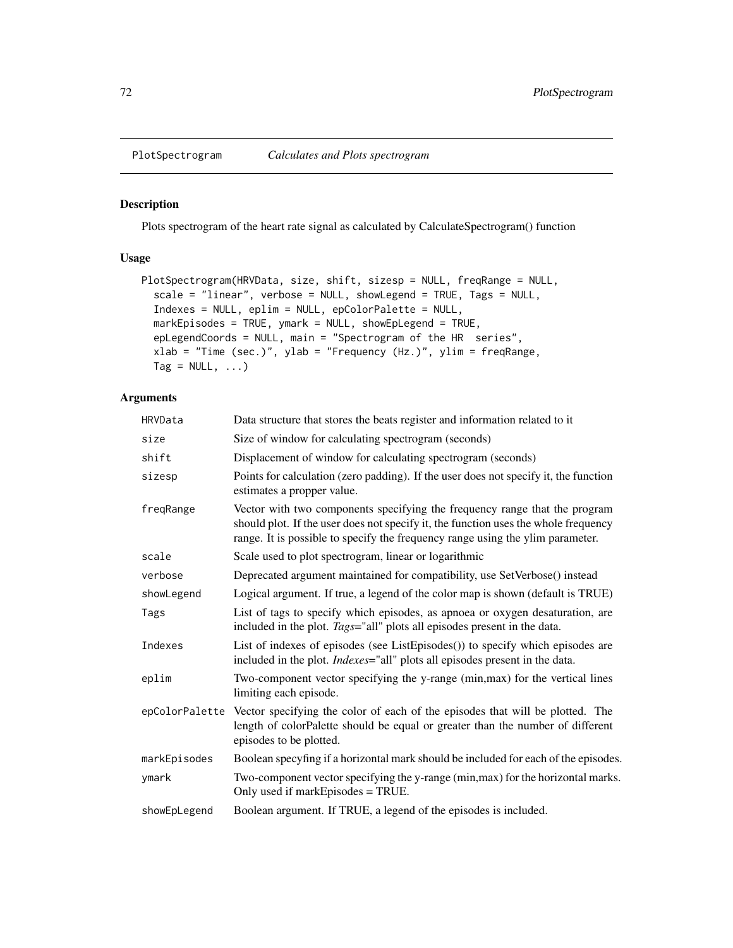## Description

Plots spectrogram of the heart rate signal as calculated by CalculateSpectrogram() function

# Usage

```
PlotSpectrogram(HRVData, size, shift, sizesp = NULL, freqRange = NULL,
  scale = "linear", verbose = NULL, showLegend = TRUE, Tags = NULL,
  Indexes = NULL, eplim = NULL, epColorPalette = NULL,
 markEpisodes = TRUE, ymark = NULL, showEpLegend = TRUE,
 epLegendCoords = NULL, main = "Spectrogram of the HR series",
  xlab = "Time (sec.)", ylab = "Frequency (Hz.)", ylim = freqRange,
  Tag = NULL, ...)
```
# Arguments

| HRVData        | Data structure that stores the beats register and information related to it                                                                                                                                                                         |
|----------------|-----------------------------------------------------------------------------------------------------------------------------------------------------------------------------------------------------------------------------------------------------|
| size           | Size of window for calculating spectrogram (seconds)                                                                                                                                                                                                |
| shift          | Displacement of window for calculating spectrogram (seconds)                                                                                                                                                                                        |
| sizesp         | Points for calculation (zero padding). If the user does not specify it, the function<br>estimates a propper value.                                                                                                                                  |
| freqRange      | Vector with two components specifying the frequency range that the program<br>should plot. If the user does not specify it, the function uses the whole frequency<br>range. It is possible to specify the frequency range using the ylim parameter. |
| scale          | Scale used to plot spectrogram, linear or logarithmic                                                                                                                                                                                               |
| verbose        | Deprecated argument maintained for compatibility, use SetVerbose() instead                                                                                                                                                                          |
| showLegend     | Logical argument. If true, a legend of the color map is shown (default is TRUE)                                                                                                                                                                     |
| Tags           | List of tags to specify which episodes, as apnoea or oxygen desaturation, are<br>included in the plot. Tags="all" plots all episodes present in the data.                                                                                           |
| Indexes        | List of indexes of episodes (see ListEpisodes()) to specify which episodes are<br>included in the plot. <i>Indexes</i> ="all" plots all episodes present in the data.                                                                               |
| eplim          | Two-component vector specifying the y-range (min, max) for the vertical lines<br>limiting each episode.                                                                                                                                             |
| epColorPalette | Vector specifying the color of each of the episodes that will be plotted. The<br>length of colorPalette should be equal or greater than the number of different<br>episodes to be plotted.                                                          |
| markEpisodes   | Boolean specyfing if a horizontal mark should be included for each of the episodes.                                                                                                                                                                 |
| ymark          | Two-component vector specifying the y-range (min, max) for the horizontal marks.<br>Only used if markEpisodes = TRUE.                                                                                                                               |
| showEpLegend   | Boolean argument. If TRUE, a legend of the episodes is included.                                                                                                                                                                                    |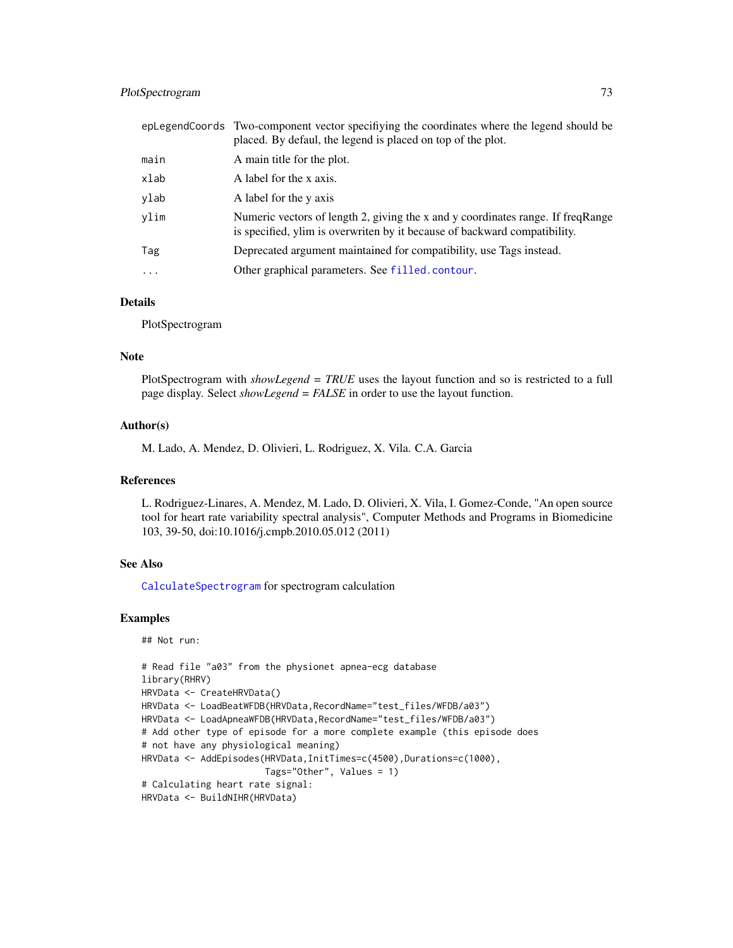# <span id="page-72-0"></span>PlotSpectrogram 73

|         | eplegend Coords Two-component vector specifying the coordinates where the legend should be<br>placed. By defaul, the legend is placed on top of the plot.    |
|---------|--------------------------------------------------------------------------------------------------------------------------------------------------------------|
| main    | A main title for the plot.                                                                                                                                   |
| xlab    | A label for the x axis.                                                                                                                                      |
| ylab    | A label for the y axis                                                                                                                                       |
| ylim    | Numeric vectors of length 2, giving the x and y coordinates range. If freqRange<br>is specified, ylim is overwriten by it because of backward compatibility. |
| Tag     | Deprecated argument maintained for compatibility, use Tags instead.                                                                                          |
| $\cdot$ | Other graphical parameters. See filled.contour.                                                                                                              |

# Details

PlotSpectrogram

#### Note

PlotSpectrogram with *showLegend = TRUE* uses the layout function and so is restricted to a full page display. Select *showLegend = FALSE* in order to use the layout function.

# Author(s)

M. Lado, A. Mendez, D. Olivieri, L. Rodriguez, X. Vila. C.A. Garcia

# References

L. Rodriguez-Linares, A. Mendez, M. Lado, D. Olivieri, X. Vila, I. Gomez-Conde, "An open source tool for heart rate variability spectral analysis", Computer Methods and Programs in Biomedicine 103, 39-50, doi:10.1016/j.cmpb.2010.05.012 (2011)

# See Also

[CalculateSpectrogram](#page-32-0) for spectrogram calculation

#### Examples

```
## Not run:
```

```
# Read file "a03" from the physionet apnea-ecg database
library(RHRV)
HRVData <- CreateHRVData()
HRVData <- LoadBeatWFDB(HRVData,RecordName="test_files/WFDB/a03")
HRVData <- LoadApneaWFDB(HRVData, RecordName="test_files/WFDB/a03")
# Add other type of episode for a more complete example (this episode does
# not have any physiological meaning)
HRVData <- AddEpisodes(HRVData, InitTimes=c(4500), Durations=c(1000),
                       Tags="Other", Values = 1)
# Calculating heart rate signal:
HRVData <- BuildNIHR(HRVData)
```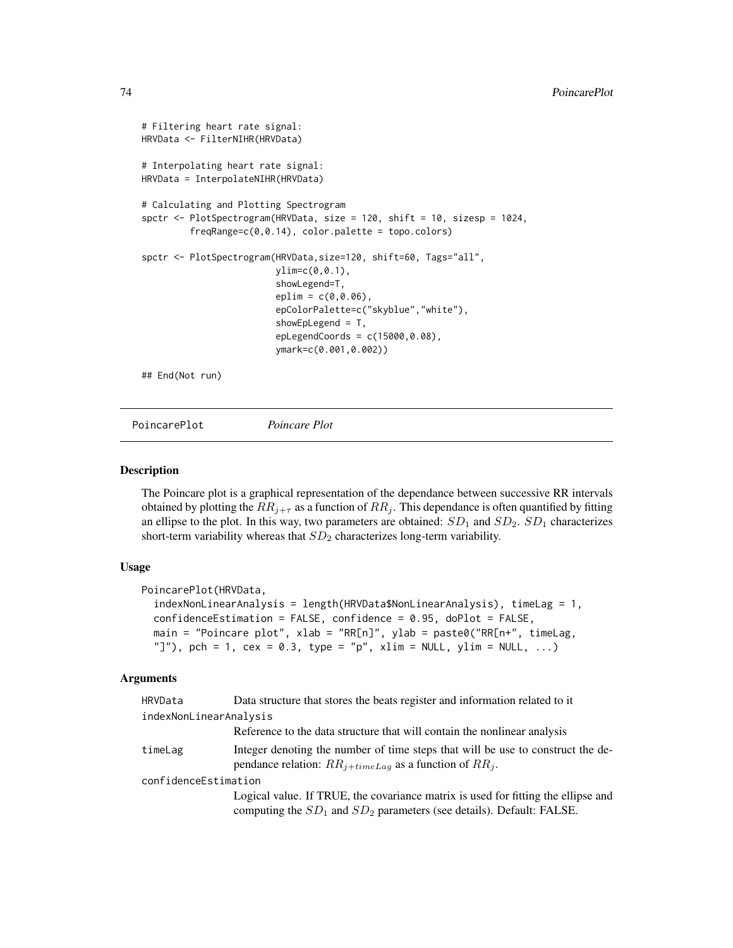```
# Filtering heart rate signal:
HRVData <- FilterNIHR(HRVData)
# Interpolating heart rate signal:
HRVData = InterpolateNIHR(HRVData)
# Calculating and Plotting Spectrogram
spctr <- PlotSpectrogram(HRVData, size = 120, shift = 10, sizesp = 1024,
         freqRange = c(0, 0.14), color.palette = topo.colors)
spctr <- PlotSpectrogram(HRVData,size=120, shift=60, Tags="all",
                         ylim=c(0,0.1),
                          showLegend=T,
                          eplim = c(0, 0.06),
                          epColorPalette=c("skyblue","white"),
                         showEpLegend = T,
                          epLegendCoords = c(15000,0.08),
                         ymark=c(0.001,0.002))
## End(Not run)
```
PoincarePlot *Poincare Plot*

#### Description

The Poincare plot is a graphical representation of the dependance between successive RR intervals obtained by plotting the  $RR_{i+\tau}$  as a function of  $RR_i$ . This dependance is often quantified by fitting an ellipse to the plot. In this way, two parameters are obtained:  $SD_1$  and  $SD_2$ .  $SD_1$  characterizes short-term variability whereas that  $SD<sub>2</sub>$  characterizes long-term variability.

# Usage

```
PoincarePlot(HRVData,
  indexNonLinearAnalysis = length(HRVData$NonLinearAnalysis), timeLag = 1,
  confidenceEstimation = FALSE, confidence = 0.95, doPlot = FALSE,
 main = "Poincare plot", xlab = "RR[n]", ylab = paste0("RR[n+", timeLag,
  "]"), pch = 1, cex = 0.3, type = "p", xlim = NULL, ylim = NULL, ...)
```
#### Arguments

| HRVData                | Data structure that stores the beats register and information related to it                                                                                    |
|------------------------|----------------------------------------------------------------------------------------------------------------------------------------------------------------|
| indexNonLinearAnalysis |                                                                                                                                                                |
|                        | Reference to the data structure that will contain the nonlinear analysis                                                                                       |
| timeLag                | Integer denoting the number of time steps that will be use to construct the de-<br>pendance relation: $RR_{i+timeLag}$ as a function of $RR_i$ .               |
| confidenceEstimation   |                                                                                                                                                                |
|                        | Logical value. If TRUE, the covariance matrix is used for fitting the ellipse and<br>computing the $SD_1$ and $SD_2$ parameters (see details). Default: FALSE. |
|                        |                                                                                                                                                                |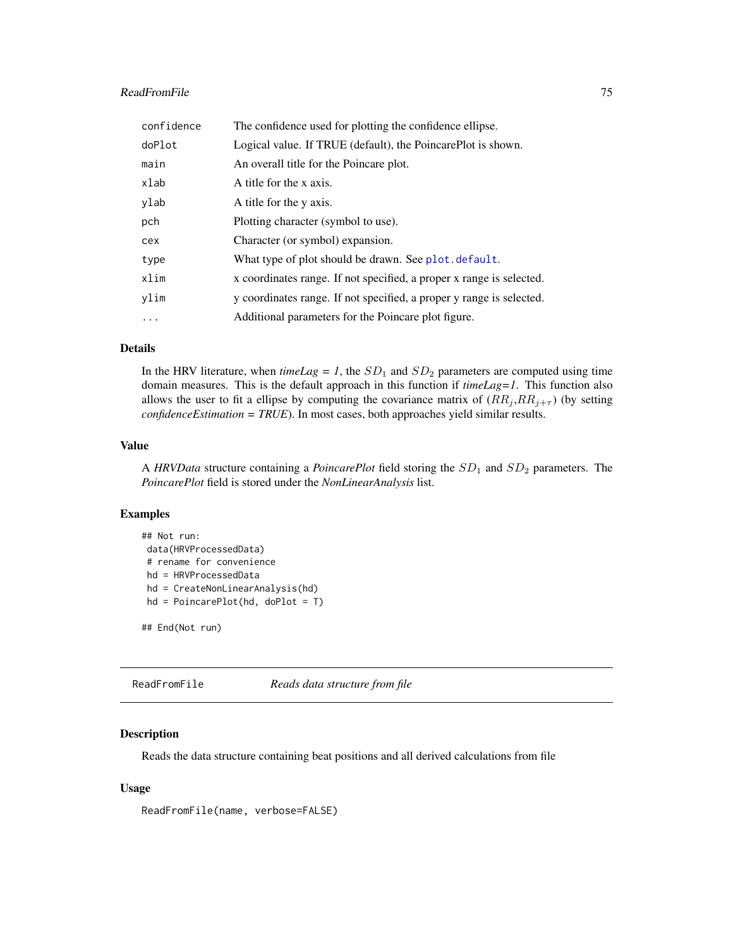# <span id="page-74-0"></span>ReadFromFile 75

| confidence | The confidence used for plotting the confidence ellipse.             |
|------------|----------------------------------------------------------------------|
| doPlot     | Logical value. If TRUE (default), the PoincarePlot is shown.         |
| main       | An overall title for the Poincare plot.                              |
| xlab       | A title for the x axis.                                              |
| ylab       | A title for the y axis.                                              |
| pch        | Plotting character (symbol to use).                                  |
| cex        | Character (or symbol) expansion.                                     |
| type       | What type of plot should be drawn. See plot. default.                |
| xlim       | x coordinates range. If not specified, a proper x range is selected. |
| ylim       | y coordinates range. If not specified, a proper y range is selected. |
| $\ddots$   | Additional parameters for the Poincare plot figure.                  |

# Details

In the HRV literature, when  $timeLag = 1$ , the  $SD<sub>1</sub>$  and  $SD<sub>2</sub>$  parameters are computed using time domain measures. This is the default approach in this function if *timeLag=1*. This function also allows the user to fit a ellipse by computing the covariance matrix of  $(RR_i,RR_{i+\tau})$  (by setting *confidenceEstimation = TRUE*). In most cases, both approaches yield similar results.

#### Value

A *HRVData* structure containing a *PoincarePlot* field storing the  $SD_1$  and  $SD_2$  parameters. The *PoincarePlot* field is stored under the *NonLinearAnalysis* list.

# Examples

```
## Not run:
data(HRVProcessedData)
# rename for convenience
hd = HRVProcessedData
hd = CreateNonLinearAnalysis(hd)
hd = PoincarePlot(hd, doPlot = T)
```
## End(Not run)

ReadFromFile *Reads data structure from file*

#### Description

Reads the data structure containing beat positions and all derived calculations from file

#### Usage

ReadFromFile(name, verbose=FALSE)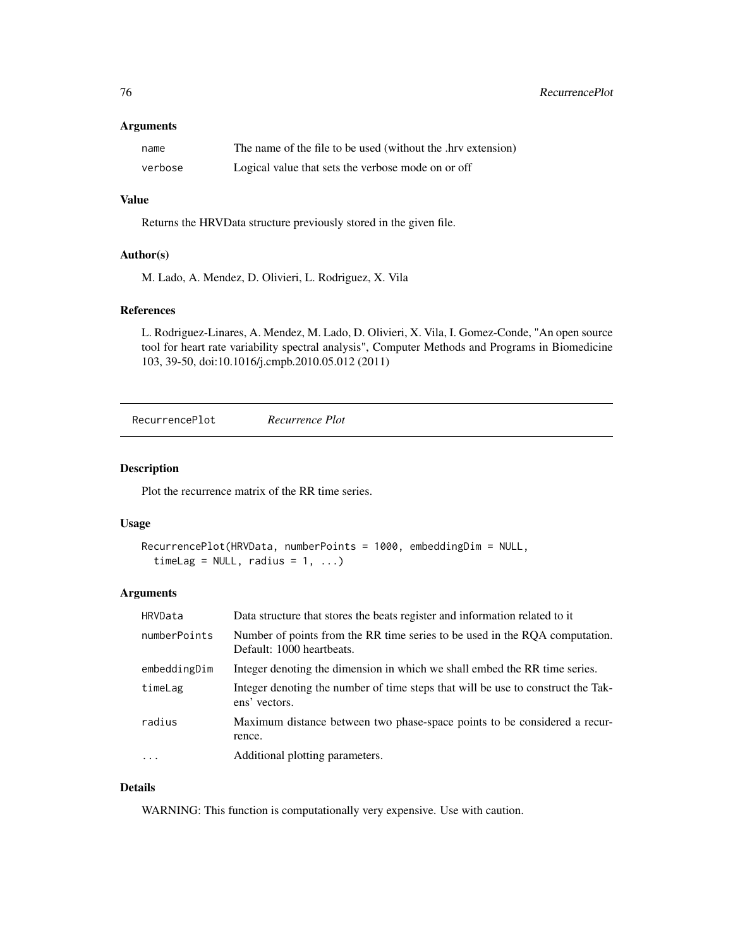#### <span id="page-75-1"></span>Arguments

| name    | The name of the file to be used (without the .hrv extension) |
|---------|--------------------------------------------------------------|
| verbose | Logical value that sets the verbose mode on or off           |

# Value

Returns the HRVData structure previously stored in the given file.

## Author(s)

M. Lado, A. Mendez, D. Olivieri, L. Rodriguez, X. Vila

# References

L. Rodriguez-Linares, A. Mendez, M. Lado, D. Olivieri, X. Vila, I. Gomez-Conde, "An open source tool for heart rate variability spectral analysis", Computer Methods and Programs in Biomedicine 103, 39-50, doi:10.1016/j.cmpb.2010.05.012 (2011)

<span id="page-75-0"></span>RecurrencePlot *Recurrence Plot*

#### Description

Plot the recurrence matrix of the RR time series.

#### Usage

```
RecurrencePlot(HRVData, numberPoints = 1000, embeddingDim = NULL,
  timeLag = NULL, radius = 1, ...
```
# Arguments

| HRVData      | Data structure that stores the beats register and information related to it                              |
|--------------|----------------------------------------------------------------------------------------------------------|
| numberPoints | Number of points from the RR time series to be used in the RQA computation.<br>Default: 1000 heartbeats. |
| embeddingDim | Integer denoting the dimension in which we shall embed the RR time series.                               |
| timeLag      | Integer denoting the number of time steps that will be use to construct the Tak-<br>ens' vectors.        |
| radius       | Maximum distance between two phase-space points to be considered a recur-<br>rence.                      |
| $\ddots$     | Additional plotting parameters.                                                                          |

# Details

WARNING: This function is computationally very expensive. Use with caution.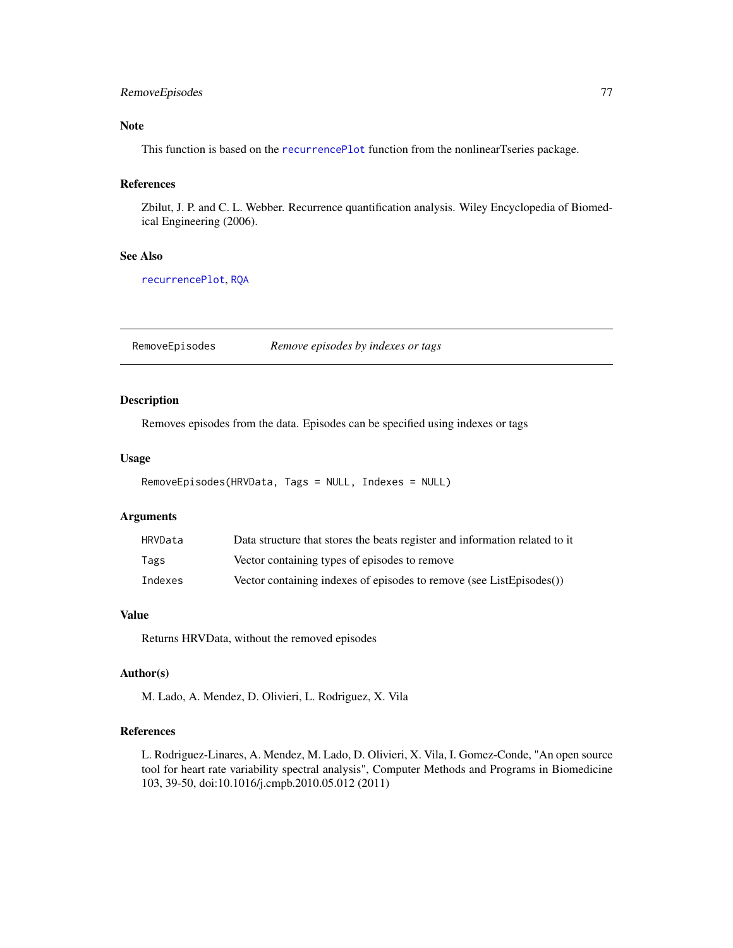# <span id="page-76-0"></span>RemoveEpisodes 77

# Note

This function is based on the [recurrencePlot](#page-0-0) function from the nonlinearTseries package.

# References

Zbilut, J. P. and C. L. Webber. Recurrence quantification analysis. Wiley Encyclopedia of Biomedical Engineering (2006).

# See Also

[recurrencePlot](#page-0-0), [RQA](#page-77-0)

RemoveEpisodes *Remove episodes by indexes or tags*

#### Description

Removes episodes from the data. Episodes can be specified using indexes or tags

#### Usage

```
RemoveEpisodes(HRVData, Tags = NULL, Indexes = NULL)
```
#### Arguments

| HRVData | Data structure that stores the beats register and information related to it |
|---------|-----------------------------------------------------------------------------|
| Tags    | Vector containing types of episodes to remove                               |
| Indexes | Vector containing indexes of episodes to remove (see ListEpisodes())        |

# Value

Returns HRVData, without the removed episodes

#### Author(s)

M. Lado, A. Mendez, D. Olivieri, L. Rodriguez, X. Vila

# References

L. Rodriguez-Linares, A. Mendez, M. Lado, D. Olivieri, X. Vila, I. Gomez-Conde, "An open source tool for heart rate variability spectral analysis", Computer Methods and Programs in Biomedicine 103, 39-50, doi:10.1016/j.cmpb.2010.05.012 (2011)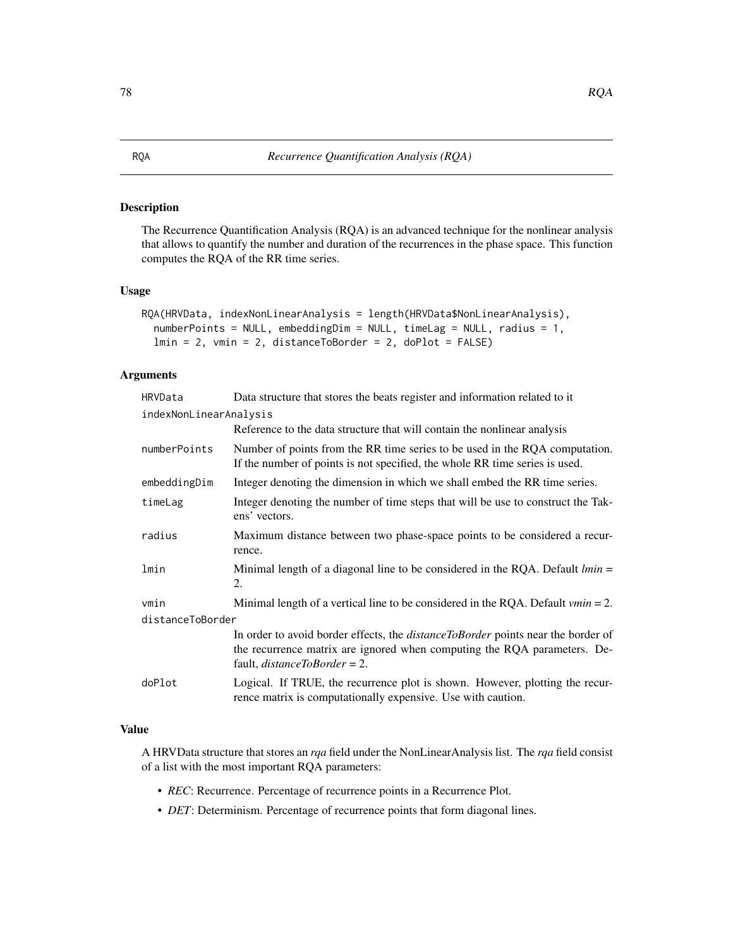# <span id="page-77-1"></span><span id="page-77-0"></span>Description

The Recurrence Quantification Analysis (RQA) is an advanced technique for the nonlinear analysis that allows to quantify the number and duration of the recurrences in the phase space. This function computes the RQA of the RR time series.

# Usage

```
RQA(HRVData, indexNonLinearAnalysis = length(HRVData$NonLinearAnalysis),
  numberPoints = NULL, embeddingDim = NULL, timeLag = NULL, radius = 1,
  lmin = 2, vmin = 2, distanceToBorder = 2, doPlot = FALSE)
```
# Arguments

| HRVData                | Data structure that stores the beats register and information related to it                                                                                                                                |  |
|------------------------|------------------------------------------------------------------------------------------------------------------------------------------------------------------------------------------------------------|--|
| indexNonLinearAnalysis |                                                                                                                                                                                                            |  |
|                        | Reference to the data structure that will contain the nonlinear analysis                                                                                                                                   |  |
| numberPoints           | Number of points from the RR time series to be used in the RQA computation.<br>If the number of points is not specified, the whole RR time series is used.                                                 |  |
| embeddingDim           | Integer denoting the dimension in which we shall embed the RR time series.                                                                                                                                 |  |
| timeLag                | Integer denoting the number of time steps that will be use to construct the Tak-<br>ens' vectors.                                                                                                          |  |
| radius                 | Maximum distance between two phase-space points to be considered a recur-<br>rence.                                                                                                                        |  |
| lmin                   | Minimal length of a diagonal line to be considered in the RQA. Default $lmin =$<br>2.                                                                                                                      |  |
| vmin                   | Minimal length of a vertical line to be considered in the RQA. Default $vmin = 2$ .                                                                                                                        |  |
| distanceToBorder       |                                                                                                                                                                                                            |  |
|                        | In order to avoid border effects, the <i>distanceToBorder</i> points near the border of<br>the recurrence matrix are ignored when computing the RQA parameters. De-<br>fault, <i>distanceToBorder</i> = 2. |  |
| doPlot                 | Logical. If TRUE, the recurrence plot is shown. However, plotting the recur-<br>rence matrix is computationally expensive. Use with caution.                                                               |  |

## Value

A HRVData structure that stores an *rqa* field under the NonLinearAnalysis list. The *rqa* field consist of a list with the most important RQA parameters:

- *REC*: Recurrence. Percentage of recurrence points in a Recurrence Plot.
- *DET*: Determinism. Percentage of recurrence points that form diagonal lines.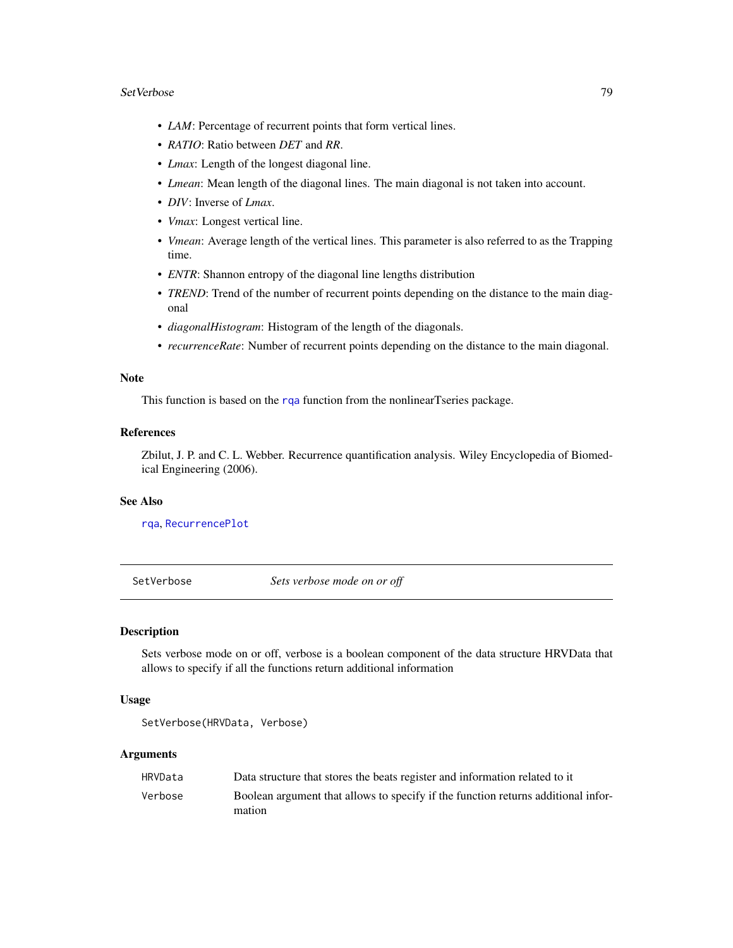#### <span id="page-78-0"></span>SetVerbose 79

- *LAM*: Percentage of recurrent points that form vertical lines.
- *RATIO*: Ratio between *DET* and *RR*.
- *Lmax*: Length of the longest diagonal line.
- *Lmean*: Mean length of the diagonal lines. The main diagonal is not taken into account.
- *DIV*: Inverse of *Lmax*.
- *Vmax*: Longest vertical line.
- *Vmean*: Average length of the vertical lines. This parameter is also referred to as the Trapping time.
- *ENTR*: Shannon entropy of the diagonal line lengths distribution
- *TREND*: Trend of the number of recurrent points depending on the distance to the main diagonal
- *diagonalHistogram*: Histogram of the length of the diagonals.
- *recurrenceRate*: Number of recurrent points depending on the distance to the main diagonal.

#### Note

This function is based on the [rqa](#page-0-0) function from the nonlinearTseries package.

#### References

Zbilut, J. P. and C. L. Webber. Recurrence quantification analysis. Wiley Encyclopedia of Biomedical Engineering (2006).

#### See Also

[rqa](#page-0-0), [RecurrencePlot](#page-75-0)

SetVerbose *Sets verbose mode on or off*

# Description

Sets verbose mode on or off, verbose is a boolean component of the data structure HRVData that allows to specify if all the functions return additional information

#### Usage

```
SetVerbose(HRVData, Verbose)
```
#### Arguments

| HRVData | Data structure that stores the beats register and information related to it       |
|---------|-----------------------------------------------------------------------------------|
| Verbose | Boolean argument that allows to specify if the function returns additional infor- |
|         | mation                                                                            |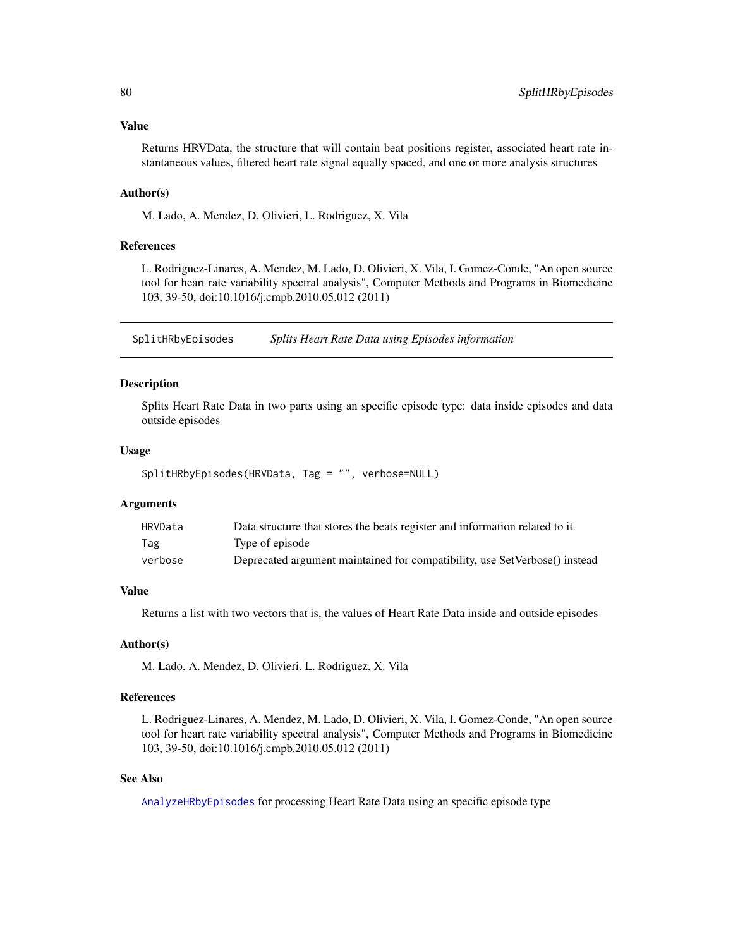<span id="page-79-0"></span>Returns HRVData, the structure that will contain beat positions register, associated heart rate instantaneous values, filtered heart rate signal equally spaced, and one or more analysis structures

#### Author(s)

M. Lado, A. Mendez, D. Olivieri, L. Rodriguez, X. Vila

#### References

L. Rodriguez-Linares, A. Mendez, M. Lado, D. Olivieri, X. Vila, I. Gomez-Conde, "An open source tool for heart rate variability spectral analysis", Computer Methods and Programs in Biomedicine 103, 39-50, doi:10.1016/j.cmpb.2010.05.012 (2011)

SplitHRbyEpisodes *Splits Heart Rate Data using Episodes information*

#### Description

Splits Heart Rate Data in two parts using an specific episode type: data inside episodes and data outside episodes

#### Usage

```
SplitHRbyEpisodes(HRVData, Tag = "", verbose=NULL)
```
# Arguments

| HRVData | Data structure that stores the beats register and information related to it |
|---------|-----------------------------------------------------------------------------|
| Tag     | Type of episode                                                             |
| verbose | Deprecated argument maintained for compatibility, use SetVerbose() instead  |

# Value

Returns a list with two vectors that is, the values of Heart Rate Data inside and outside episodes

#### Author(s)

M. Lado, A. Mendez, D. Olivieri, L. Rodriguez, X. Vila

#### References

L. Rodriguez-Linares, A. Mendez, M. Lado, D. Olivieri, X. Vila, I. Gomez-Conde, "An open source tool for heart rate variability spectral analysis", Computer Methods and Programs in Biomedicine 103, 39-50, doi:10.1016/j.cmpb.2010.05.012 (2011)

#### See Also

[AnalyzeHRbyEpisodes](#page-5-0) for processing Heart Rate Data using an specific episode type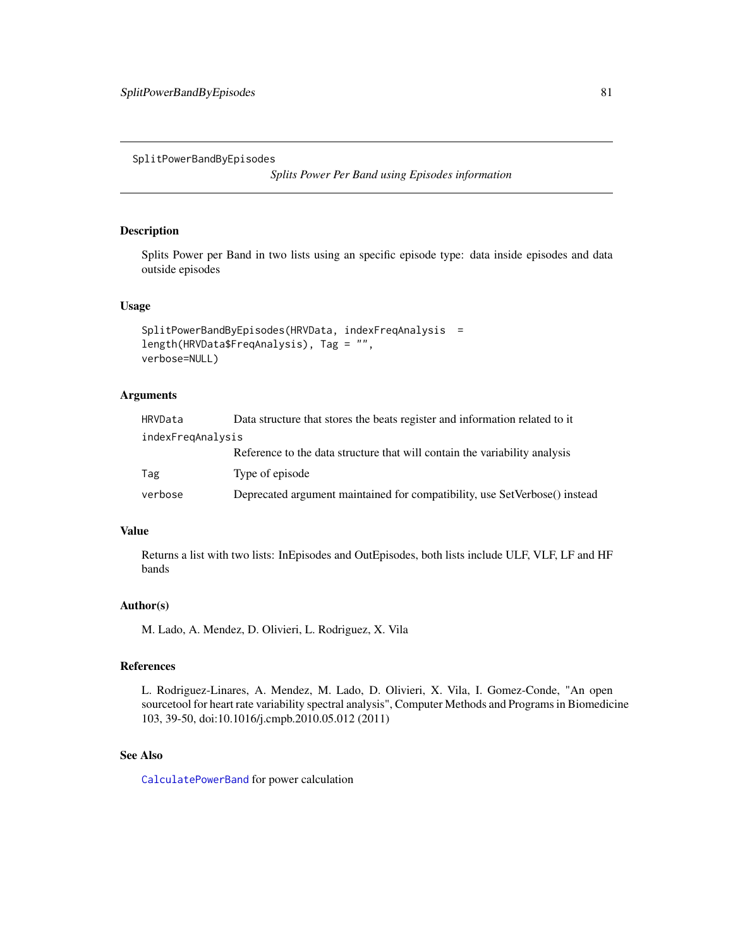<span id="page-80-0"></span>SplitPowerBandByEpisodes

*Splits Power Per Band using Episodes information*

# Description

Splits Power per Band in two lists using an specific episode type: data inside episodes and data outside episodes

#### Usage

```
SplitPowerBandByEpisodes(HRVData, indexFreqAnalysis =
length(HRVData$FreqAnalysis), Tag = "",
verbose=NULL)
```
# Arguments

| HRVData           | Data structure that stores the beats register and information related to it |  |
|-------------------|-----------------------------------------------------------------------------|--|
| indexFregAnalysis |                                                                             |  |
|                   | Reference to the data structure that will contain the variability analysis  |  |
| Tag               | Type of episode                                                             |  |
| verbose           | Deprecated argument maintained for compatibility, use SetVerbose() instead  |  |

#### Value

Returns a list with two lists: InEpisodes and OutEpisodes, both lists include ULF, VLF, LF and HF bands

#### Author(s)

M. Lado, A. Mendez, D. Olivieri, L. Rodriguez, X. Vila

# References

L. Rodriguez-Linares, A. Mendez, M. Lado, D. Olivieri, X. Vila, I. Gomez-Conde, "An open sourcetool for heart rate variability spectral analysis", Computer Methods and Programs in Biomedicine 103, 39-50, doi:10.1016/j.cmpb.2010.05.012 (2011)

### See Also

[CalculatePowerBand](#page-25-0) for power calculation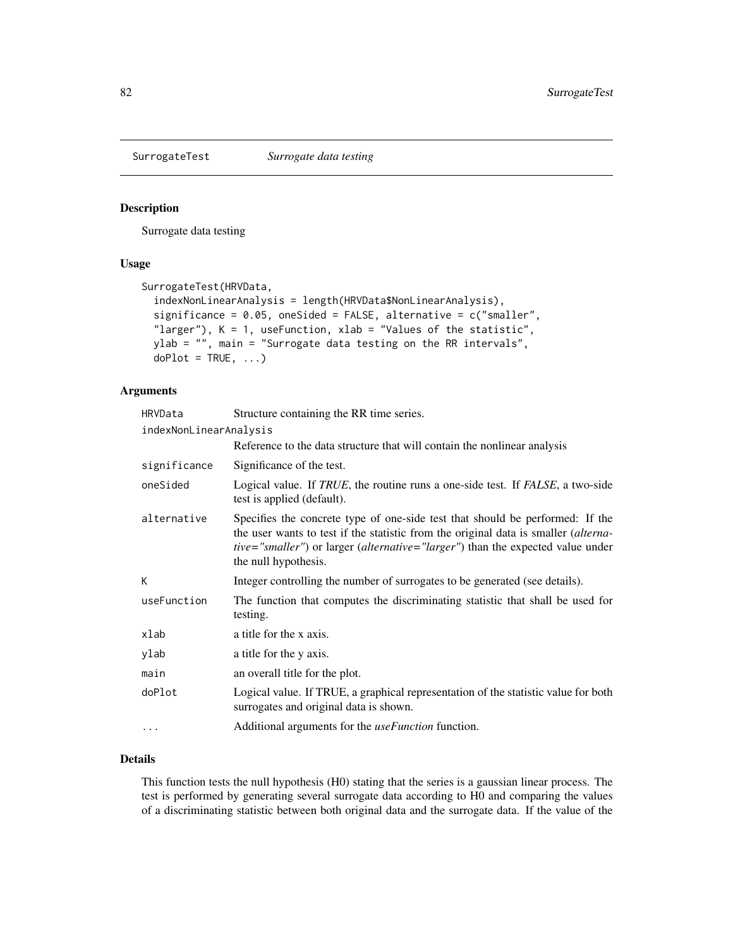<span id="page-81-0"></span>

#### Description

Surrogate data testing

# Usage

```
SurrogateTest(HRVData,
  indexNonLinearAnalysis = length(HRVData$NonLinearAnalysis),
  significance = 0.05, oneSided = FALSE, alternative = c("smaller",
 "larger"), K = 1, useFunction, xlab = "Values of the statistic",
 ylab = "", main = "Surrogate data testing on the RR intervals",
 doPlot = TRUE, ...
```
# Arguments

| HRVData                | Structure containing the RR time series.                                                                                                                                                                                                                                                               |
|------------------------|--------------------------------------------------------------------------------------------------------------------------------------------------------------------------------------------------------------------------------------------------------------------------------------------------------|
| indexNonLinearAnalysis |                                                                                                                                                                                                                                                                                                        |
|                        | Reference to the data structure that will contain the nonlinear analysis                                                                                                                                                                                                                               |
| significance           | Significance of the test.                                                                                                                                                                                                                                                                              |
| oneSided               | Logical value. If <i>TRUE</i> , the routine runs a one-side test. If <i>FALSE</i> , a two-side<br>test is applied (default).                                                                                                                                                                           |
| alternative            | Specifies the concrete type of one-side test that should be performed: If the<br>the user wants to test if the statistic from the original data is smaller <i>(alterna-</i><br><i>tive="smaller"</i> ) or larger ( <i>alternative="larger"</i> ) than the expected value under<br>the null hypothesis. |
| K                      | Integer controlling the number of surrogates to be generated (see details).                                                                                                                                                                                                                            |
| useFunction            | The function that computes the discriminating statistic that shall be used for<br>testing.                                                                                                                                                                                                             |
| xlab                   | a title for the x axis.                                                                                                                                                                                                                                                                                |
| ylab                   | a title for the y axis.                                                                                                                                                                                                                                                                                |
| main                   | an overall title for the plot.                                                                                                                                                                                                                                                                         |
| doPlot                 | Logical value. If TRUE, a graphical representation of the statistic value for both<br>surrogates and original data is shown.                                                                                                                                                                           |
| $\cdots$               | Additional arguments for the <i>useFunction</i> function.                                                                                                                                                                                                                                              |

# Details

This function tests the null hypothesis (H0) stating that the series is a gaussian linear process. The test is performed by generating several surrogate data according to H0 and comparing the values of a discriminating statistic between both original data and the surrogate data. If the value of the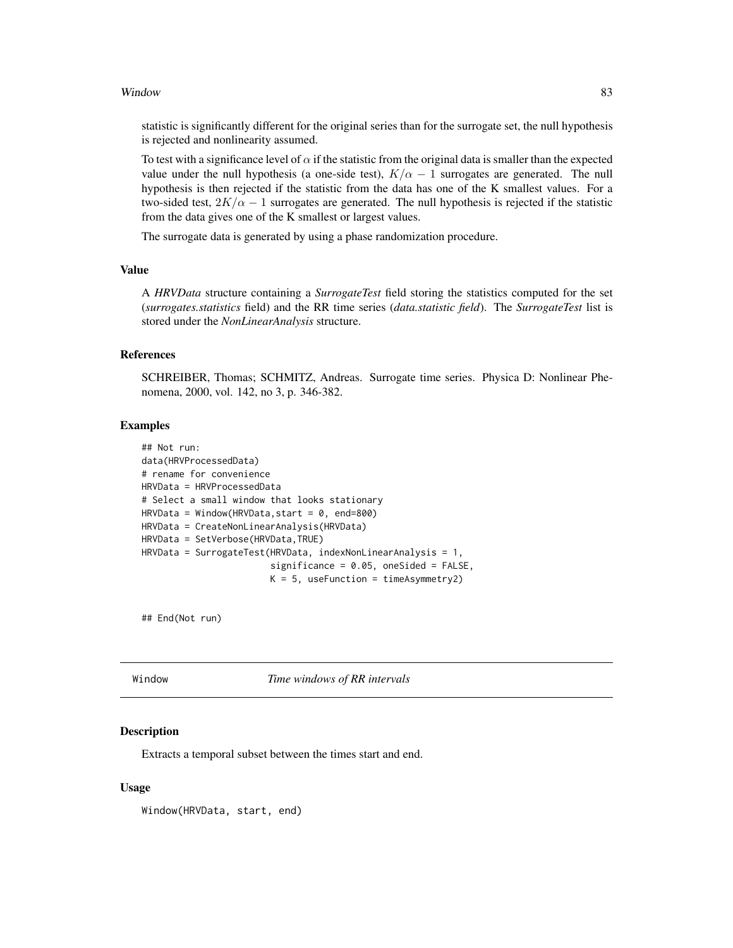#### <span id="page-82-0"></span>Window 83

statistic is significantly different for the original series than for the surrogate set, the null hypothesis is rejected and nonlinearity assumed.

To test with a significance level of  $\alpha$  if the statistic from the original data is smaller than the expected value under the null hypothesis (a one-side test),  $K/\alpha - 1$  surrogates are generated. The null hypothesis is then rejected if the statistic from the data has one of the K smallest values. For a two-sided test,  $2K/\alpha - 1$  surrogates are generated. The null hypothesis is rejected if the statistic from the data gives one of the K smallest or largest values.

The surrogate data is generated by using a phase randomization procedure.

# Value

A *HRVData* structure containing a *SurrogateTest* field storing the statistics computed for the set (*surrogates.statistics* field) and the RR time series (*data.statistic field*). The *SurrogateTest* list is stored under the *NonLinearAnalysis* structure.

# References

SCHREIBER, Thomas; SCHMITZ, Andreas. Surrogate time series. Physica D: Nonlinear Phenomena, 2000, vol. 142, no 3, p. 346-382.

#### Examples

```
## Not run:
data(HRVProcessedData)
# rename for convenience
HRVData = HRVProcessedData
# Select a small window that looks stationary
HRVData = Window(HRVData, start = 0, end=800)
HRVData = CreateNonLinearAnalysis(HRVData)
HRVData = SetVerbose(HRVData,TRUE)
HRVData = SurrogateTest(HRVData, indexNonLinearAnalysis = 1,
                        significance = 0.05, oneSided = FALSE,
                        K = 5, useFunction = timeAsymmetry2)
```
## End(Not run)

Window *Time windows of RR intervals*

#### Description

Extracts a temporal subset between the times start and end.

#### Usage

Window(HRVData, start, end)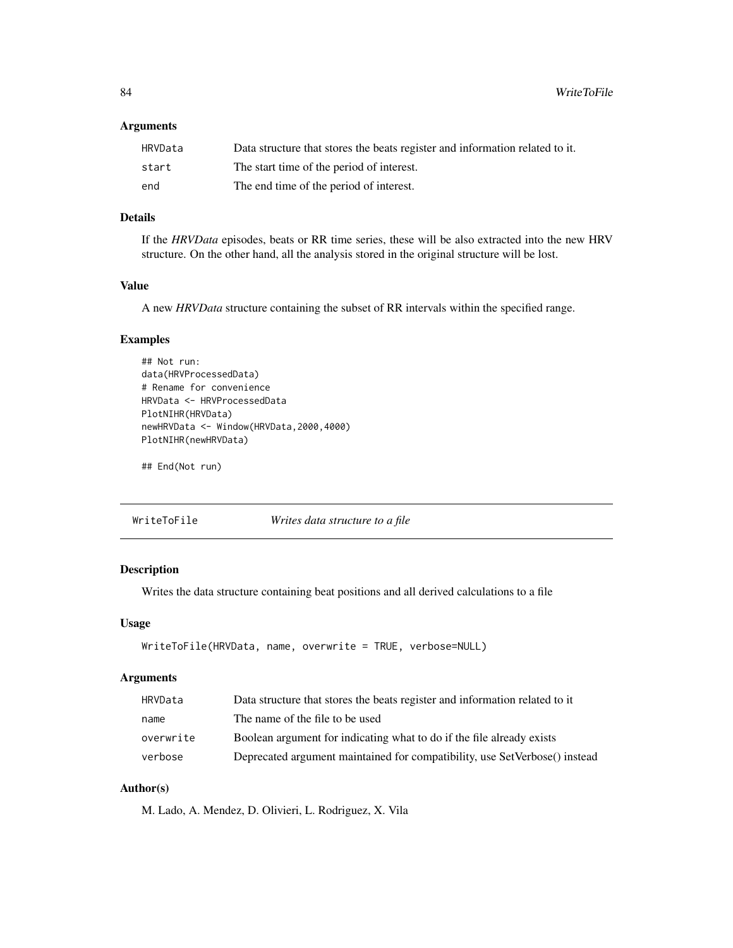<span id="page-83-0"></span>84 WriteToFile

# Arguments

| HRVData | Data structure that stores the beats register and information related to it. |
|---------|------------------------------------------------------------------------------|
| start   | The start time of the period of interest.                                    |
| end     | The end time of the period of interest.                                      |

# Details

If the *HRVData* episodes, beats or RR time series, these will be also extracted into the new HRV structure. On the other hand, all the analysis stored in the original structure will be lost.

# Value

A new *HRVData* structure containing the subset of RR intervals within the specified range.

# Examples

```
## Not run:
data(HRVProcessedData)
# Rename for convenience
HRVData <- HRVProcessedData
PlotNIHR(HRVData)
newHRVData <- Window(HRVData,2000,4000)
PlotNIHR(newHRVData)
```
## End(Not run)

WriteToFile *Writes data structure to a file*

# Description

Writes the data structure containing beat positions and all derived calculations to a file

#### Usage

```
WriteToFile(HRVData, name, overwrite = TRUE, verbose=NULL)
```
# Arguments

| HRVData   | Data structure that stores the beats register and information related to it |
|-----------|-----------------------------------------------------------------------------|
| name      | The name of the file to be used                                             |
| overwrite | Boolean argument for indicating what to do if the file already exists       |
| verbose   | Deprecated argument maintained for compatibility, use SetVerbose() instead  |

# Author(s)

M. Lado, A. Mendez, D. Olivieri, L. Rodriguez, X. Vila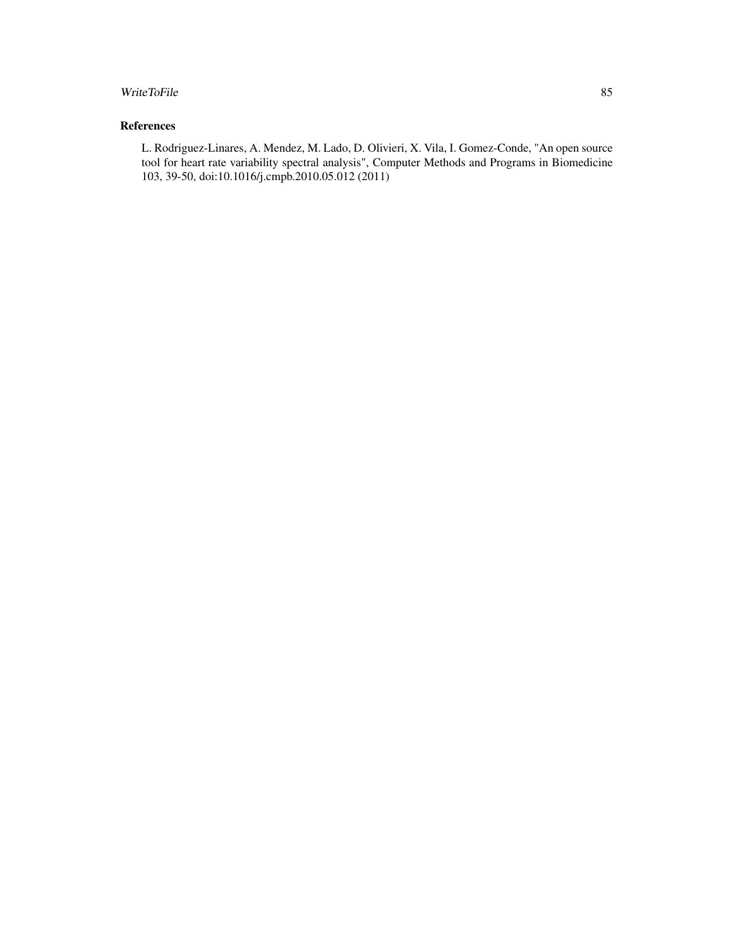# WriteToFile 85

# References

L. Rodriguez-Linares, A. Mendez, M. Lado, D. Olivieri, X. Vila, I. Gomez-Conde, "An open source tool for heart rate variability spectral analysis", Computer Methods and Programs in Biomedicine 103, 39-50, doi:10.1016/j.cmpb.2010.05.012 (2011)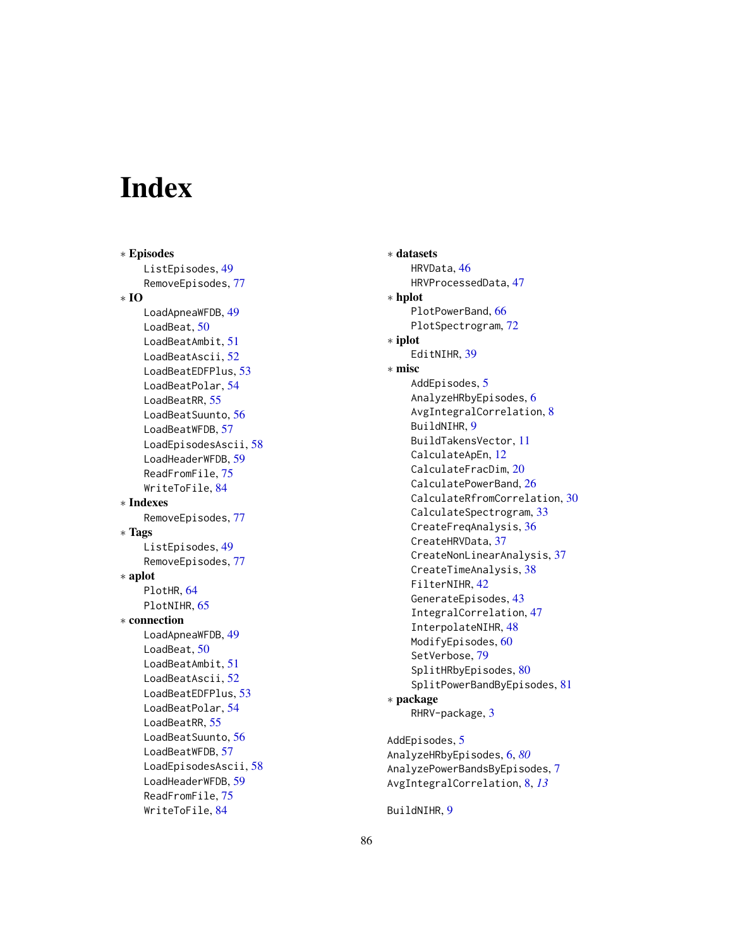# **Index**

∗ Episodes ListEpisodes, [49](#page-48-0) RemoveEpisodes , [77](#page-76-0) ∗ IO LoadApneaWFDB, [49](#page-48-0) LoadBeat, [50](#page-49-0) LoadBeatAmbit , [51](#page-50-0) LoadBeatAscii, [52](#page-51-0) LoadBeatEDFPlus , [53](#page-52-0) LoadBeatPolar, [54](#page-53-0) LoadBeatRR, [55](#page-54-0) LoadBeatSuunto , [56](#page-55-0) LoadBeatWFDB, [57](#page-56-0) LoadEpisodesAscii , [58](#page-57-0) LoadHeaderWFDB , [59](#page-58-0) ReadFromFile, [75](#page-74-0) WriteToFile , [84](#page-83-0) ∗ Indexes RemoveEpisodes , [77](#page-76-0) ∗ Tags ListEpisodes, [49](#page-48-0) RemoveEpisodes , [77](#page-76-0) ∗ aplot PlotHR, [64](#page-63-0) PlotNIHR, [65](#page-64-0) ∗ connection LoadApneaWFDB, [49](#page-48-0) LoadBeat, [50](#page-49-0) LoadBeatAmbit, [51](#page-50-0) LoadBeatAscii, [52](#page-51-0) LoadBeatEDFPlus , [53](#page-52-0) LoadBeatPolar, [54](#page-53-0) LoadBeatRR, [55](#page-54-0) LoadBeatSuunto , [56](#page-55-0) LoadBeatWFDB, [57](#page-56-0) LoadEpisodesAscii , [58](#page-57-0) LoadHeaderWFDB , [59](#page-58-0) ReadFromFile , [75](#page-74-0) WriteToFile , [84](#page-83-0)

∗ datasets HRVData , [46](#page-45-0) HRVProcessedData , [47](#page-46-0) ∗ hplot PlotPowerBand, [66](#page-65-0) PlotSpectrogram , [72](#page-71-0) ∗ iplot EditNIHR, [39](#page-38-0) ∗ misc AddEpisodes, <mark>[5](#page-4-0)</mark> AnalyzeHRbyEpisodes, <mark>[6](#page-5-1)</mark> AvgIntegralCorrelation, [8](#page-7-0) BuildNIHR, [9](#page-8-0) BuildTakensVector , [11](#page-10-0) CalculateApEn , [12](#page-11-0) CalculateFracDim , [20](#page-19-0) CalculatePowerBand, [26](#page-25-1) CalculateRfromCorrelation, [30](#page-29-0) CalculateSpectrogram, [33](#page-32-1) CreateFreqAnalysis, [36](#page-35-0) CreateHRVData, [37](#page-36-0) CreateNonLinearAnalysis , [37](#page-36-0) CreateTimeAnalysis, [38](#page-37-0) FilterNIHR, [42](#page-41-0) GenerateEpisodes , [43](#page-42-0) IntegralCorrelation , [47](#page-46-0) InterpolateNIHR , [48](#page-47-0) ModifyEpisodes, [60](#page-59-0) SetVerbose , [79](#page-78-0) SplitHRbyEpisodes, [80](#page-79-0) SplitPowerBandByEpisodes , [81](#page-80-0) ∗ package RHRV-package, [3](#page-2-0) AddEpisodes, [5](#page-4-0)

AnalyzeHRbyEpisodes , [6](#page-5-1) , *[80](#page-79-0)* AnalyzePowerBandsByEpisodes , [7](#page-6-0) AvgIntegralCorrelation , [8](#page-7-0) , *[13](#page-12-0)*

BuildNIHR, [9](#page-8-0)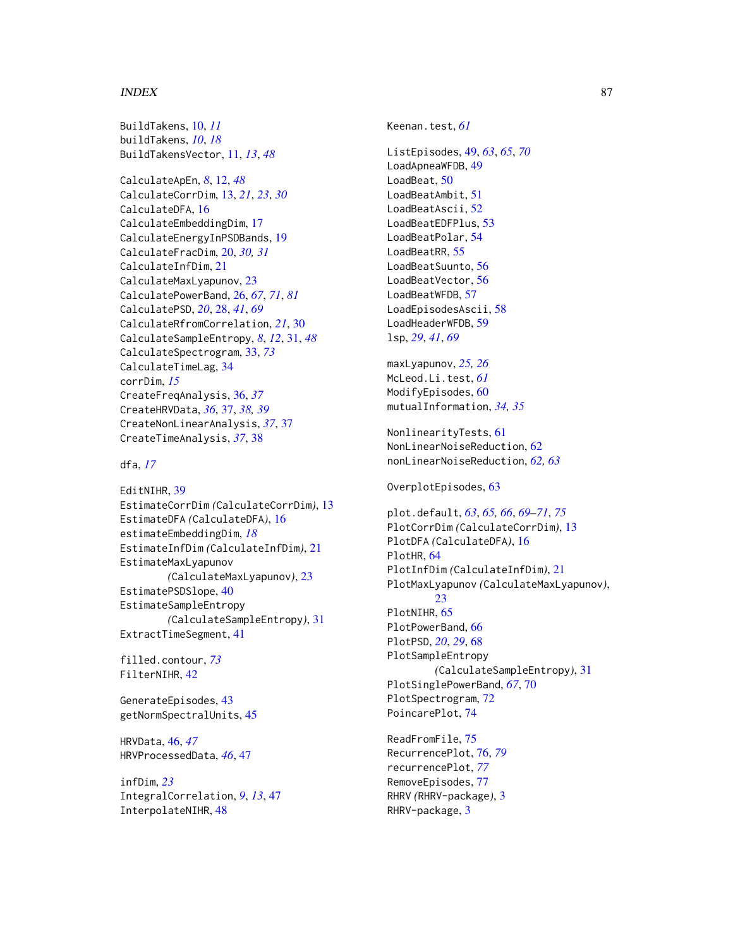#### INDEX  $87$

BuildTakens, [10,](#page-9-0) *[11](#page-10-0)* buildTakens, *[10](#page-9-0)*, *[18](#page-17-0)* BuildTakensVector, [11,](#page-10-0) *[13](#page-12-0)*, *[48](#page-47-0)*

CalculateApEn, *[8](#page-7-0)*, [12,](#page-11-0) *[48](#page-47-0)* CalculateCorrDim, [13,](#page-12-0) *[21](#page-20-0)*, *[23](#page-22-0)*, *[30](#page-29-0)* CalculateDFA, [16](#page-15-0) CalculateEmbeddingDim, [17](#page-16-0) CalculateEnergyInPSDBands, [19](#page-18-0) CalculateFracDim, [20,](#page-19-0) *[30,](#page-29-0) [31](#page-30-0)* CalculateInfDim, [21](#page-20-0) CalculateMaxLyapunov, [23](#page-22-0) CalculatePowerBand, [26,](#page-25-1) *[67](#page-66-0)*, *[71](#page-70-0)*, *[81](#page-80-0)* CalculatePSD, *[20](#page-19-0)*, [28,](#page-27-0) *[41](#page-40-0)*, *[69](#page-68-0)* CalculateRfromCorrelation, *[21](#page-20-0)*, [30](#page-29-0) CalculateSampleEntropy, *[8](#page-7-0)*, *[12](#page-11-0)*, [31,](#page-30-0) *[48](#page-47-0)* CalculateSpectrogram, [33,](#page-32-1) *[73](#page-72-0)* CalculateTimeLag, [34](#page-33-0) corrDim, *[15](#page-14-0)* CreateFreqAnalysis, [36,](#page-35-0) *[37](#page-36-0)* CreateHRVData, *[36](#page-35-0)*, [37,](#page-36-0) *[38,](#page-37-0) [39](#page-38-0)* CreateNonLinearAnalysis, *[37](#page-36-0)*, [37](#page-36-0) CreateTimeAnalysis, *[37](#page-36-0)*, [38](#page-37-0)

dfa, *[17](#page-16-0)*

EditNIHR, [39](#page-38-0) EstimateCorrDim *(*CalculateCorrDim*)*, [13](#page-12-0) EstimateDFA *(*CalculateDFA*)*, [16](#page-15-0) estimateEmbeddingDim, *[18](#page-17-0)* EstimateInfDim *(*CalculateInfDim*)*, [21](#page-20-0) EstimateMaxLyapunov *(*CalculateMaxLyapunov*)*, [23](#page-22-0) EstimatePSDSlope, [40](#page-39-0) EstimateSampleEntropy *(*CalculateSampleEntropy*)*, [31](#page-30-0) ExtractTimeSegment, [41](#page-40-0)

filled.contour, *[73](#page-72-0)* FilterNIHR, [42](#page-41-0)

GenerateEpisodes, [43](#page-42-0) getNormSpectralUnits, [45](#page-44-0)

HRVData, [46,](#page-45-0) *[47](#page-46-0)* HRVProcessedData, *[46](#page-45-0)*, [47](#page-46-0)

infDim, *[23](#page-22-0)* IntegralCorrelation, *[9](#page-8-0)*, *[13](#page-12-0)*, [47](#page-46-0) InterpolateNIHR, [48](#page-47-0)

Keenan.test, *[61](#page-60-0)*

ListEpisodes, [49,](#page-48-0) *[63](#page-62-0)*, *[65](#page-64-0)*, *[70](#page-69-0)* LoadApneaWFDB, [49](#page-48-0) LoadBeat, [50](#page-49-0) LoadBeatAmbit, [51](#page-50-0) LoadBeatAscii, [52](#page-51-0) LoadBeatEDFPlus, [53](#page-52-0) LoadBeatPolar, [54](#page-53-0) LoadBeatRR, [55](#page-54-0) LoadBeatSuunto, [56](#page-55-0) LoadBeatVector, [56](#page-55-0) LoadBeatWFDB, [57](#page-56-0) LoadEpisodesAscii, [58](#page-57-0) LoadHeaderWFDB, [59](#page-58-0) lsp, *[29](#page-28-0)*, *[41](#page-40-0)*, *[69](#page-68-0)*

maxLyapunov, *[25,](#page-24-0) [26](#page-25-1)* McLeod.Li.test, *[61](#page-60-0)* ModifyEpisodes. [60](#page-59-0) mutualInformation, *[34,](#page-33-0) [35](#page-34-0)*

NonlinearityTests, [61](#page-60-0) NonLinearNoiseReduction, [62](#page-61-0) nonLinearNoiseReduction, *[62,](#page-61-0) [63](#page-62-0)*

OverplotEpisodes, [63](#page-62-0)

plot.default, *[63](#page-62-0)*, *[65,](#page-64-0) [66](#page-65-0)*, *[69](#page-68-0)[–71](#page-70-0)*, *[75](#page-74-0)* PlotCorrDim *(*CalculateCorrDim*)*, [13](#page-12-0) PlotDFA *(*CalculateDFA*)*, [16](#page-15-0) PlotHR, [64](#page-63-0) PlotInfDim *(*CalculateInfDim*)*, [21](#page-20-0) PlotMaxLyapunov *(*CalculateMaxLyapunov*)*,  $23$ PlotNIHR, [65](#page-64-0) PlotPowerBand, [66](#page-65-0) PlotPSD, *[20](#page-19-0)*, *[29](#page-28-0)*, [68](#page-67-0) PlotSampleEntropy *(*CalculateSampleEntropy*)*, [31](#page-30-0) PlotSinglePowerBand, *[67](#page-66-0)*, [70](#page-69-0) PlotSpectrogram, [72](#page-71-0) PoincarePlot, [74](#page-73-0)

ReadFromFile, [75](#page-74-0) RecurrencePlot, [76,](#page-75-1) *[79](#page-78-0)* recurrencePlot, *[77](#page-76-0)* RemoveEpisodes, [77](#page-76-0) RHRV *(*RHRV-package*)*, [3](#page-2-0) RHRV-package, [3](#page-2-0)